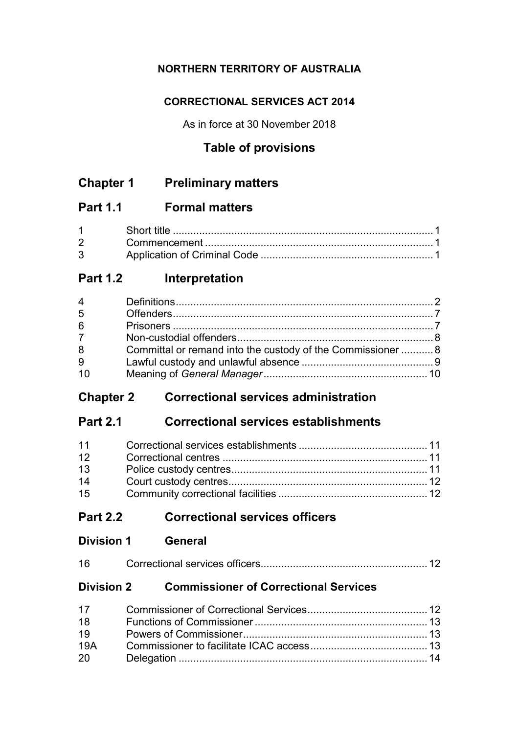## **NORTHERN TERRITORY OF AUSTRALIA**

## **CORRECTIONAL SERVICES ACT 2014**

As in force at 30 November 2018

# **Table of provisions**

# **Chapter 1 Preliminary matters**

# **Part 1.1 Formal matters**

| $1 \quad \Box$ |  |
|----------------|--|
|                |  |
|                |  |

# **Part 1.2 Interpretation**

| $\overline{4}$ |                                                             |  |
|----------------|-------------------------------------------------------------|--|
| 5              |                                                             |  |
| 6              |                                                             |  |
| $7^{\circ}$    |                                                             |  |
| 8              | Committal or remand into the custody of the Commissioner  8 |  |
| 9              |                                                             |  |
| 10             |                                                             |  |

# **Chapter 2 Correctional services administration**

# **Part 2.1 Correctional services establishments**

| 11 |  |
|----|--|
| 12 |  |
| 13 |  |
| 14 |  |
| 15 |  |

# **Part 2.2 Correctional services officers**

| <b>Division 1</b> | <b>General</b> |
|-------------------|----------------|
|                   |                |

| 16 |  |  |  |
|----|--|--|--|
|----|--|--|--|

## **Division 2 Commissioner of Correctional Services**

| 17 <sup>2</sup> |  |
|-----------------|--|
| 18              |  |
| 19              |  |
| 19A             |  |
| 20 —            |  |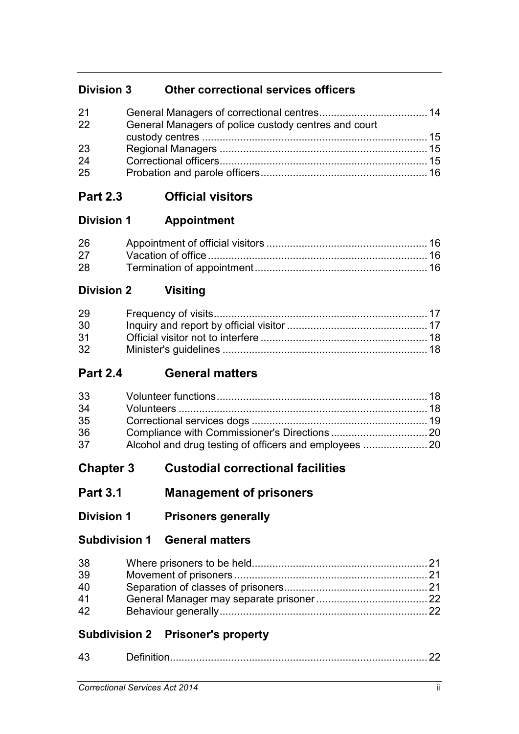# **Division 3 Other correctional services officers**

| 21 |                                                      |  |
|----|------------------------------------------------------|--|
| 22 | General Managers of police custody centres and court |  |
|    |                                                      |  |
| 23 |                                                      |  |
| 24 |                                                      |  |
| 25 |                                                      |  |

# **Part 2.3 Official visitors**

## **Division 1 Appointment**

| 26 |  |
|----|--|
| 27 |  |
| 28 |  |

# **Division 2 Visiting**

| 29              |  |
|-----------------|--|
| 30              |  |
| 31              |  |
| 32 <sup>2</sup> |  |

# **Part 2.4 General matters**

| 33 |  |
|----|--|
| 34 |  |
| 35 |  |
| 36 |  |
| 37 |  |

# **Chapter 3 Custodial correctional facilities**

# **Part 3.1 Management of prisoners**

**Division 1 Prisoners generally**

## **Subdivision 1 General matters**

| 38 |  |
|----|--|
| 39 |  |
| 40 |  |
| 41 |  |
| 42 |  |

# **Subdivision 2 Prisoner's property**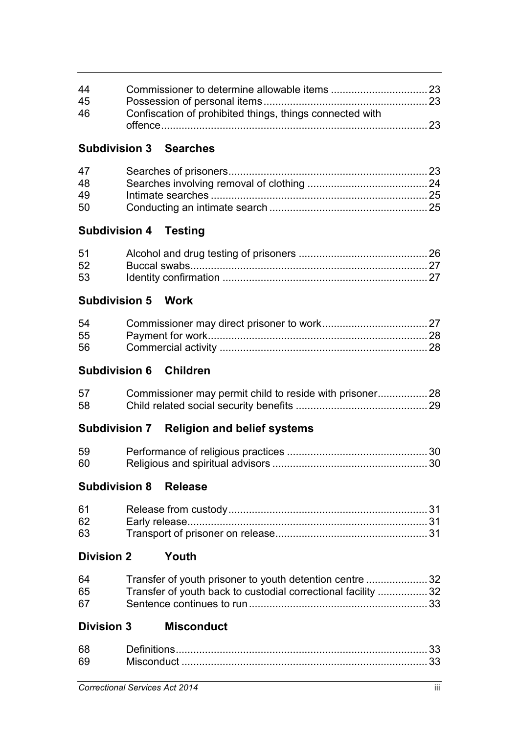| 44 |                                                          |  |
|----|----------------------------------------------------------|--|
| 45 |                                                          |  |
| 46 | Confiscation of prohibited things, things connected with |  |
|    |                                                          |  |

## **Subdivision 3 Searches**

| 47 |  |
|----|--|
| 48 |  |
| 49 |  |
| 50 |  |

## **Subdivision 4 Testing**

| 52 |  |
|----|--|
| 53 |  |

## **Subdivision 5 Work**

| 54 |  |
|----|--|
| 55 |  |
| 56 |  |

## **Subdivision 6 Children**

| 57 |  |
|----|--|
| 58 |  |

# **Subdivision 7 Religion and belief systems**

| 59 |  |
|----|--|
| 60 |  |

## **Subdivision 8 Release**

| 61 |  |
|----|--|
| 62 |  |
| 63 |  |

# **Division 2 Youth**

| 64 | Transfer of youth prisoner to youth detention centre 32      |  |
|----|--------------------------------------------------------------|--|
| 65 | Transfer of youth back to custodial correctional facility 32 |  |
| 67 |                                                              |  |

## **Division 3 Misconduct**

| 68 |  |
|----|--|
| 69 |  |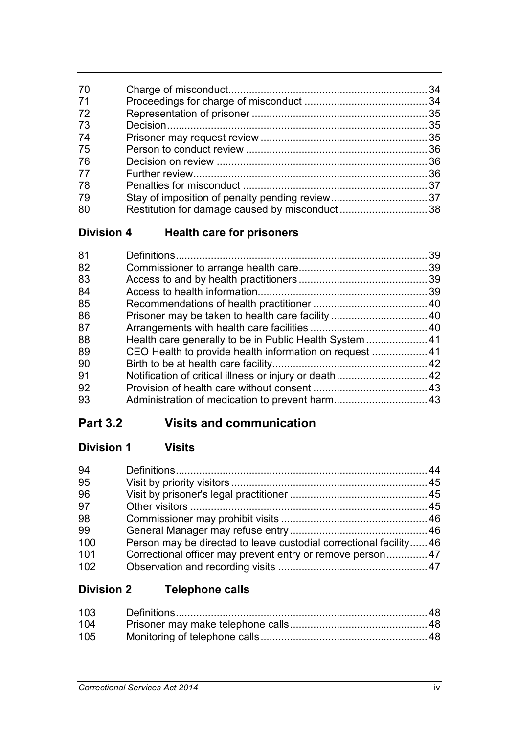| 70 |  |
|----|--|
| 71 |  |
| 72 |  |
| 73 |  |
| 74 |  |
| 75 |  |
| 76 |  |
| 77 |  |
| 78 |  |
| 79 |  |
| 80 |  |
|    |  |

# **Division 4 Health care for prisoners**

| 81 | 39 |
|----|----|
| 82 |    |
| 83 |    |
| 84 |    |
| 85 |    |
| 86 |    |
| 87 |    |
| 88 |    |
| 89 |    |
| 90 |    |
| 91 |    |
| 92 |    |
| 93 |    |
|    |    |

# **Part 3.2 Visits and communication**

# **Division 1 Visits**

| 94  |                                                                   |  |
|-----|-------------------------------------------------------------------|--|
| 95  |                                                                   |  |
| 96  |                                                                   |  |
| 97  |                                                                   |  |
| 98  |                                                                   |  |
| 99  |                                                                   |  |
| 100 | Person may be directed to leave custodial correctional facility46 |  |
| 101 | Correctional officer may prevent entry or remove person47         |  |
| 102 |                                                                   |  |

# **Division 2 Telephone calls**

| 105 |  |
|-----|--|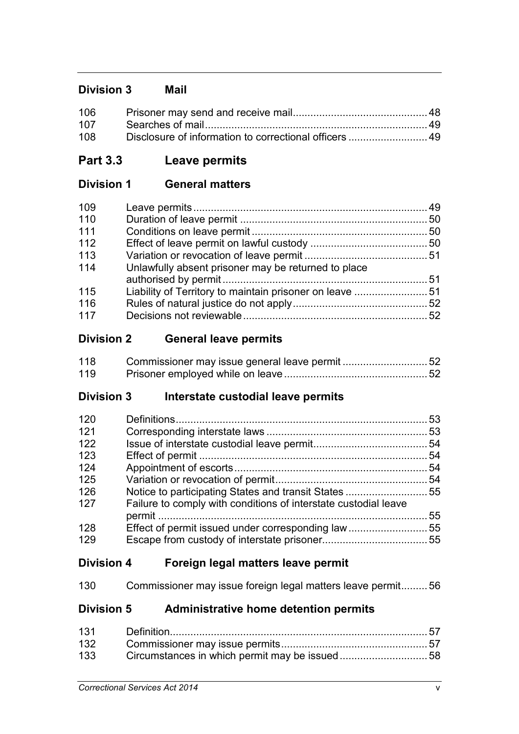## **Division 3 Mail**

| 108 |  |
|-----|--|

# **Part 3.3 Leave permits**

## **Division 1 General matters**

| 109 |                                                     |  |
|-----|-----------------------------------------------------|--|
| 110 |                                                     |  |
| 111 |                                                     |  |
| 112 |                                                     |  |
| 113 |                                                     |  |
| 114 | Unlawfully absent prisoner may be returned to place |  |
| 115 |                                                     |  |
| 116 |                                                     |  |
| 117 |                                                     |  |

## **Division 2 General leave permits**

| 118 | Commissioner may issue general leave permit 52 |  |
|-----|------------------------------------------------|--|
| 119 |                                                |  |

## **Division 3 Interstate custodial leave permits**

| 120 |                                                                 | 53 |
|-----|-----------------------------------------------------------------|----|
| 121 |                                                                 |    |
| 122 |                                                                 |    |
| 123 |                                                                 |    |
| 124 |                                                                 | 54 |
| 125 |                                                                 |    |
| 126 | Notice to participating States and transit States 55            |    |
| 127 | Failure to comply with conditions of interstate custodial leave |    |
|     |                                                                 | 55 |
| 128 |                                                                 |    |
| 129 |                                                                 |    |
|     |                                                                 |    |

## **Division 4 Foreign legal matters leave permit**

| 130 | Commissioner may issue foreign legal matters leave permit56 |  |  |  |  |  |
|-----|-------------------------------------------------------------|--|--|--|--|--|
|-----|-------------------------------------------------------------|--|--|--|--|--|

## **Division 5 Administrative home detention permits**

| 133 |  |
|-----|--|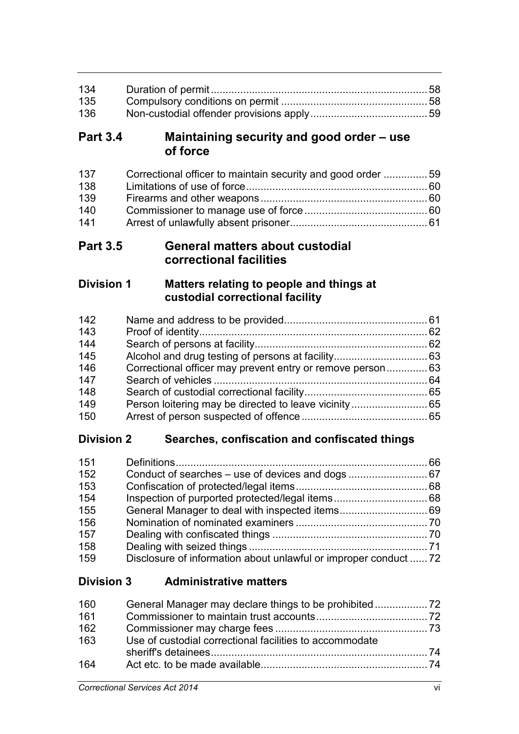| 135 |  |
|-----|--|
| 136 |  |

## **Part 3.4 Maintaining security and good order – use of force**

| 137 | Correctional officer to maintain security and good order 59 |  |
|-----|-------------------------------------------------------------|--|
| 138 |                                                             |  |
| 139 |                                                             |  |
| 140 |                                                             |  |
| 141 |                                                             |  |

## **Part 3.5 General matters about custodial correctional facilities**

## **Division 1 Matters relating to people and things at custodial correctional facility**

# **Division 2 Searches, confiscation and confiscated things**

| 151 |                                                                  |  |
|-----|------------------------------------------------------------------|--|
| 152 |                                                                  |  |
| 153 |                                                                  |  |
| 154 |                                                                  |  |
| 155 |                                                                  |  |
| 156 |                                                                  |  |
| 157 |                                                                  |  |
| 158 |                                                                  |  |
| 159 | Disclosure of information about unlawful or improper conduct  72 |  |

## **Division 3 Administrative matters**

| 160 |                                                         |  |
|-----|---------------------------------------------------------|--|
| 161 |                                                         |  |
| 162 |                                                         |  |
| 163 | Use of custodial correctional facilities to accommodate |  |
| 164 |                                                         |  |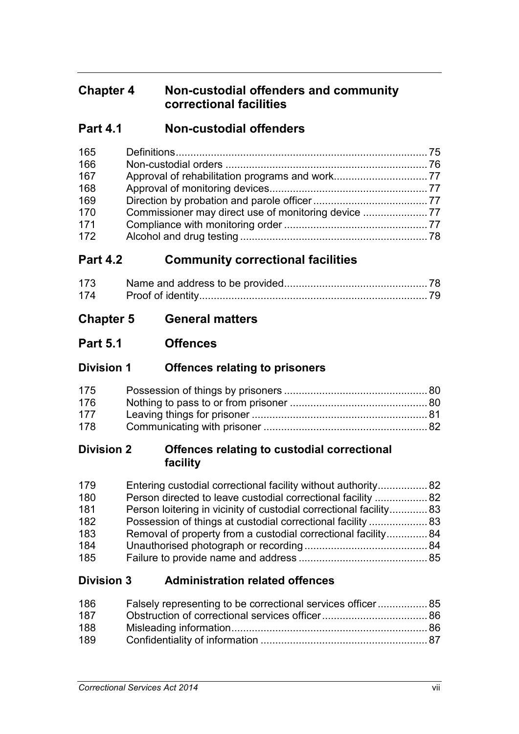# **Chapter 4 Non-custodial offenders and community correctional facilities**

## **Part 4.1 Non-custodial offenders**

| 165 |  |
|-----|--|
| 166 |  |
| 167 |  |
| 168 |  |
| 169 |  |
| 170 |  |
| 171 |  |
| 172 |  |

## **Part 4.2 Community correctional facilities**

| 173 |  |
|-----|--|
|     |  |

## **Chapter 5 General matters**

## **Part 5.1 Offences**

## **Division 1 Offences relating to prisoners**

| 175 |  |
|-----|--|
| 176 |  |
| 177 |  |
| 178 |  |

## **Division 2 Offences relating to custodial correctional facility**

| 179 | Entering custodial correctional facility without authority 82      |  |
|-----|--------------------------------------------------------------------|--|
| 180 | Person directed to leave custodial correctional facility  82       |  |
| 181 | Person loitering in vicinity of custodial correctional facility 83 |  |
| 182 |                                                                    |  |
| 183 | Removal of property from a custodial correctional facility84       |  |
| 184 |                                                                    |  |
| 185 |                                                                    |  |

## **Division 3 Administration related offences**

| 186 | Falsely representing to be correctional services officer 85 |  |
|-----|-------------------------------------------------------------|--|
| 187 |                                                             |  |
| 188 |                                                             |  |
| 189 |                                                             |  |
|     |                                                             |  |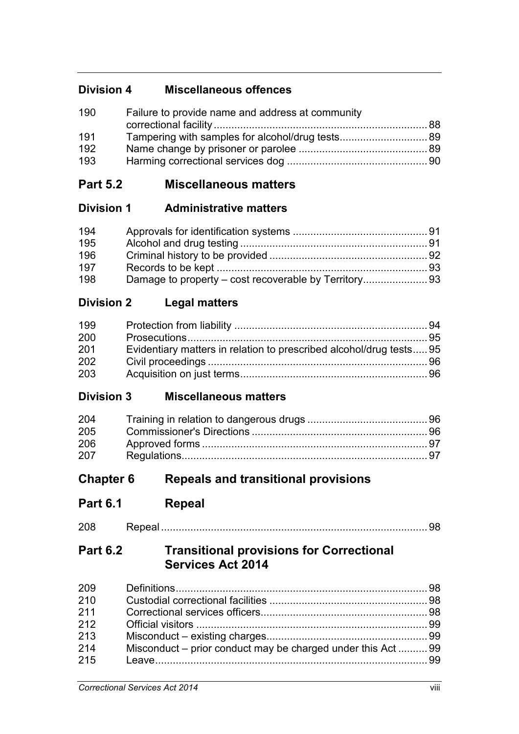# **Division 4 Miscellaneous offences**

| 190 | Failure to provide name and address at community |  |
|-----|--------------------------------------------------|--|
|     |                                                  |  |
| 191 |                                                  |  |
| 192 |                                                  |  |
| 193 |                                                  |  |

# **Part 5.2 Miscellaneous matters**

## **Division 1 Administrative matters**

| 194 |  |
|-----|--|
| 195 |  |
| 196 |  |
| 197 |  |
| 198 |  |

# **Division 2 Legal matters**

| 199 |                                                                     |  |
|-----|---------------------------------------------------------------------|--|
| 200 |                                                                     |  |
| 201 | Evidentiary matters in relation to prescribed alcohol/drug tests 95 |  |
| 202 |                                                                     |  |
| 203 |                                                                     |  |

## **Division 3 Miscellaneous matters**

| 204 |  |
|-----|--|
| 205 |  |
| 206 |  |
| 207 |  |

# **Chapter 6 Repeals and transitional provisions**

**Part 6.1 Repeal**

# **Part 6.2 Transitional provisions for Correctional Services Act 2014**

| 209 |                                                              |  |
|-----|--------------------------------------------------------------|--|
| 210 |                                                              |  |
| 211 |                                                              |  |
| 212 |                                                              |  |
| 213 |                                                              |  |
| 214 | Misconduct – prior conduct may be charged under this Act  99 |  |
| 215 |                                                              |  |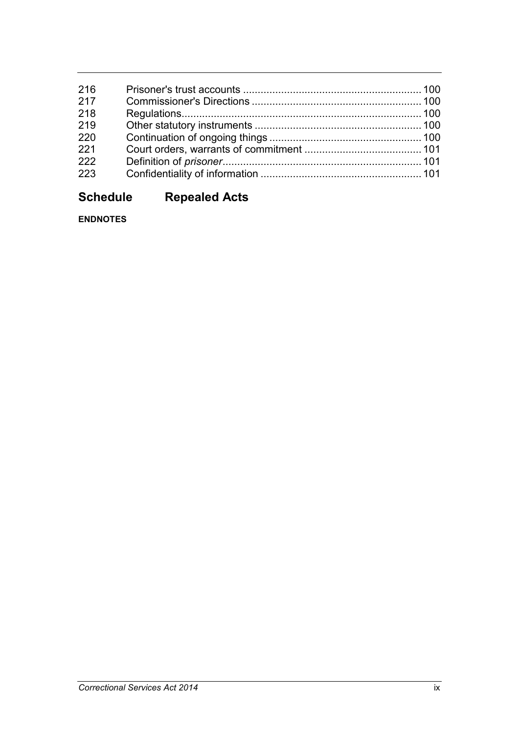| 216 |  |
|-----|--|
| 217 |  |
| 218 |  |
| 219 |  |
| 220 |  |
| 221 |  |
| 222 |  |
| 223 |  |
|     |  |

# **Schedule Repealed Acts**

**ENDNOTES**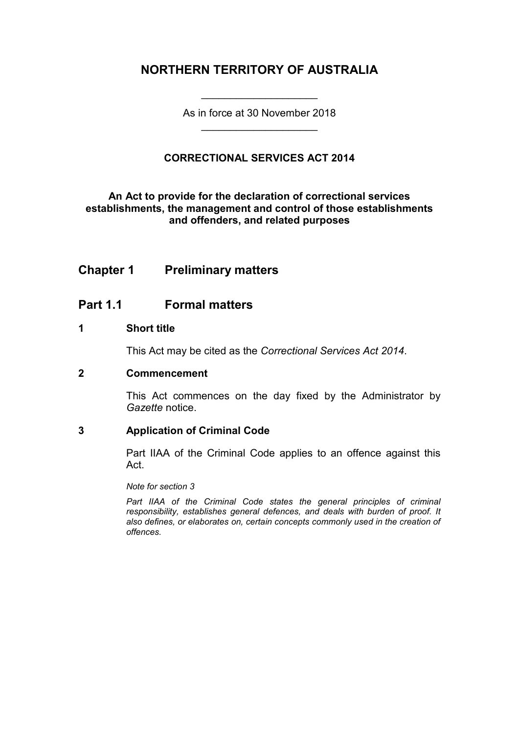## **NORTHERN TERRITORY OF AUSTRALIA**

As in force at 30 November 2018 \_\_\_\_\_\_\_\_\_\_\_\_\_\_\_\_\_\_\_\_

\_\_\_\_\_\_\_\_\_\_\_\_\_\_\_\_\_\_\_\_

### **CORRECTIONAL SERVICES ACT 2014**

### **An Act to provide for the declaration of correctional services establishments, the management and control of those establishments and offenders, and related purposes**

## **Chapter 1 Preliminary matters**

### **Part 1.1 Formal matters**

### **1 Short title**

This Act may be cited as the *Correctional Services Act 2014*.

### **2 Commencement**

This Act commences on the day fixed by the Administrator by *Gazette* notice.

### **3 Application of Criminal Code**

Part IIAA of the Criminal Code applies to an offence against this Act.

*Note for section 3*

Part IIAA of the Criminal Code states the general principles of criminal *responsibility, establishes general defences, and deals with burden of proof. It also defines, or elaborates on, certain concepts commonly used in the creation of offences.*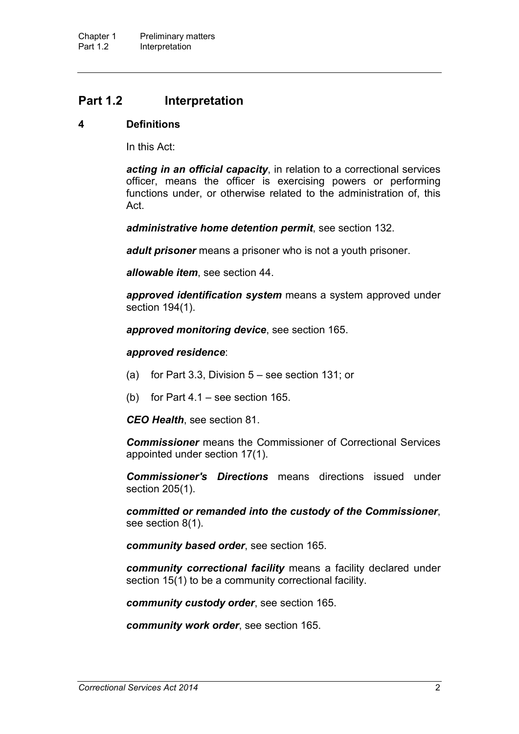## **Part 1.2 Interpretation**

#### **4 Definitions**

In this Act:

*acting in an official capacity*, in relation to a correctional services officer, means the officer is exercising powers or performing functions under, or otherwise related to the administration of, this Act.

*administrative home detention permit*, see section 132.

*adult prisoner* means a prisoner who is not a youth prisoner.

*allowable item*, see section 44.

*approved identification system* means a system approved under section 194(1).

*approved monitoring device*, see section 165.

#### *approved residence*:

- (a) for Part 3.3, Division 5 see section 131; or
- (b) for Part 4.1 see section 165.

*CEO Health*, see section 81.

*Commissioner* means the Commissioner of Correctional Services appointed under section 17(1).

*Commissioner's Directions* means directions issued under section 205(1).

*committed or remanded into the custody of the Commissioner*, see section 8(1).

*community based order*, see section 165.

*community correctional facility* means a facility declared under section 15(1) to be a community correctional facility.

*community custody order*, see section 165.

*community work order*, see section 165.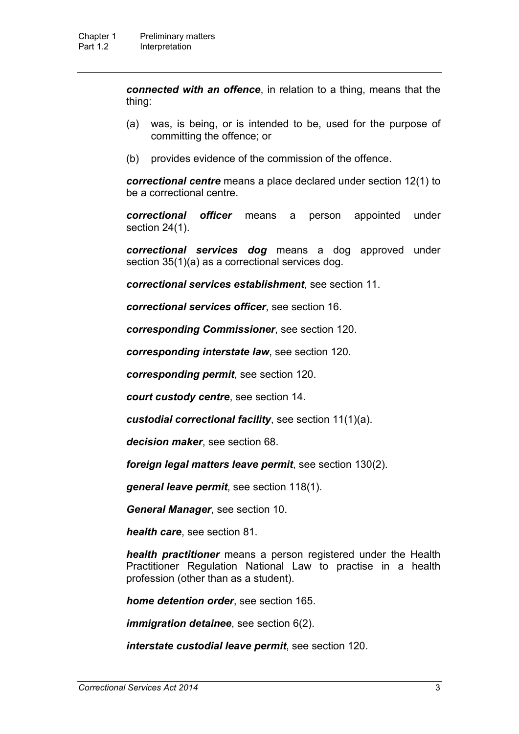*connected with an offence*, in relation to a thing, means that the thing:

- (a) was, is being, or is intended to be, used for the purpose of committing the offence; or
- (b) provides evidence of the commission of the offence.

*correctional centre* means a place declared under section 12(1) to be a correctional centre.

*correctional officer* means a person appointed under section 24(1).

*correctional services dog* means a dog approved under section 35(1)(a) as a correctional services dog.

*correctional services establishment*, see section 11.

*correctional services officer*, see section 16.

*corresponding Commissioner*, see section 120.

*corresponding interstate law*, see section 120.

*corresponding permit*, see section 120.

*court custody centre*, see section 14.

*custodial correctional facility*, see section 11(1)(a).

*decision maker*, see section 68.

*foreign legal matters leave permit*, see section 130(2).

*general leave permit*, see section 118(1).

*General Manager*, see section 10.

*health care*, see section 81.

*health practitioner* means a person registered under the Health Practitioner Regulation National Law to practise in a health profession (other than as a student).

*home detention order*, see section 165.

*immigration detainee*, see section 6(2).

*interstate custodial leave permit*, see section 120.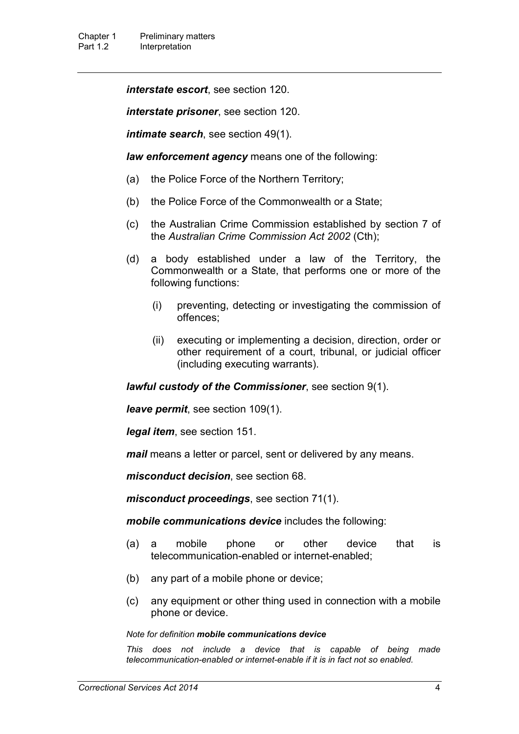*interstate escort*, see section 120.

*interstate prisoner*, see section 120.

*intimate search*, see section 49(1).

*law enforcement agency* means one of the following:

- (a) the Police Force of the Northern Territory;
- (b) the Police Force of the Commonwealth or a State;
- (c) the Australian Crime Commission established by section 7 of the *Australian Crime Commission Act 2002* (Cth);
- (d) a body established under a law of the Territory, the Commonwealth or a State, that performs one or more of the following functions:
	- (i) preventing, detecting or investigating the commission of offences;
	- (ii) executing or implementing a decision, direction, order or other requirement of a court, tribunal, or judicial officer (including executing warrants).

*lawful custody of the Commissioner*, see section 9(1).

*leave permit*, see section 109(1).

*legal item*, see section 151.

*mail* means a letter or parcel, sent or delivered by any means.

*misconduct decision*, see section 68.

*misconduct proceedings*, see section 71(1).

*mobile communications device* includes the following:

- (a) a mobile phone or other device that is telecommunication-enabled or internet-enabled;
- (b) any part of a mobile phone or device;
- (c) any equipment or other thing used in connection with a mobile phone or device.

#### *Note for definition mobile communications device*

*This does not include a device that is capable of being made telecommunication-enabled or internet-enable if it is in fact not so enabled.*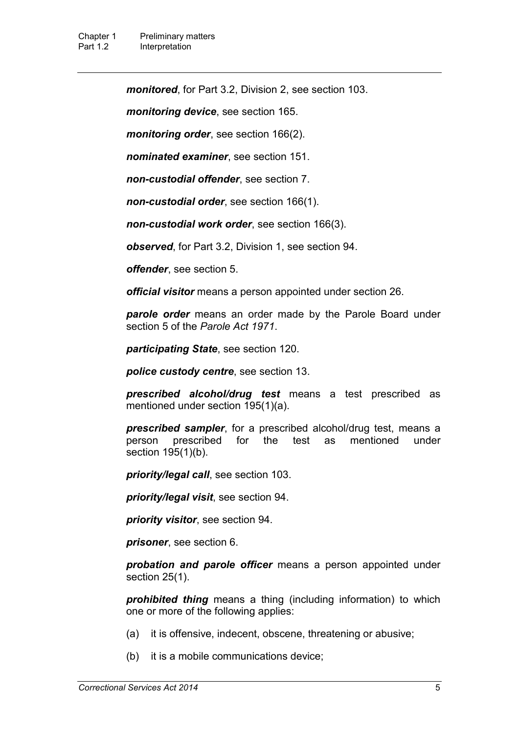*monitored*, for Part 3.2, Division 2, see section 103.

*monitoring device*, see section 165.

*monitoring order*, see section 166(2).

*nominated examiner*, see section 151.

*non-custodial offender*, see section 7.

*non-custodial order*, see section 166(1).

*non-custodial work order*, see section 166(3).

*observed*, for Part 3.2, Division 1, see section 94.

*offender*, see section 5.

*official visitor* means a person appointed under section 26.

*parole order* means an order made by the Parole Board under section 5 of the *Parole Act 1971*.

*participating State*, see section 120.

*police custody centre*, see section 13.

*prescribed alcohol/drug test* means a test prescribed as mentioned under section 195(1)(a).

*prescribed sampler*, for a prescribed alcohol/drug test, means a person prescribed for the test as mentioned under section 195(1)(b).

*priority/legal call*, see section 103.

*priority/legal visit*, see section 94.

*priority visitor*, see section 94.

*prisoner*, see section 6.

*probation and parole officer* means a person appointed under section 25(1).

*prohibited thing* means a thing (including information) to which one or more of the following applies:

- (a) it is offensive, indecent, obscene, threatening or abusive;
- (b) it is a mobile communications device;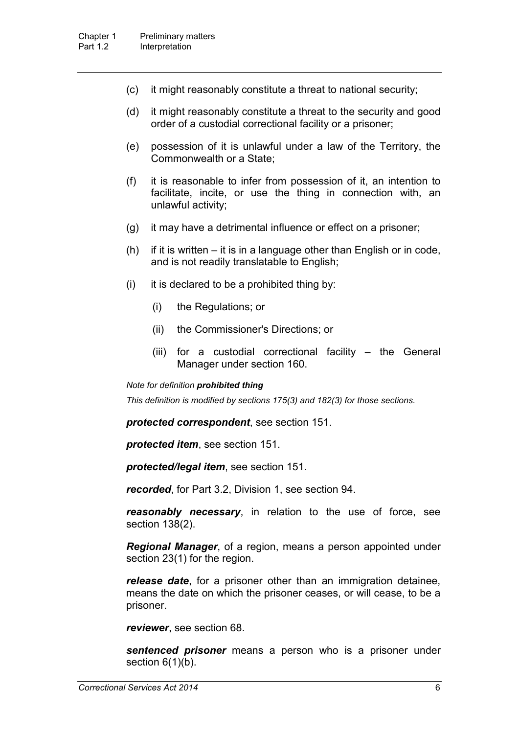- (c) it might reasonably constitute a threat to national security;
- (d) it might reasonably constitute a threat to the security and good order of a custodial correctional facility or a prisoner;
- (e) possession of it is unlawful under a law of the Territory, the Commonwealth or a State;
- (f) it is reasonable to infer from possession of it, an intention to facilitate, incite, or use the thing in connection with, an unlawful activity;
- (g) it may have a detrimental influence or effect on a prisoner;
- (h) if it is written it is in a language other than English or in code, and is not readily translatable to English;
- (i) it is declared to be a prohibited thing by:
	- (i) the Regulations; or
	- (ii) the Commissioner's Directions; or
	- (iii) for a custodial correctional facility the General Manager under section 160.

#### *Note for definition prohibited thing*

*This definition is modified by sections 175(3) and 182(3) for those sections.*

*protected correspondent*, see section 151.

*protected item*, see section 151.

*protected/legal item*, see section 151.

*recorded*, for Part 3.2, Division 1, see section 94.

*reasonably necessary*, in relation to the use of force, see section 138(2).

*Regional Manager*, of a region, means a person appointed under section 23(1) for the region.

*release date*, for a prisoner other than an immigration detainee, means the date on which the prisoner ceases, or will cease, to be a prisoner.

*reviewer*, see section 68.

*sentenced prisoner* means a person who is a prisoner under section  $6(1)(b)$ .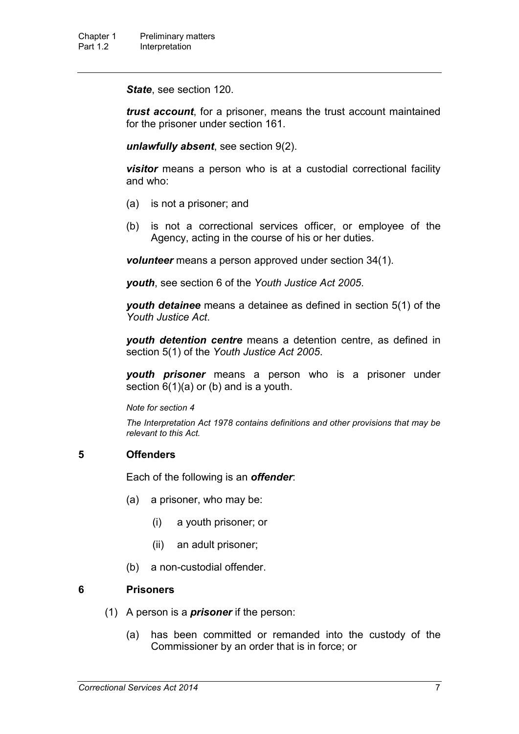*State*, see section 120.

*trust account*, for a prisoner, means the trust account maintained for the prisoner under section 161.

*unlawfully absent*, see section 9(2).

*visitor* means a person who is at a custodial correctional facility and who:

- (a) is not a prisoner; and
- (b) is not a correctional services officer, or employee of the Agency, acting in the course of his or her duties.

*volunteer* means a person approved under section 34(1).

*youth*, see section 6 of the *Youth Justice Act 2005*.

*youth detainee* means a detainee as defined in section 5(1) of the *Youth Justice Act*.

*youth detention centre* means a detention centre, as defined in section 5(1) of the *Youth Justice Act 2005*.

*youth prisoner* means a person who is a prisoner under section  $6(1)(a)$  or (b) and is a youth.

*Note for section 4*

*The Interpretation Act 1978 contains definitions and other provisions that may be relevant to this Act.*

### **5 Offenders**

Each of the following is an *offender*:

- (a) a prisoner, who may be:
	- (i) a youth prisoner; or
	- (ii) an adult prisoner;
- (b) a non-custodial offender.

### **6 Prisoners**

- (1) A person is a *prisoner* if the person:
	- (a) has been committed or remanded into the custody of the Commissioner by an order that is in force; or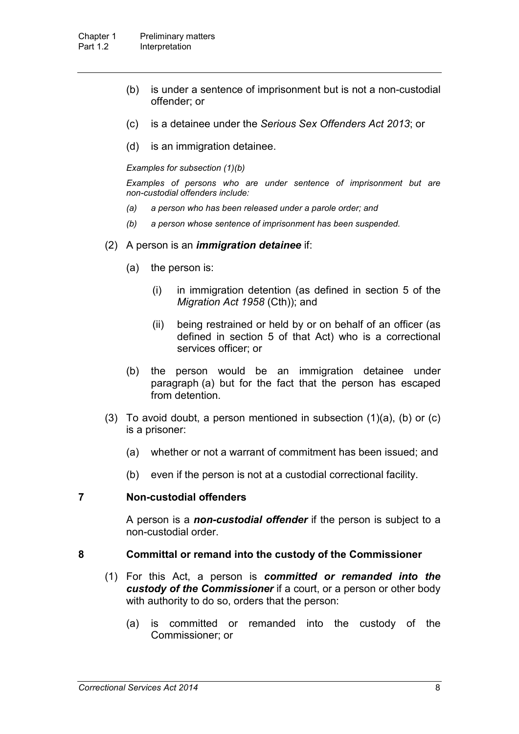- (b) is under a sentence of imprisonment but is not a non-custodial offender; or
- (c) is a detainee under the *Serious Sex Offenders Act 2013*; or
- (d) is an immigration detainee.

*Examples for subsection (1)(b)*

*Examples of persons who are under sentence of imprisonment but are non-custodial offenders include:*

- *(a) a person who has been released under a parole order; and*
- *(b) a person whose sentence of imprisonment has been suspended.*
- (2) A person is an *immigration detainee* if:
	- (a) the person is:
		- (i) in immigration detention (as defined in section 5 of the *Migration Act 1958* (Cth)); and
		- (ii) being restrained or held by or on behalf of an officer (as defined in section 5 of that Act) who is a correctional services officer; or
	- (b) the person would be an immigration detainee under paragraph (a) but for the fact that the person has escaped from detention.
- (3) To avoid doubt, a person mentioned in subsection  $(1)(a)$ ,  $(b)$  or  $(c)$ is a prisoner:
	- (a) whether or not a warrant of commitment has been issued; and
	- (b) even if the person is not at a custodial correctional facility.

### **7 Non-custodial offenders**

A person is a *non-custodial offender* if the person is subject to a non-custodial order.

### **8 Committal or remand into the custody of the Commissioner**

- (1) For this Act, a person is *committed or remanded into the custody of the Commissioner* if a court, or a person or other body with authority to do so, orders that the person:
	- (a) is committed or remanded into the custody of the Commissioner; or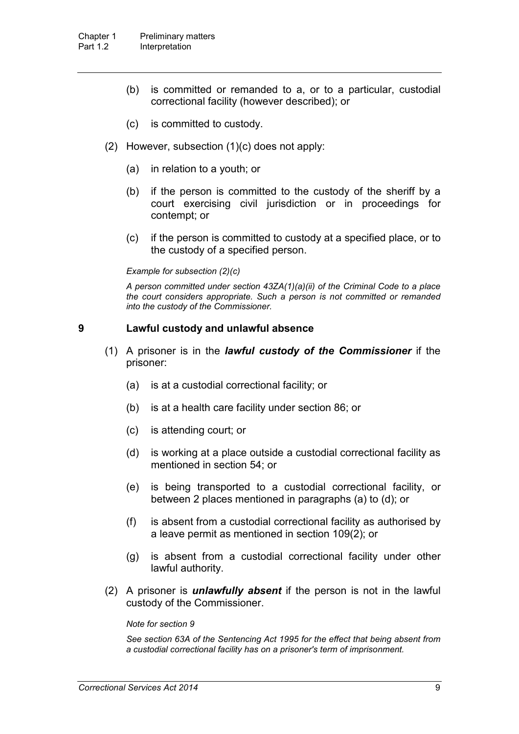- (b) is committed or remanded to a, or to a particular, custodial correctional facility (however described); or
- (c) is committed to custody.
- (2) However, subsection (1)(c) does not apply:
	- (a) in relation to a youth; or
	- (b) if the person is committed to the custody of the sheriff by a court exercising civil jurisdiction or in proceedings for contempt; or
	- (c) if the person is committed to custody at a specified place, or to the custody of a specified person.

#### *Example for subsection (2)(c)*

*A person committed under section 43ZA(1)(a)(ii) of the Criminal Code to a place the court considers appropriate. Such a person is not committed or remanded into the custody of the Commissioner.* 

#### **9 Lawful custody and unlawful absence**

- (1) A prisoner is in the *lawful custody of the Commissioner* if the prisoner:
	- (a) is at a custodial correctional facility; or
	- (b) is at a health care facility under section 86; or
	- (c) is attending court; or
	- (d) is working at a place outside a custodial correctional facility as mentioned in section 54; or
	- (e) is being transported to a custodial correctional facility, or between 2 places mentioned in paragraphs (a) to (d); or
	- (f) is absent from a custodial correctional facility as authorised by a leave permit as mentioned in section 109(2); or
	- (g) is absent from a custodial correctional facility under other lawful authority.
- (2) A prisoner is *unlawfully absent* if the person is not in the lawful custody of the Commissioner.

#### *Note for section 9*

*See section 63A of the Sentencing Act 1995 for the effect that being absent from a custodial correctional facility has on a prisoner's term of imprisonment.*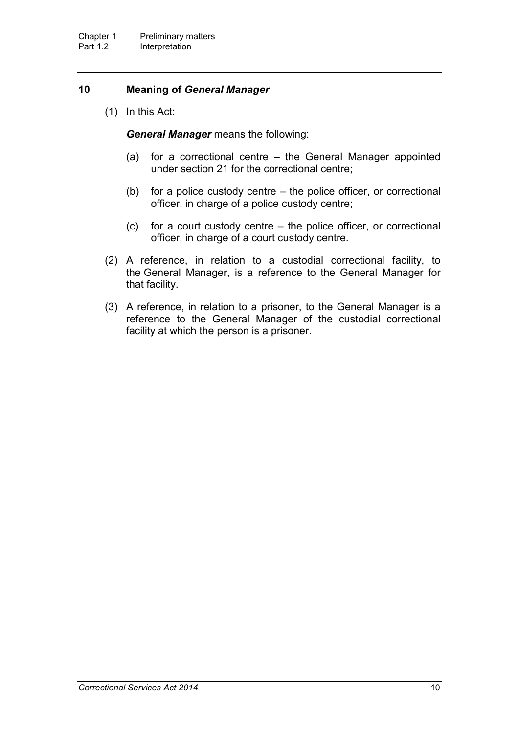### **10 Meaning of** *General Manager*

(1) In this Act:

*General Manager* means the following:

- (a) for a correctional centre the General Manager appointed under section 21 for the correctional centre;
- (b) for a police custody centre the police officer, or correctional officer, in charge of a police custody centre;
- (c) for a court custody centre the police officer, or correctional officer, in charge of a court custody centre.
- (2) A reference, in relation to a custodial correctional facility, to the General Manager, is a reference to the General Manager for that facility.
- (3) A reference, in relation to a prisoner, to the General Manager is a reference to the General Manager of the custodial correctional facility at which the person is a prisoner.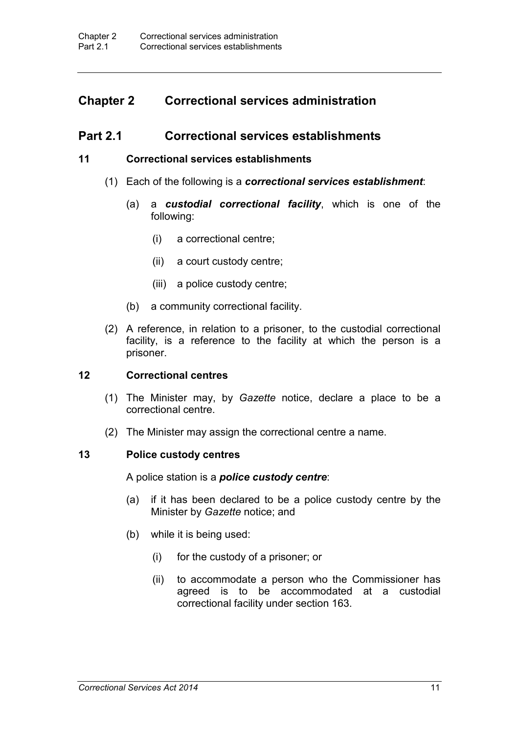## **Chapter 2 Correctional services administration**

### **Part 2.1 Correctional services establishments**

#### **11 Correctional services establishments**

- (1) Each of the following is a *correctional services establishment*:
	- (a) a *custodial correctional facility*, which is one of the following:
		- (i) a correctional centre;
		- (ii) a court custody centre;
		- (iii) a police custody centre;
	- (b) a community correctional facility.
- (2) A reference, in relation to a prisoner, to the custodial correctional facility, is a reference to the facility at which the person is a prisoner.

#### **12 Correctional centres**

- (1) The Minister may, by *Gazette* notice, declare a place to be a correctional centre.
- (2) The Minister may assign the correctional centre a name.

#### **13 Police custody centres**

A police station is a *police custody centre*:

- (a) if it has been declared to be a police custody centre by the Minister by *Gazette* notice; and
- (b) while it is being used:
	- (i) for the custody of a prisoner; or
	- (ii) to accommodate a person who the Commissioner has agreed is to be accommodated at a custodial correctional facility under section 163.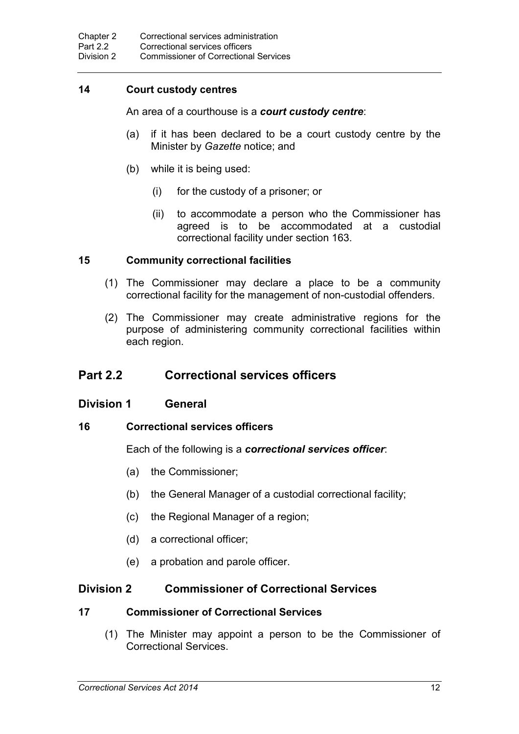## **14 Court custody centres**

An area of a courthouse is a *court custody centre*:

- (a) if it has been declared to be a court custody centre by the Minister by *Gazette* notice; and
- (b) while it is being used:
	- (i) for the custody of a prisoner; or
	- (ii) to accommodate a person who the Commissioner has agreed is to be accommodated at a custodial correctional facility under section 163.

### **15 Community correctional facilities**

- (1) The Commissioner may declare a place to be a community correctional facility for the management of non-custodial offenders.
- (2) The Commissioner may create administrative regions for the purpose of administering community correctional facilities within each region.

## **Part 2.2 Correctional services officers**

### **Division 1 General**

### **16 Correctional services officers**

Each of the following is a *correctional services officer*:

- (a) the Commissioner;
- (b) the General Manager of a custodial correctional facility;
- (c) the Regional Manager of a region;
- (d) a correctional officer;
- (e) a probation and parole officer.

## **Division 2 Commissioner of Correctional Services**

### **17 Commissioner of Correctional Services**

(1) The Minister may appoint a person to be the Commissioner of Correctional Services.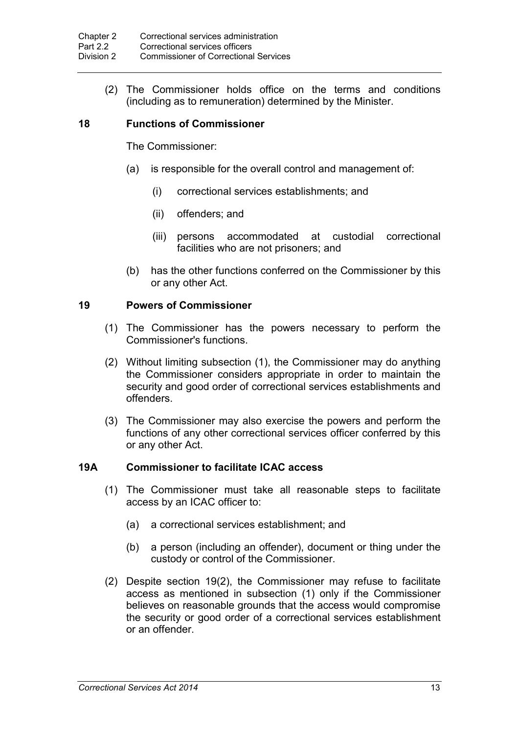(2) The Commissioner holds office on the terms and conditions (including as to remuneration) determined by the Minister.

### **18 Functions of Commissioner**

The Commissioner:

- (a) is responsible for the overall control and management of:
	- (i) correctional services establishments; and
	- (ii) offenders; and
	- (iii) persons accommodated at custodial correctional facilities who are not prisoners; and
- (b) has the other functions conferred on the Commissioner by this or any other Act.

### **19 Powers of Commissioner**

- (1) The Commissioner has the powers necessary to perform the Commissioner's functions.
- (2) Without limiting subsection (1), the Commissioner may do anything the Commissioner considers appropriate in order to maintain the security and good order of correctional services establishments and offenders.
- (3) The Commissioner may also exercise the powers and perform the functions of any other correctional services officer conferred by this or any other Act.

### **19A Commissioner to facilitate ICAC access**

- (1) The Commissioner must take all reasonable steps to facilitate access by an ICAC officer to:
	- (a) a correctional services establishment; and
	- (b) a person (including an offender), document or thing under the custody or control of the Commissioner.
- (2) Despite section 19(2), the Commissioner may refuse to facilitate access as mentioned in subsection (1) only if the Commissioner believes on reasonable grounds that the access would compromise the security or good order of a correctional services establishment or an offender.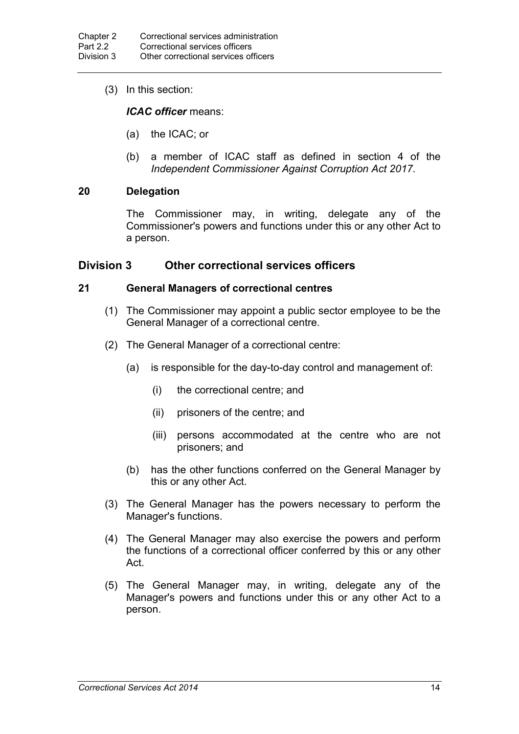(3) In this section:

*ICAC officer* means:

- (a) the ICAC; or
- (b) a member of ICAC staff as defined in section 4 of the *Independent Commissioner Against Corruption Act 2017*.

### **20 Delegation**

The Commissioner may, in writing, delegate any of the Commissioner's powers and functions under this or any other Act to a person.

### **Division 3 Other correctional services officers**

### **21 General Managers of correctional centres**

- (1) The Commissioner may appoint a public sector employee to be the General Manager of a correctional centre.
- (2) The General Manager of a correctional centre:
	- (a) is responsible for the day-to-day control and management of:
		- (i) the correctional centre; and
		- (ii) prisoners of the centre; and
		- (iii) persons accommodated at the centre who are not prisoners; and
	- (b) has the other functions conferred on the General Manager by this or any other Act.
- (3) The General Manager has the powers necessary to perform the Manager's functions.
- (4) The General Manager may also exercise the powers and perform the functions of a correctional officer conferred by this or any other Act.
- (5) The General Manager may, in writing, delegate any of the Manager's powers and functions under this or any other Act to a person.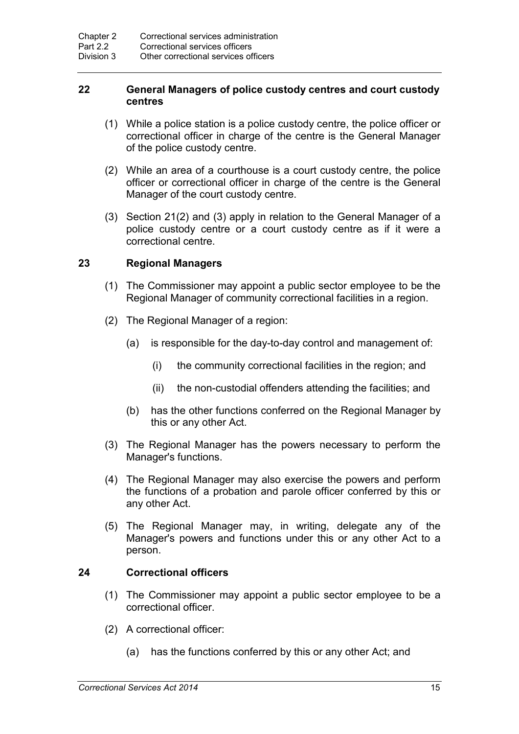### **22 General Managers of police custody centres and court custody centres**

- (1) While a police station is a police custody centre, the police officer or correctional officer in charge of the centre is the General Manager of the police custody centre.
- (2) While an area of a courthouse is a court custody centre, the police officer or correctional officer in charge of the centre is the General Manager of the court custody centre.
- (3) Section 21(2) and (3) apply in relation to the General Manager of a police custody centre or a court custody centre as if it were a correctional centre.

### **23 Regional Managers**

- (1) The Commissioner may appoint a public sector employee to be the Regional Manager of community correctional facilities in a region.
- (2) The Regional Manager of a region:
	- (a) is responsible for the day-to-day control and management of:
		- (i) the community correctional facilities in the region; and
		- (ii) the non-custodial offenders attending the facilities; and
	- (b) has the other functions conferred on the Regional Manager by this or any other Act.
- (3) The Regional Manager has the powers necessary to perform the Manager's functions.
- (4) The Regional Manager may also exercise the powers and perform the functions of a probation and parole officer conferred by this or any other Act.
- (5) The Regional Manager may, in writing, delegate any of the Manager's powers and functions under this or any other Act to a person.

### **24 Correctional officers**

- (1) The Commissioner may appoint a public sector employee to be a correctional officer.
- (2) A correctional officer:
	- (a) has the functions conferred by this or any other Act; and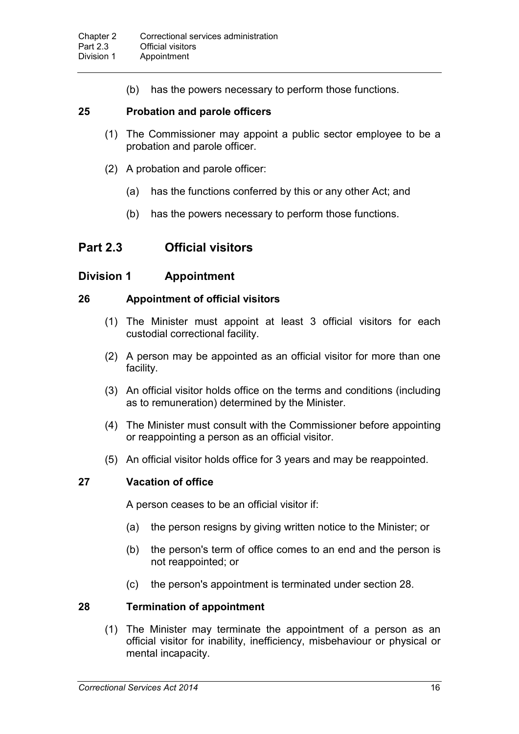(b) has the powers necessary to perform those functions.

### **25 Probation and parole officers**

- (1) The Commissioner may appoint a public sector employee to be a probation and parole officer.
- (2) A probation and parole officer:
	- (a) has the functions conferred by this or any other Act; and
	- (b) has the powers necessary to perform those functions.

## **Part 2.3 Official visitors**

### **Division 1 Appointment**

### **26 Appointment of official visitors**

- (1) The Minister must appoint at least 3 official visitors for each custodial correctional facility.
- (2) A person may be appointed as an official visitor for more than one facility.
- (3) An official visitor holds office on the terms and conditions (including as to remuneration) determined by the Minister.
- (4) The Minister must consult with the Commissioner before appointing or reappointing a person as an official visitor.
- (5) An official visitor holds office for 3 years and may be reappointed.

### **27 Vacation of office**

A person ceases to be an official visitor if:

- (a) the person resigns by giving written notice to the Minister; or
- (b) the person's term of office comes to an end and the person is not reappointed; or
- (c) the person's appointment is terminated under section 28.

### **28 Termination of appointment**

(1) The Minister may terminate the appointment of a person as an official visitor for inability, inefficiency, misbehaviour or physical or mental incapacity.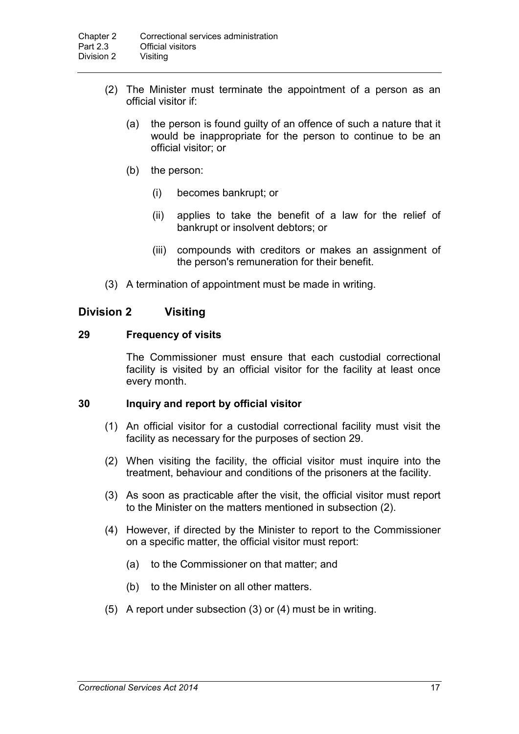- (2) The Minister must terminate the appointment of a person as an official visitor if:
	- (a) the person is found guilty of an offence of such a nature that it would be inappropriate for the person to continue to be an official visitor; or
	- (b) the person:
		- (i) becomes bankrupt; or
		- (ii) applies to take the benefit of a law for the relief of bankrupt or insolvent debtors; or
		- (iii) compounds with creditors or makes an assignment of the person's remuneration for their benefit.
- (3) A termination of appointment must be made in writing.

### **Division 2 Visiting**

#### **29 Frequency of visits**

The Commissioner must ensure that each custodial correctional facility is visited by an official visitor for the facility at least once every month.

#### **30 Inquiry and report by official visitor**

- (1) An official visitor for a custodial correctional facility must visit the facility as necessary for the purposes of section 29.
- (2) When visiting the facility, the official visitor must inquire into the treatment, behaviour and conditions of the prisoners at the facility.
- (3) As soon as practicable after the visit, the official visitor must report to the Minister on the matters mentioned in subsection (2).
- (4) However, if directed by the Minister to report to the Commissioner on a specific matter, the official visitor must report:
	- (a) to the Commissioner on that matter; and
	- (b) to the Minister on all other matters.
- (5) A report under subsection (3) or (4) must be in writing.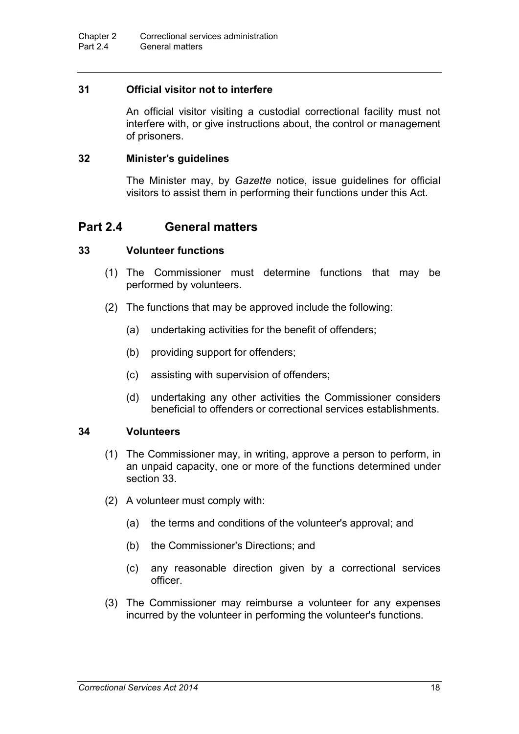### **31 Official visitor not to interfere**

An official visitor visiting a custodial correctional facility must not interfere with, or give instructions about, the control or management of prisoners.

### **32 Minister's guidelines**

The Minister may, by *Gazette* notice, issue guidelines for official visitors to assist them in performing their functions under this Act.

## **Part 2.4 General matters**

### **33 Volunteer functions**

- (1) The Commissioner must determine functions that may be performed by volunteers.
- (2) The functions that may be approved include the following:
	- (a) undertaking activities for the benefit of offenders;
	- (b) providing support for offenders;
	- (c) assisting with supervision of offenders;
	- (d) undertaking any other activities the Commissioner considers beneficial to offenders or correctional services establishments.

### **34 Volunteers**

- (1) The Commissioner may, in writing, approve a person to perform, in an unpaid capacity, one or more of the functions determined under section 33.
- (2) A volunteer must comply with:
	- (a) the terms and conditions of the volunteer's approval; and
	- (b) the Commissioner's Directions; and
	- (c) any reasonable direction given by a correctional services officer.
- (3) The Commissioner may reimburse a volunteer for any expenses incurred by the volunteer in performing the volunteer's functions.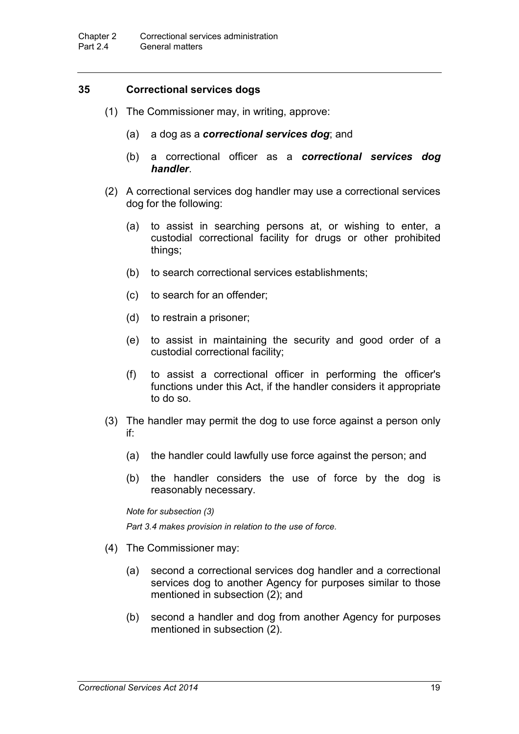### **35 Correctional services dogs**

- (1) The Commissioner may, in writing, approve:
	- (a) a dog as a *correctional services dog*; and
	- (b) a correctional officer as a *correctional services dog handler*.
- (2) A correctional services dog handler may use a correctional services dog for the following:
	- (a) to assist in searching persons at, or wishing to enter, a custodial correctional facility for drugs or other prohibited things;
	- (b) to search correctional services establishments;
	- (c) to search for an offender;
	- (d) to restrain a prisoner;
	- (e) to assist in maintaining the security and good order of a custodial correctional facility;
	- (f) to assist a correctional officer in performing the officer's functions under this Act, if the handler considers it appropriate to do so.
- (3) The handler may permit the dog to use force against a person only if:
	- (a) the handler could lawfully use force against the person; and
	- (b) the handler considers the use of force by the dog is reasonably necessary.

*Note for subsection (3)*

*Part 3.4 makes provision in relation to the use of force.*

- (4) The Commissioner may:
	- (a) second a correctional services dog handler and a correctional services dog to another Agency for purposes similar to those mentioned in subsection (2); and
	- (b) second a handler and dog from another Agency for purposes mentioned in subsection (2).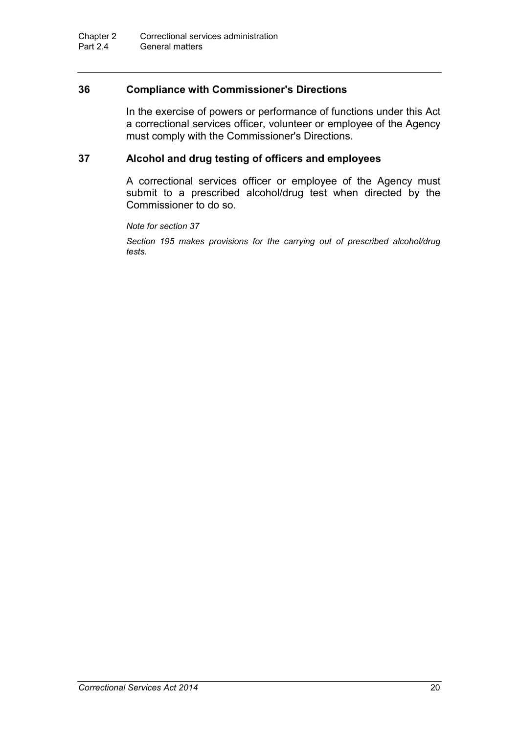### **36 Compliance with Commissioner's Directions**

In the exercise of powers or performance of functions under this Act a correctional services officer, volunteer or employee of the Agency must comply with the Commissioner's Directions.

### **37 Alcohol and drug testing of officers and employees**

A correctional services officer or employee of the Agency must submit to a prescribed alcohol/drug test when directed by the Commissioner to do so.

*Note for section 37*

*Section 195 makes provisions for the carrying out of prescribed alcohol/drug tests.*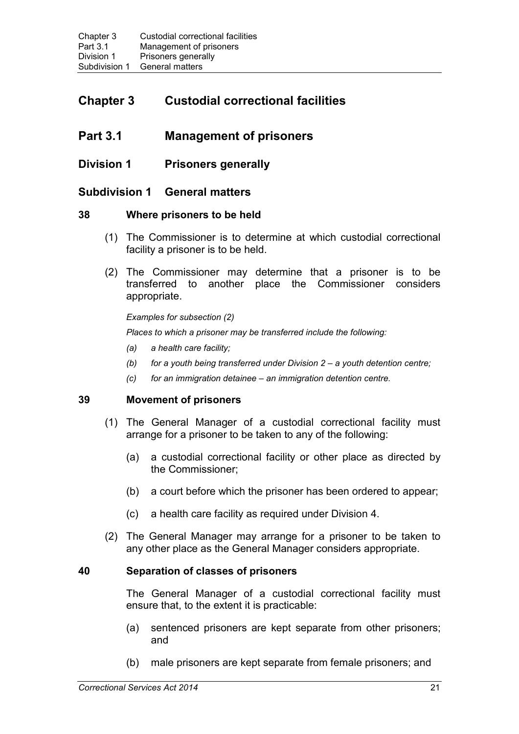# **Chapter 3 Custodial correctional facilities**

## **Part 3.1 Management of prisoners**

### **Division 1 Prisoners generally**

### **Subdivision 1 General matters**

### **38 Where prisoners to be held**

- (1) The Commissioner is to determine at which custodial correctional facility a prisoner is to be held.
- (2) The Commissioner may determine that a prisoner is to be transferred to another place the Commissioner considers appropriate.

*Examples for subsection (2)*

*Places to which a prisoner may be transferred include the following:*

- *(a) a health care facility;*
- *(b) for a youth being transferred under Division 2 – a youth detention centre;*
- *(c) for an immigration detainee – an immigration detention centre.*

### **39 Movement of prisoners**

- (1) The General Manager of a custodial correctional facility must arrange for a prisoner to be taken to any of the following:
	- (a) a custodial correctional facility or other place as directed by the Commissioner;
	- (b) a court before which the prisoner has been ordered to appear;
	- (c) a health care facility as required under Division 4.
- (2) The General Manager may arrange for a prisoner to be taken to any other place as the General Manager considers appropriate.

### **40 Separation of classes of prisoners**

The General Manager of a custodial correctional facility must ensure that, to the extent it is practicable:

- (a) sentenced prisoners are kept separate from other prisoners; and
- (b) male prisoners are kept separate from female prisoners; and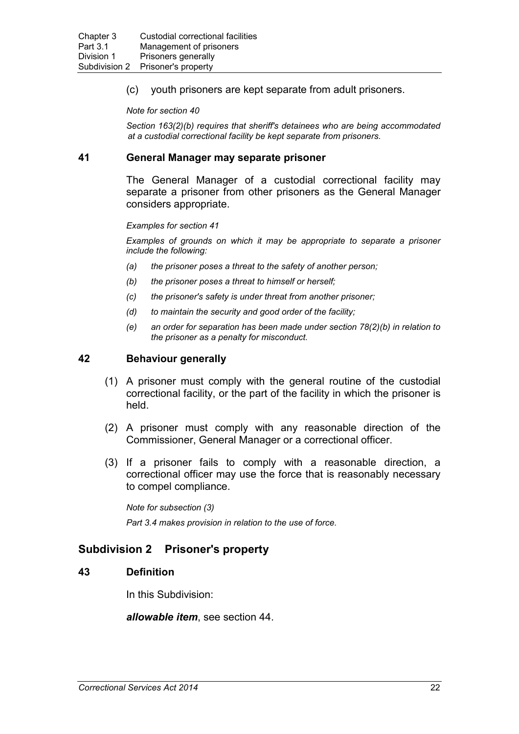(c) youth prisoners are kept separate from adult prisoners.

*Note for section 40*

*Section 163(2)(b) requires that sheriff's detainees who are being accommodated at a custodial correctional facility be kept separate from prisoners.*

#### **41 General Manager may separate prisoner**

The General Manager of a custodial correctional facility may separate a prisoner from other prisoners as the General Manager considers appropriate.

#### *Examples for section 41*

*Examples of grounds on which it may be appropriate to separate a prisoner include the following:*

- *(a) the prisoner poses a threat to the safety of another person;*
- *(b) the prisoner poses a threat to himself or herself;*
- *(c) the prisoner's safety is under threat from another prisoner;*
- *(d) to maintain the security and good order of the facility;*
- *(e) an order for separation has been made under section 78(2)(b) in relation to the prisoner as a penalty for misconduct.*

### **42 Behaviour generally**

- (1) A prisoner must comply with the general routine of the custodial correctional facility, or the part of the facility in which the prisoner is held.
- (2) A prisoner must comply with any reasonable direction of the Commissioner, General Manager or a correctional officer.
- (3) If a prisoner fails to comply with a reasonable direction, a correctional officer may use the force that is reasonably necessary to compel compliance.

*Note for subsection (3)*

*Part 3.4 makes provision in relation to the use of force.*

### **Subdivision 2 Prisoner's property**

#### **43 Definition**

In this Subdivision:

*allowable item*, see section 44.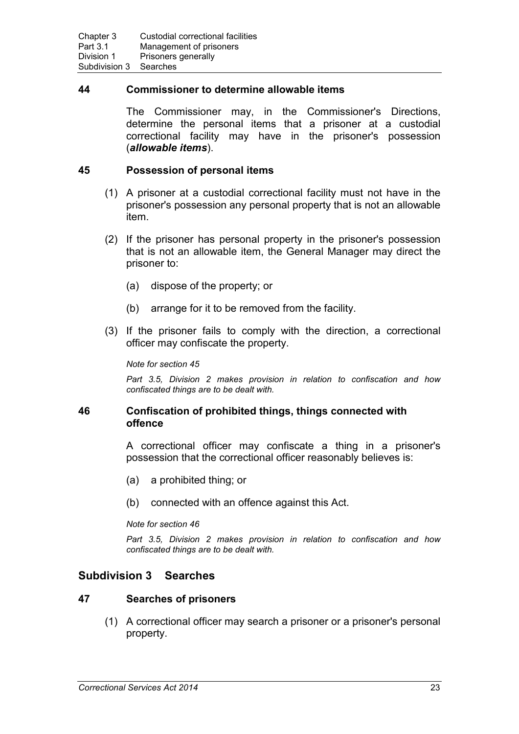#### **44 Commissioner to determine allowable items**

The Commissioner may, in the Commissioner's Directions, determine the personal items that a prisoner at a custodial correctional facility may have in the prisoner's possession (*allowable items*).

#### **45 Possession of personal items**

- (1) A prisoner at a custodial correctional facility must not have in the prisoner's possession any personal property that is not an allowable item.
- (2) If the prisoner has personal property in the prisoner's possession that is not an allowable item, the General Manager may direct the prisoner to:
	- (a) dispose of the property; or
	- (b) arrange for it to be removed from the facility.
- (3) If the prisoner fails to comply with the direction, a correctional officer may confiscate the property.

#### *Note for section 45*

*Part 3.5, Division 2 makes provision in relation to confiscation and how confiscated things are to be dealt with.*

#### **46 Confiscation of prohibited things, things connected with offence**

A correctional officer may confiscate a thing in a prisoner's possession that the correctional officer reasonably believes is:

- (a) a prohibited thing; or
- (b) connected with an offence against this Act.

*Note for section 46*

*Part 3.5, Division 2 makes provision in relation to confiscation and how confiscated things are to be dealt with.*

### **Subdivision 3 Searches**

#### **47 Searches of prisoners**

(1) A correctional officer may search a prisoner or a prisoner's personal property.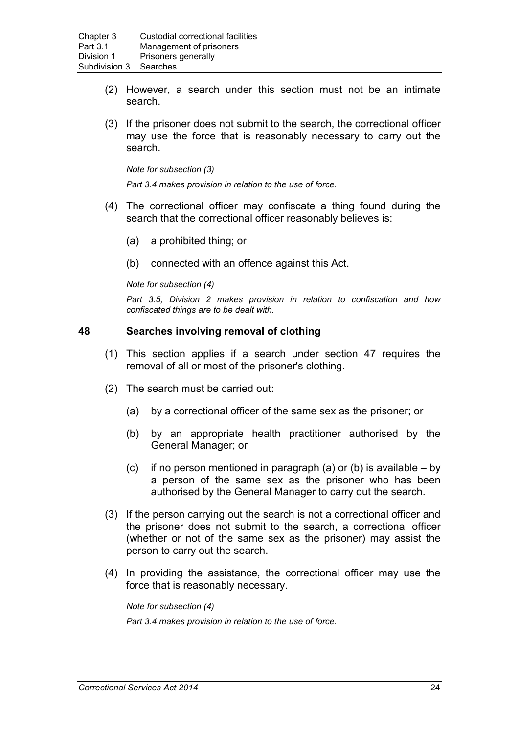- (2) However, a search under this section must not be an intimate search.
- (3) If the prisoner does not submit to the search, the correctional officer may use the force that is reasonably necessary to carry out the search.

*Note for subsection (3)*

*Part 3.4 makes provision in relation to the use of force.*

- (4) The correctional officer may confiscate a thing found during the search that the correctional officer reasonably believes is:
	- (a) a prohibited thing; or
	- (b) connected with an offence against this Act.

#### *Note for subsection (4)*

*Part 3.5, Division 2 makes provision in relation to confiscation and how confiscated things are to be dealt with.*

#### **48 Searches involving removal of clothing**

- (1) This section applies if a search under section 47 requires the removal of all or most of the prisoner's clothing.
- (2) The search must be carried out:
	- (a) by a correctional officer of the same sex as the prisoner; or
	- (b) by an appropriate health practitioner authorised by the General Manager; or
	- (c) if no person mentioned in paragraph (a) or (b) is available  $-$  by a person of the same sex as the prisoner who has been authorised by the General Manager to carry out the search.
- (3) If the person carrying out the search is not a correctional officer and the prisoner does not submit to the search, a correctional officer (whether or not of the same sex as the prisoner) may assist the person to carry out the search.
- (4) In providing the assistance, the correctional officer may use the force that is reasonably necessary.

*Note for subsection (4)*

*Part 3.4 makes provision in relation to the use of force.*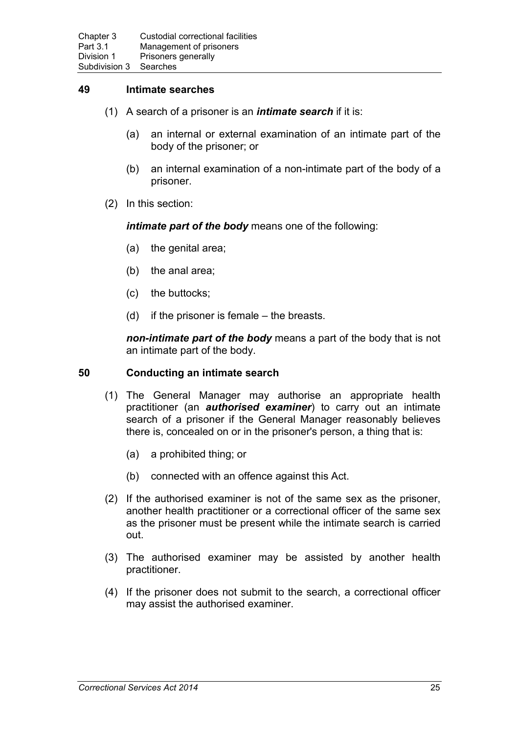### **49 Intimate searches**

- (1) A search of a prisoner is an *intimate search* if it is:
	- (a) an internal or external examination of an intimate part of the body of the prisoner; or
	- (b) an internal examination of a non-intimate part of the body of a prisoner.
- (2) In this section:

*intimate part of the body* means one of the following:

- (a) the genital area;
- (b) the anal area;
- (c) the buttocks;
- (d) if the prisoner is female the breasts.

*non-intimate part of the body* means a part of the body that is not an intimate part of the body.

#### **50 Conducting an intimate search**

- (1) The General Manager may authorise an appropriate health practitioner (an *authorised examiner*) to carry out an intimate search of a prisoner if the General Manager reasonably believes there is, concealed on or in the prisoner's person, a thing that is:
	- (a) a prohibited thing; or
	- (b) connected with an offence against this Act.
- (2) If the authorised examiner is not of the same sex as the prisoner, another health practitioner or a correctional officer of the same sex as the prisoner must be present while the intimate search is carried out.
- (3) The authorised examiner may be assisted by another health practitioner.
- (4) If the prisoner does not submit to the search, a correctional officer may assist the authorised examiner.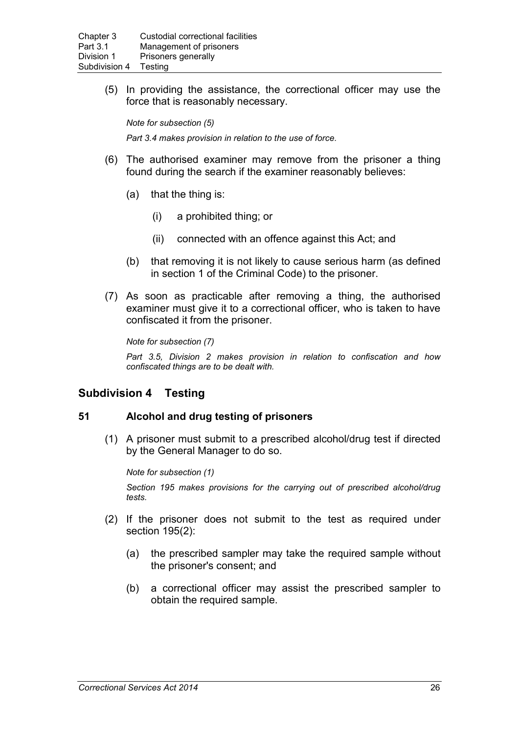(5) In providing the assistance, the correctional officer may use the force that is reasonably necessary.

*Note for subsection (5) Part 3.4 makes provision in relation to the use of force.*

- (6) The authorised examiner may remove from the prisoner a thing found during the search if the examiner reasonably believes:
	- (a) that the thing is:
		- (i) a prohibited thing; or
		- (ii) connected with an offence against this Act; and
	- (b) that removing it is not likely to cause serious harm (as defined in section 1 of the Criminal Code) to the prisoner.
- (7) As soon as practicable after removing a thing, the authorised examiner must give it to a correctional officer, who is taken to have confiscated it from the prisoner.

*Note for subsection (7)*

*Part 3.5, Division 2 makes provision in relation to confiscation and how confiscated things are to be dealt with.*

### **Subdivision 4 Testing**

### **51 Alcohol and drug testing of prisoners**

(1) A prisoner must submit to a prescribed alcohol/drug test if directed by the General Manager to do so.

*Note for subsection (1)*

*Section 195 makes provisions for the carrying out of prescribed alcohol/drug tests.*

- (2) If the prisoner does not submit to the test as required under section 195(2):
	- (a) the prescribed sampler may take the required sample without the prisoner's consent; and
	- (b) a correctional officer may assist the prescribed sampler to obtain the required sample.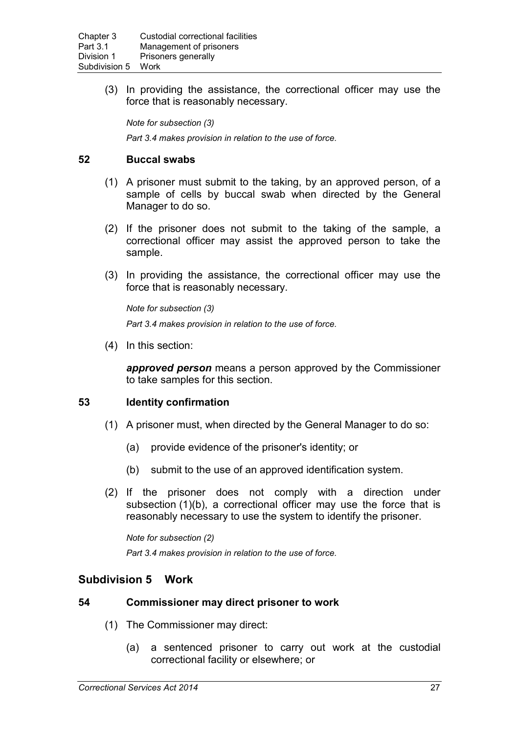(3) In providing the assistance, the correctional officer may use the force that is reasonably necessary.

*Note for subsection (3) Part 3.4 makes provision in relation to the use of force.*

# **52 Buccal swabs**

- (1) A prisoner must submit to the taking, by an approved person, of a sample of cells by buccal swab when directed by the General Manager to do so.
- (2) If the prisoner does not submit to the taking of the sample, a correctional officer may assist the approved person to take the sample.
- (3) In providing the assistance, the correctional officer may use the force that is reasonably necessary.

*Note for subsection (3) Part 3.4 makes provision in relation to the use of force.*

(4) In this section:

*approved person* means a person approved by the Commissioner to take samples for this section.

# **53 Identity confirmation**

- (1) A prisoner must, when directed by the General Manager to do so:
	- (a) provide evidence of the prisoner's identity; or
	- (b) submit to the use of an approved identification system.
- (2) If the prisoner does not comply with a direction under subsection (1)(b), a correctional officer may use the force that is reasonably necessary to use the system to identify the prisoner.

*Note for subsection (2) Part 3.4 makes provision in relation to the use of force.*

# **Subdivision 5 Work**

## **54 Commissioner may direct prisoner to work**

- (1) The Commissioner may direct:
	- (a) a sentenced prisoner to carry out work at the custodial correctional facility or elsewhere; or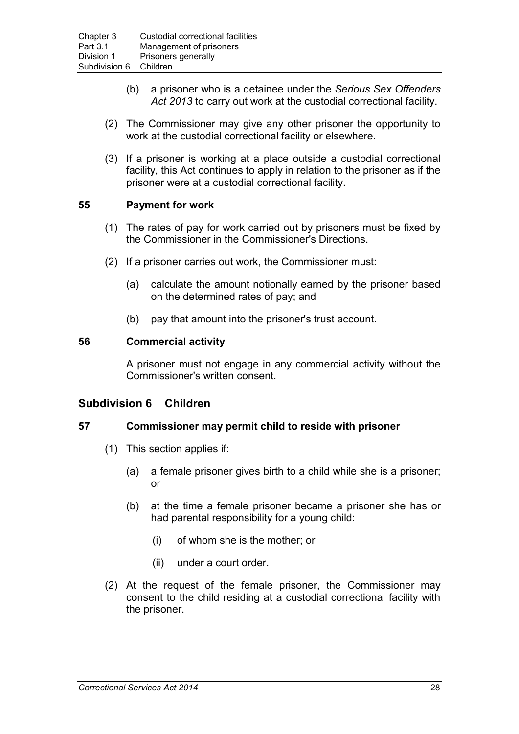- (b) a prisoner who is a detainee under the *Serious Sex Offenders Act 2013* to carry out work at the custodial correctional facility.
- (2) The Commissioner may give any other prisoner the opportunity to work at the custodial correctional facility or elsewhere.
- (3) If a prisoner is working at a place outside a custodial correctional facility, this Act continues to apply in relation to the prisoner as if the prisoner were at a custodial correctional facility.

## **55 Payment for work**

- (1) The rates of pay for work carried out by prisoners must be fixed by the Commissioner in the Commissioner's Directions.
- (2) If a prisoner carries out work, the Commissioner must:
	- (a) calculate the amount notionally earned by the prisoner based on the determined rates of pay; and
	- (b) pay that amount into the prisoner's trust account.

## **56 Commercial activity**

A prisoner must not engage in any commercial activity without the Commissioner's written consent.

## **Subdivision 6 Children**

## **57 Commissioner may permit child to reside with prisoner**

- (1) This section applies if:
	- (a) a female prisoner gives birth to a child while she is a prisoner; or
	- (b) at the time a female prisoner became a prisoner she has or had parental responsibility for a young child:
		- (i) of whom she is the mother; or
		- (ii) under a court order.
- (2) At the request of the female prisoner, the Commissioner may consent to the child residing at a custodial correctional facility with the prisoner.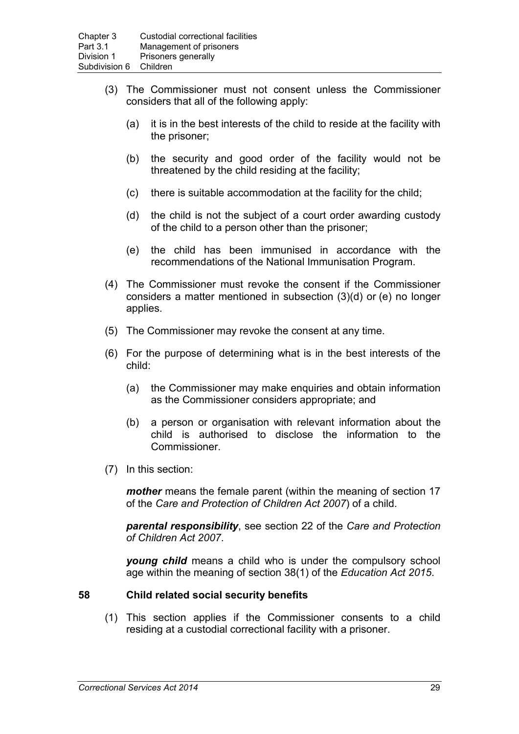- (3) The Commissioner must not consent unless the Commissioner considers that all of the following apply:
	- (a) it is in the best interests of the child to reside at the facility with the prisoner;
	- (b) the security and good order of the facility would not be threatened by the child residing at the facility;
	- (c) there is suitable accommodation at the facility for the child;
	- (d) the child is not the subject of a court order awarding custody of the child to a person other than the prisoner;
	- (e) the child has been immunised in accordance with the recommendations of the National Immunisation Program.
- (4) The Commissioner must revoke the consent if the Commissioner considers a matter mentioned in subsection (3)(d) or (e) no longer applies.
- (5) The Commissioner may revoke the consent at any time.
- (6) For the purpose of determining what is in the best interests of the child:
	- (a) the Commissioner may make enquiries and obtain information as the Commissioner considers appropriate; and
	- (b) a person or organisation with relevant information about the child is authorised to disclose the information to the Commissioner.
- (7) In this section:

*mother* means the female parent (within the meaning of section 17 of the *Care and Protection of Children Act 2007*) of a child.

*parental responsibility*, see section 22 of the *Care and Protection of Children Act 2007*.

*young child* means a child who is under the compulsory school age within the meaning of section 38(1) of the *Education Act 2015*.

# **58 Child related social security benefits**

(1) This section applies if the Commissioner consents to a child residing at a custodial correctional facility with a prisoner.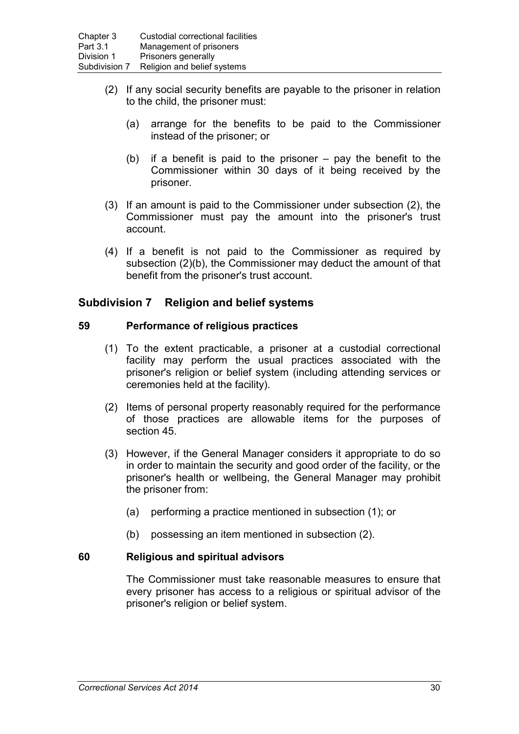- (2) If any social security benefits are payable to the prisoner in relation to the child, the prisoner must:
	- (a) arrange for the benefits to be paid to the Commissioner instead of the prisoner; or
	- (b) if a benefit is paid to the prisoner  $-$  pay the benefit to the Commissioner within 30 days of it being received by the prisoner.
- (3) If an amount is paid to the Commissioner under subsection (2), the Commissioner must pay the amount into the prisoner's trust account.
- (4) If a benefit is not paid to the Commissioner as required by subsection (2)(b), the Commissioner may deduct the amount of that benefit from the prisoner's trust account.

# **Subdivision 7 Religion and belief systems**

## **59 Performance of religious practices**

- (1) To the extent practicable, a prisoner at a custodial correctional facility may perform the usual practices associated with the prisoner's religion or belief system (including attending services or ceremonies held at the facility).
- (2) Items of personal property reasonably required for the performance of those practices are allowable items for the purposes of section 45.
- (3) However, if the General Manager considers it appropriate to do so in order to maintain the security and good order of the facility, or the prisoner's health or wellbeing, the General Manager may prohibit the prisoner from:
	- (a) performing a practice mentioned in subsection (1); or
	- (b) possessing an item mentioned in subsection (2).

## **60 Religious and spiritual advisors**

The Commissioner must take reasonable measures to ensure that every prisoner has access to a religious or spiritual advisor of the prisoner's religion or belief system.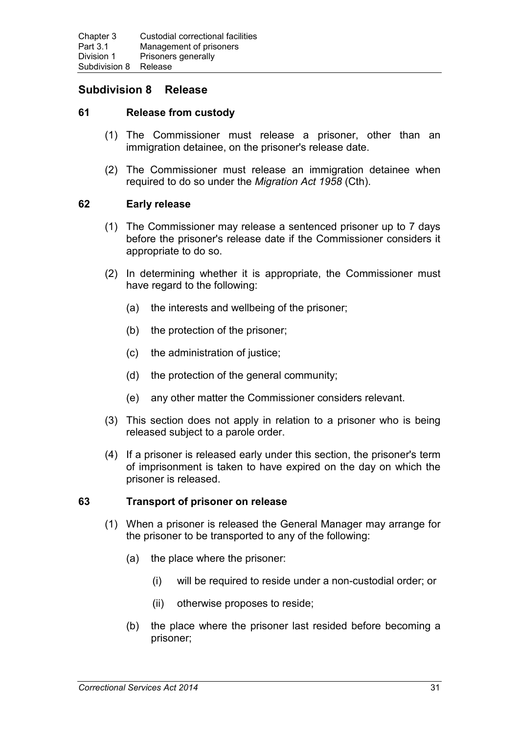# **Subdivision 8 Release**

## **61 Release from custody**

- (1) The Commissioner must release a prisoner, other than an immigration detainee, on the prisoner's release date.
- (2) The Commissioner must release an immigration detainee when required to do so under the *Migration Act 1958* (Cth).

## **62 Early release**

- (1) The Commissioner may release a sentenced prisoner up to 7 days before the prisoner's release date if the Commissioner considers it appropriate to do so.
- (2) In determining whether it is appropriate, the Commissioner must have regard to the following:
	- (a) the interests and wellbeing of the prisoner;
	- (b) the protection of the prisoner;
	- (c) the administration of justice;
	- (d) the protection of the general community;
	- (e) any other matter the Commissioner considers relevant.
- (3) This section does not apply in relation to a prisoner who is being released subject to a parole order.
- (4) If a prisoner is released early under this section, the prisoner's term of imprisonment is taken to have expired on the day on which the prisoner is released.

## **63 Transport of prisoner on release**

- (1) When a prisoner is released the General Manager may arrange for the prisoner to be transported to any of the following:
	- (a) the place where the prisoner:
		- (i) will be required to reside under a non-custodial order; or
		- (ii) otherwise proposes to reside;
	- (b) the place where the prisoner last resided before becoming a prisoner;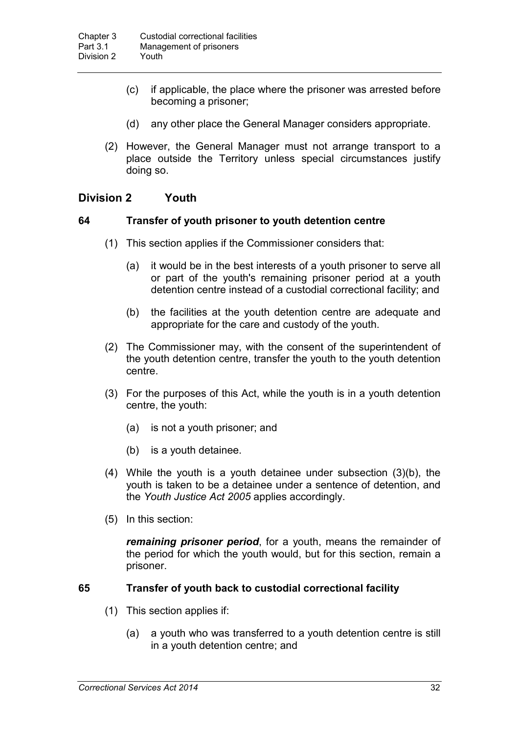- (c) if applicable, the place where the prisoner was arrested before becoming a prisoner;
- (d) any other place the General Manager considers appropriate.
- (2) However, the General Manager must not arrange transport to a place outside the Territory unless special circumstances justify doing so.

# **Division 2 Youth**

#### **64 Transfer of youth prisoner to youth detention centre**

- (1) This section applies if the Commissioner considers that:
	- (a) it would be in the best interests of a youth prisoner to serve all or part of the youth's remaining prisoner period at a youth detention centre instead of a custodial correctional facility; and
	- (b) the facilities at the youth detention centre are adequate and appropriate for the care and custody of the youth.
- (2) The Commissioner may, with the consent of the superintendent of the youth detention centre, transfer the youth to the youth detention centre.
- (3) For the purposes of this Act, while the youth is in a youth detention centre, the youth:
	- (a) is not a youth prisoner; and
	- (b) is a youth detainee.
- (4) While the youth is a youth detainee under subsection (3)(b), the youth is taken to be a detainee under a sentence of detention, and the *Youth Justice Act 2005* applies accordingly.
- (5) In this section:

*remaining prisoner period*, for a youth, means the remainder of the period for which the youth would, but for this section, remain a prisoner.

## **65 Transfer of youth back to custodial correctional facility**

- (1) This section applies if:
	- (a) a youth who was transferred to a youth detention centre is still in a youth detention centre; and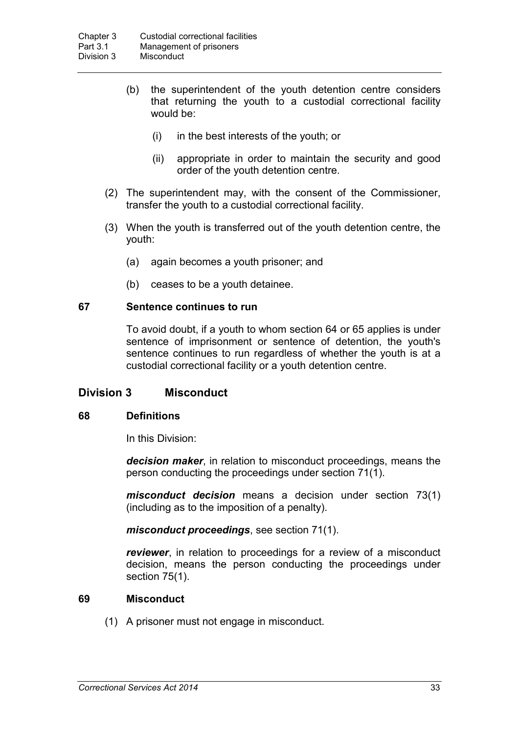- (b) the superintendent of the youth detention centre considers that returning the youth to a custodial correctional facility would be:
	- (i) in the best interests of the youth; or
	- (ii) appropriate in order to maintain the security and good order of the youth detention centre.
- (2) The superintendent may, with the consent of the Commissioner, transfer the youth to a custodial correctional facility.
- (3) When the youth is transferred out of the youth detention centre, the youth:
	- (a) again becomes a youth prisoner; and
	- (b) ceases to be a youth detainee.

## **67 Sentence continues to run**

To avoid doubt, if a youth to whom section 64 or 65 applies is under sentence of imprisonment or sentence of detention, the youth's sentence continues to run regardless of whether the youth is at a custodial correctional facility or a youth detention centre.

# **Division 3 Misconduct**

## **68 Definitions**

In this Division:

*decision maker*, in relation to misconduct proceedings, means the person conducting the proceedings under section 71(1).

*misconduct decision* means a decision under section 73(1) (including as to the imposition of a penalty).

*misconduct proceedings*, see section 71(1).

*reviewer*, in relation to proceedings for a review of a misconduct decision, means the person conducting the proceedings under section 75(1).

## **69 Misconduct**

(1) A prisoner must not engage in misconduct.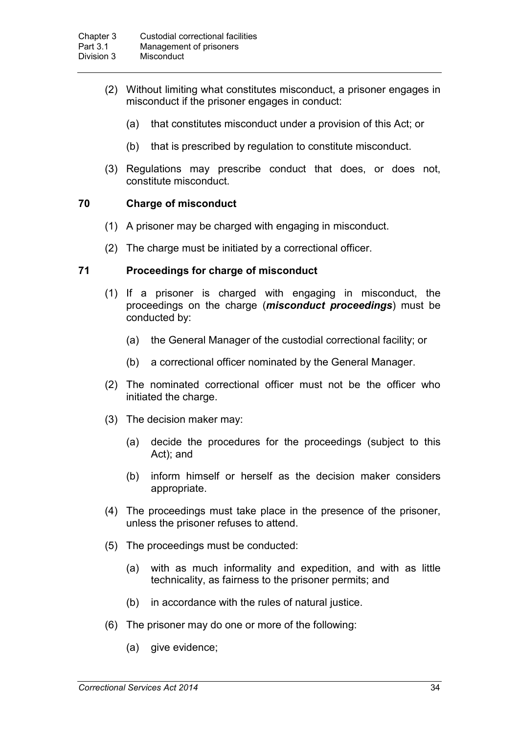- (2) Without limiting what constitutes misconduct, a prisoner engages in misconduct if the prisoner engages in conduct:
	- (a) that constitutes misconduct under a provision of this Act; or
	- (b) that is prescribed by regulation to constitute misconduct.
- (3) Regulations may prescribe conduct that does, or does not, constitute misconduct.

## **70 Charge of misconduct**

- (1) A prisoner may be charged with engaging in misconduct.
- (2) The charge must be initiated by a correctional officer.

## **71 Proceedings for charge of misconduct**

- (1) If a prisoner is charged with engaging in misconduct, the proceedings on the charge (*misconduct proceedings*) must be conducted by:
	- (a) the General Manager of the custodial correctional facility; or
	- (b) a correctional officer nominated by the General Manager.
- (2) The nominated correctional officer must not be the officer who initiated the charge.
- (3) The decision maker may:
	- (a) decide the procedures for the proceedings (subject to this Act); and
	- (b) inform himself or herself as the decision maker considers appropriate.
- (4) The proceedings must take place in the presence of the prisoner, unless the prisoner refuses to attend.
- (5) The proceedings must be conducted:
	- (a) with as much informality and expedition, and with as little technicality, as fairness to the prisoner permits; and
	- (b) in accordance with the rules of natural justice.
- (6) The prisoner may do one or more of the following:
	- (a) give evidence;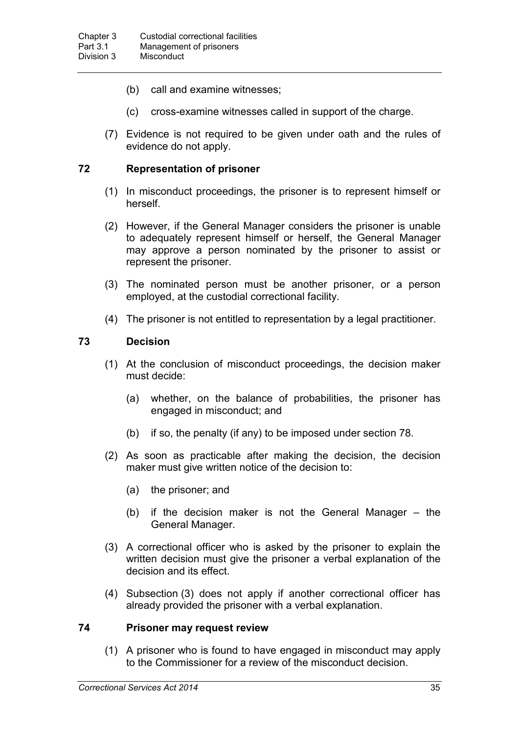- (b) call and examine witnesses;
- (c) cross-examine witnesses called in support of the charge.
- (7) Evidence is not required to be given under oath and the rules of evidence do not apply.

## **72 Representation of prisoner**

- (1) In misconduct proceedings, the prisoner is to represent himself or herself.
- (2) However, if the General Manager considers the prisoner is unable to adequately represent himself or herself, the General Manager may approve a person nominated by the prisoner to assist or represent the prisoner.
- (3) The nominated person must be another prisoner, or a person employed, at the custodial correctional facility.
- (4) The prisoner is not entitled to representation by a legal practitioner.

## **73 Decision**

- (1) At the conclusion of misconduct proceedings, the decision maker must decide:
	- (a) whether, on the balance of probabilities, the prisoner has engaged in misconduct; and
	- (b) if so, the penalty (if any) to be imposed under section 78.
- (2) As soon as practicable after making the decision, the decision maker must give written notice of the decision to:
	- (a) the prisoner; and
	- (b) if the decision maker is not the General Manager the General Manager.
- (3) A correctional officer who is asked by the prisoner to explain the written decision must give the prisoner a verbal explanation of the decision and its effect.
- (4) Subsection (3) does not apply if another correctional officer has already provided the prisoner with a verbal explanation.

#### **74 Prisoner may request review**

(1) A prisoner who is found to have engaged in misconduct may apply to the Commissioner for a review of the misconduct decision.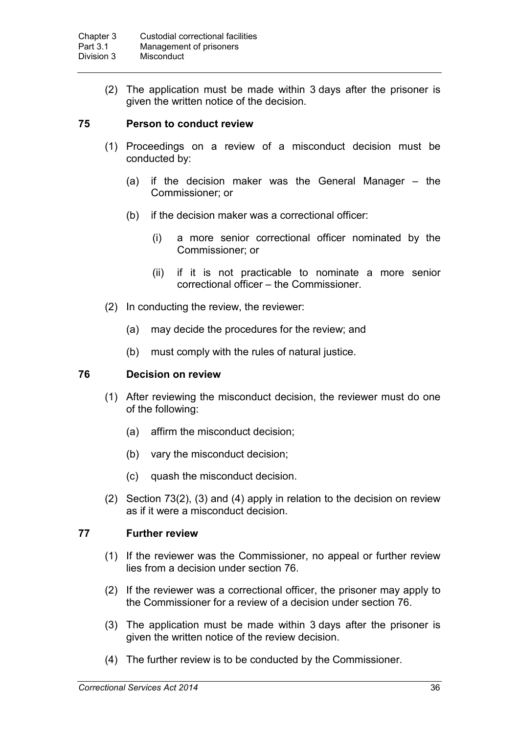(2) The application must be made within 3 days after the prisoner is given the written notice of the decision.

#### **75 Person to conduct review**

- (1) Proceedings on a review of a misconduct decision must be conducted by:
	- (a) if the decision maker was the General Manager the Commissioner; or
	- (b) if the decision maker was a correctional officer:
		- (i) a more senior correctional officer nominated by the Commissioner; or
		- (ii) if it is not practicable to nominate a more senior correctional officer – the Commissioner.
- (2) In conducting the review, the reviewer:
	- (a) may decide the procedures for the review; and
	- (b) must comply with the rules of natural justice.

#### **76 Decision on review**

- (1) After reviewing the misconduct decision, the reviewer must do one of the following:
	- (a) affirm the misconduct decision;
	- (b) vary the misconduct decision;
	- (c) quash the misconduct decision.
- (2) Section 73(2), (3) and (4) apply in relation to the decision on review as if it were a misconduct decision.

## **77 Further review**

- (1) If the reviewer was the Commissioner, no appeal or further review lies from a decision under section 76.
- (2) If the reviewer was a correctional officer, the prisoner may apply to the Commissioner for a review of a decision under section 76.
- (3) The application must be made within 3 days after the prisoner is given the written notice of the review decision.
- (4) The further review is to be conducted by the Commissioner.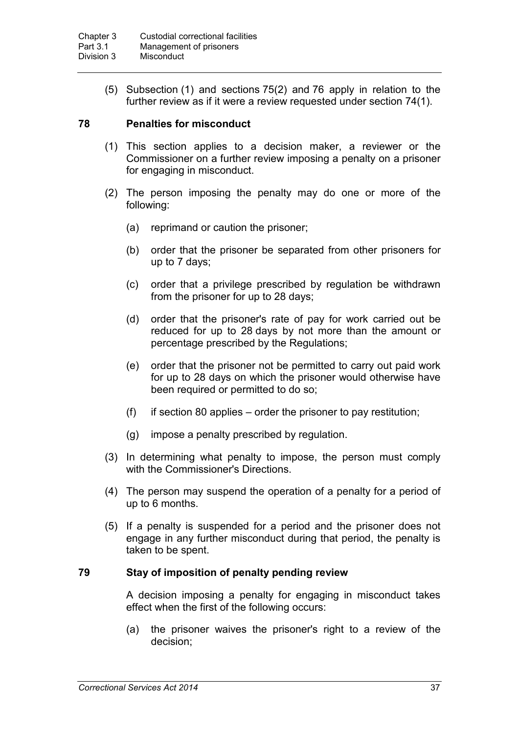(5) Subsection (1) and sections 75(2) and 76 apply in relation to the further review as if it were a review requested under section 74(1).

## **78 Penalties for misconduct**

- (1) This section applies to a decision maker, a reviewer or the Commissioner on a further review imposing a penalty on a prisoner for engaging in misconduct.
- (2) The person imposing the penalty may do one or more of the following:
	- (a) reprimand or caution the prisoner;
	- (b) order that the prisoner be separated from other prisoners for up to 7 days;
	- (c) order that a privilege prescribed by regulation be withdrawn from the prisoner for up to 28 days;
	- (d) order that the prisoner's rate of pay for work carried out be reduced for up to 28 days by not more than the amount or percentage prescribed by the Regulations;
	- (e) order that the prisoner not be permitted to carry out paid work for up to 28 days on which the prisoner would otherwise have been required or permitted to do so;
	- $(f)$  if section 80 applies order the prisoner to pay restitution;
	- (g) impose a penalty prescribed by regulation.
- (3) In determining what penalty to impose, the person must comply with the Commissioner's Directions.
- (4) The person may suspend the operation of a penalty for a period of up to 6 months.
- (5) If a penalty is suspended for a period and the prisoner does not engage in any further misconduct during that period, the penalty is taken to be spent.

## **79 Stay of imposition of penalty pending review**

A decision imposing a penalty for engaging in misconduct takes effect when the first of the following occurs:

(a) the prisoner waives the prisoner's right to a review of the decision;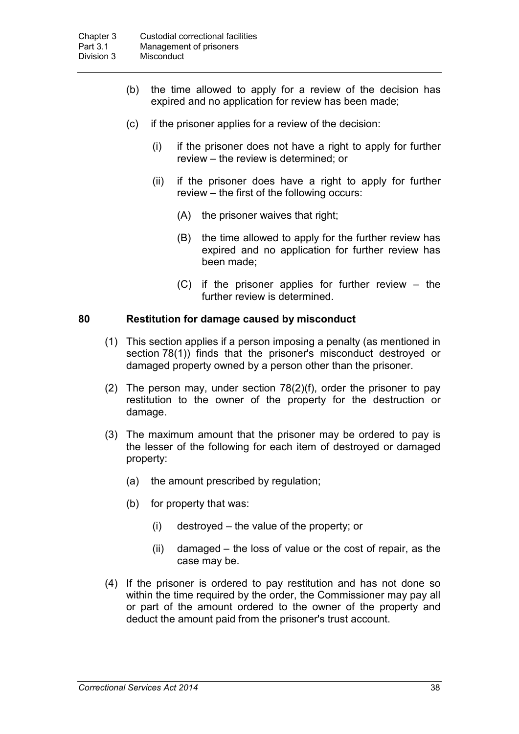- (b) the time allowed to apply for a review of the decision has expired and no application for review has been made;
- (c) if the prisoner applies for a review of the decision:
	- (i) if the prisoner does not have a right to apply for further review – the review is determined; or
	- (ii) if the prisoner does have a right to apply for further review – the first of the following occurs:
		- (A) the prisoner waives that right;
		- (B) the time allowed to apply for the further review has expired and no application for further review has been made;
		- (C) if the prisoner applies for further review the further review is determined.

## **80 Restitution for damage caused by misconduct**

- (1) This section applies if a person imposing a penalty (as mentioned in section 78(1)) finds that the prisoner's misconduct destroyed or damaged property owned by a person other than the prisoner.
- (2) The person may, under section 78(2)(f), order the prisoner to pay restitution to the owner of the property for the destruction or damage.
- (3) The maximum amount that the prisoner may be ordered to pay is the lesser of the following for each item of destroyed or damaged property:
	- (a) the amount prescribed by regulation;
	- (b) for property that was:
		- (i) destroyed the value of the property; or
		- (ii) damaged the loss of value or the cost of repair, as the case may be.
- (4) If the prisoner is ordered to pay restitution and has not done so within the time required by the order, the Commissioner may pay all or part of the amount ordered to the owner of the property and deduct the amount paid from the prisoner's trust account.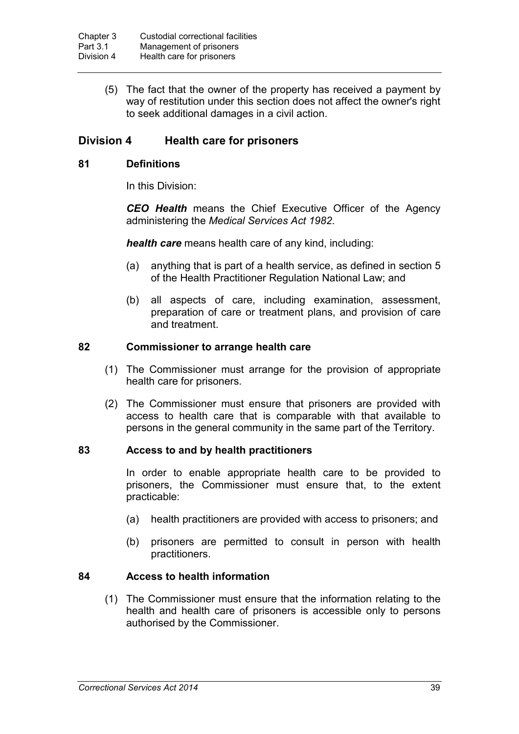(5) The fact that the owner of the property has received a payment by way of restitution under this section does not affect the owner's right to seek additional damages in a civil action.

# **Division 4 Health care for prisoners**

#### **81 Definitions**

In this Division:

*CEO Health* means the Chief Executive Officer of the Agency administering the *Medical Services Act 1982*.

*health care* means health care of any kind, including:

- (a) anything that is part of a health service, as defined in section 5 of the Health Practitioner Regulation National Law; and
- (b) all aspects of care, including examination, assessment, preparation of care or treatment plans, and provision of care and treatment.

#### **82 Commissioner to arrange health care**

- (1) The Commissioner must arrange for the provision of appropriate health care for prisoners.
- (2) The Commissioner must ensure that prisoners are provided with access to health care that is comparable with that available to persons in the general community in the same part of the Territory.

#### **83 Access to and by health practitioners**

In order to enable appropriate health care to be provided to prisoners, the Commissioner must ensure that, to the extent practicable:

- (a) health practitioners are provided with access to prisoners; and
- (b) prisoners are permitted to consult in person with health practitioners.

## **84 Access to health information**

(1) The Commissioner must ensure that the information relating to the health and health care of prisoners is accessible only to persons authorised by the Commissioner.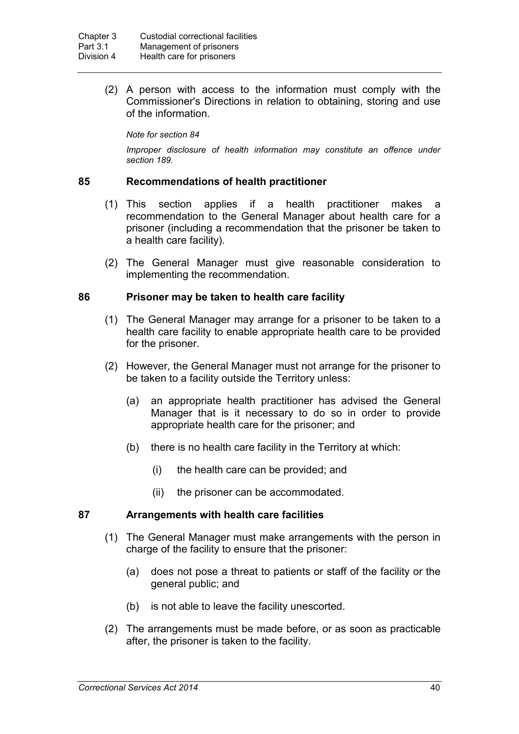(2) A person with access to the information must comply with the Commissioner's Directions in relation to obtaining, storing and use of the information.

*Note for section 84*

*Improper disclosure of health information may constitute an offence under section 189.*

#### **85 Recommendations of health practitioner**

- (1) This section applies if a health practitioner makes a recommendation to the General Manager about health care for a prisoner (including a recommendation that the prisoner be taken to a health care facility).
- (2) The General Manager must give reasonable consideration to implementing the recommendation.

#### **86 Prisoner may be taken to health care facility**

- (1) The General Manager may arrange for a prisoner to be taken to a health care facility to enable appropriate health care to be provided for the prisoner.
- (2) However, the General Manager must not arrange for the prisoner to be taken to a facility outside the Territory unless:
	- (a) an appropriate health practitioner has advised the General Manager that is it necessary to do so in order to provide appropriate health care for the prisoner; and
	- (b) there is no health care facility in the Territory at which:
		- (i) the health care can be provided; and
		- (ii) the prisoner can be accommodated.

## **87 Arrangements with health care facilities**

- (1) The General Manager must make arrangements with the person in charge of the facility to ensure that the prisoner:
	- (a) does not pose a threat to patients or staff of the facility or the general public; and
	- (b) is not able to leave the facility unescorted.
- (2) The arrangements must be made before, or as soon as practicable after, the prisoner is taken to the facility.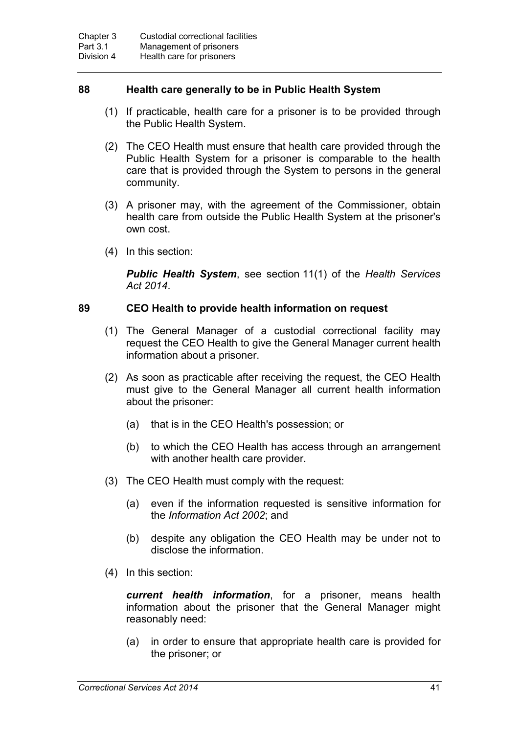## **88 Health care generally to be in Public Health System**

- (1) If practicable, health care for a prisoner is to be provided through the Public Health System.
- (2) The CEO Health must ensure that health care provided through the Public Health System for a prisoner is comparable to the health care that is provided through the System to persons in the general community.
- (3) A prisoner may, with the agreement of the Commissioner, obtain health care from outside the Public Health System at the prisoner's own cost.
- (4) In this section:

*Public Health System*, see section 11(1) of the *Health Services Act 2014*.

## **89 CEO Health to provide health information on request**

- (1) The General Manager of a custodial correctional facility may request the CEO Health to give the General Manager current health information about a prisoner.
- (2) As soon as practicable after receiving the request, the CEO Health must give to the General Manager all current health information about the prisoner:
	- (a) that is in the CEO Health's possession; or
	- (b) to which the CEO Health has access through an arrangement with another health care provider.
- (3) The CEO Health must comply with the request:
	- (a) even if the information requested is sensitive information for the *Information Act 2002*; and
	- (b) despite any obligation the CEO Health may be under not to disclose the information.
- (4) In this section:

*current health information*, for a prisoner, means health information about the prisoner that the General Manager might reasonably need:

(a) in order to ensure that appropriate health care is provided for the prisoner; or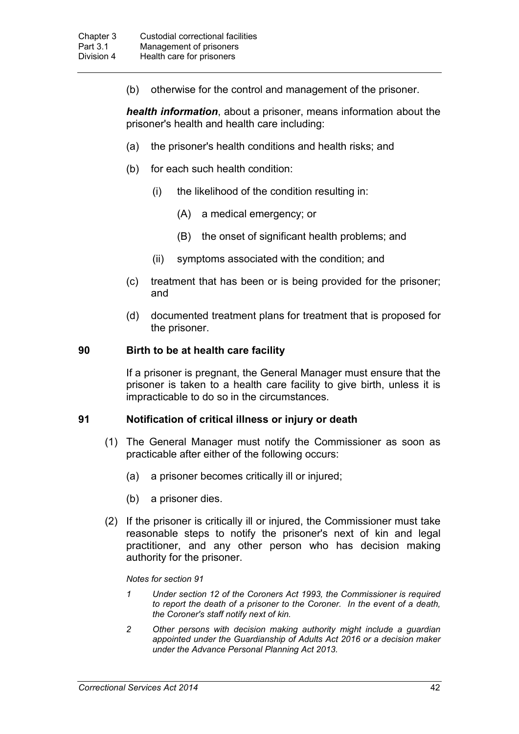(b) otherwise for the control and management of the prisoner.

*health information*, about a prisoner, means information about the prisoner's health and health care including:

- (a) the prisoner's health conditions and health risks; and
- (b) for each such health condition:
	- (i) the likelihood of the condition resulting in:
		- (A) a medical emergency; or
		- (B) the onset of significant health problems; and
	- (ii) symptoms associated with the condition; and
- (c) treatment that has been or is being provided for the prisoner; and
- (d) documented treatment plans for treatment that is proposed for the prisoner.

#### **90 Birth to be at health care facility**

If a prisoner is pregnant, the General Manager must ensure that the prisoner is taken to a health care facility to give birth, unless it is impracticable to do so in the circumstances.

#### **91 Notification of critical illness or injury or death**

- (1) The General Manager must notify the Commissioner as soon as practicable after either of the following occurs:
	- (a) a prisoner becomes critically ill or injured;
	- (b) a prisoner dies.
- (2) If the prisoner is critically ill or injured, the Commissioner must take reasonable steps to notify the prisoner's next of kin and legal practitioner, and any other person who has decision making authority for the prisoner.

#### *Notes for section 91*

- *1 Under section 12 of the Coroners Act 1993, the Commissioner is required to report the death of a prisoner to the Coroner. In the event of a death, the Coroner's staff notify next of kin.*
- *2 Other persons with decision making authority might include a guardian appointed under the Guardianship of Adults Act 2016 or a decision maker under the Advance Personal Planning Act 2013.*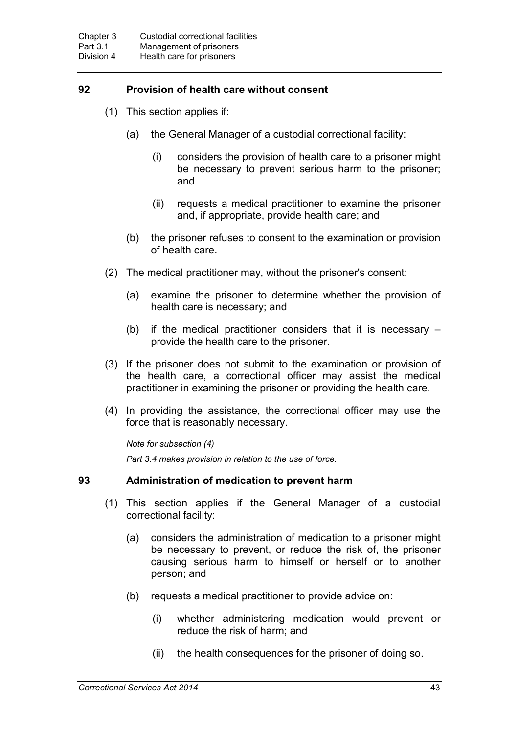# **92 Provision of health care without consent**

- (1) This section applies if:
	- (a) the General Manager of a custodial correctional facility:
		- (i) considers the provision of health care to a prisoner might be necessary to prevent serious harm to the prisoner; and
		- (ii) requests a medical practitioner to examine the prisoner and, if appropriate, provide health care; and
	- (b) the prisoner refuses to consent to the examination or provision of health care.
- (2) The medical practitioner may, without the prisoner's consent:
	- (a) examine the prisoner to determine whether the provision of health care is necessary; and
	- (b) if the medical practitioner considers that it is necessary provide the health care to the prisoner.
- (3) If the prisoner does not submit to the examination or provision of the health care, a correctional officer may assist the medical practitioner in examining the prisoner or providing the health care.
- (4) In providing the assistance, the correctional officer may use the force that is reasonably necessary.

*Note for subsection (4) Part 3.4 makes provision in relation to the use of force.*

## **93 Administration of medication to prevent harm**

- (1) This section applies if the General Manager of a custodial correctional facility:
	- (a) considers the administration of medication to a prisoner might be necessary to prevent, or reduce the risk of, the prisoner causing serious harm to himself or herself or to another person; and
	- (b) requests a medical practitioner to provide advice on:
		- (i) whether administering medication would prevent or reduce the risk of harm; and
		- (ii) the health consequences for the prisoner of doing so.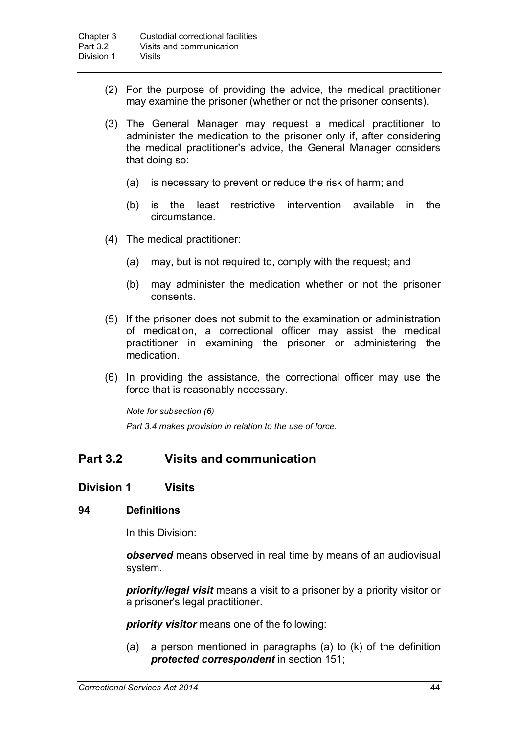- (2) For the purpose of providing the advice, the medical practitioner may examine the prisoner (whether or not the prisoner consents).
- (3) The General Manager may request a medical practitioner to administer the medication to the prisoner only if, after considering the medical practitioner's advice, the General Manager considers that doing so:
	- (a) is necessary to prevent or reduce the risk of harm; and
	- (b) is the least restrictive intervention available in the circumstance.
- (4) The medical practitioner:
	- (a) may, but is not required to, comply with the request; and
	- (b) may administer the medication whether or not the prisoner consents.
- (5) If the prisoner does not submit to the examination or administration of medication, a correctional officer may assist the medical practitioner in examining the prisoner or administering the medication.
- (6) In providing the assistance, the correctional officer may use the force that is reasonably necessary.

*Note for subsection (6)*

*Part 3.4 makes provision in relation to the use of force.*

# **Part 3.2 Visits and communication**

## **Division 1 Visits**

#### **94 Definitions**

In this Division:

*observed* means observed in real time by means of an audiovisual system.

*priority/legal visit* means a visit to a prisoner by a priority visitor or a prisoner's legal practitioner.

*priority visitor* means one of the following:

(a) a person mentioned in paragraphs (a) to (k) of the definition *protected correspondent* in section 151;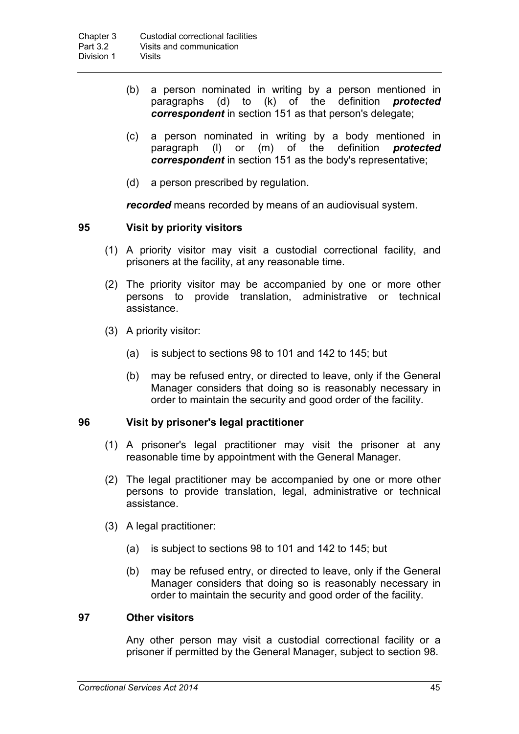- (b) a person nominated in writing by a person mentioned in paragraphs (d) to (k) of the definition *protected correspondent* in section 151 as that person's delegate;
- (c) a person nominated in writing by a body mentioned in paragraph  $(1)$  or  $(m)$  of the definition **protected**  $\mathsf{p}(\mathsf{I})$  or  $\mathsf{m}(\mathsf{m})$  of the *correspondent* in section 151 as the body's representative;
- (d) a person prescribed by regulation.

*recorded* means recorded by means of an audiovisual system.

## **95 Visit by priority visitors**

- (1) A priority visitor may visit a custodial correctional facility, and prisoners at the facility, at any reasonable time.
- (2) The priority visitor may be accompanied by one or more other persons to provide translation, administrative or technical assistance.
- (3) A priority visitor:
	- (a) is subject to sections 98 to 101 and 142 to 145; but
	- (b) may be refused entry, or directed to leave, only if the General Manager considers that doing so is reasonably necessary in order to maintain the security and good order of the facility.

## **96 Visit by prisoner's legal practitioner**

- (1) A prisoner's legal practitioner may visit the prisoner at any reasonable time by appointment with the General Manager.
- (2) The legal practitioner may be accompanied by one or more other persons to provide translation, legal, administrative or technical assistance.
- (3) A legal practitioner:
	- (a) is subject to sections 98 to 101 and 142 to 145; but
	- (b) may be refused entry, or directed to leave, only if the General Manager considers that doing so is reasonably necessary in order to maintain the security and good order of the facility.

## **97 Other visitors**

Any other person may visit a custodial correctional facility or a prisoner if permitted by the General Manager, subject to section 98.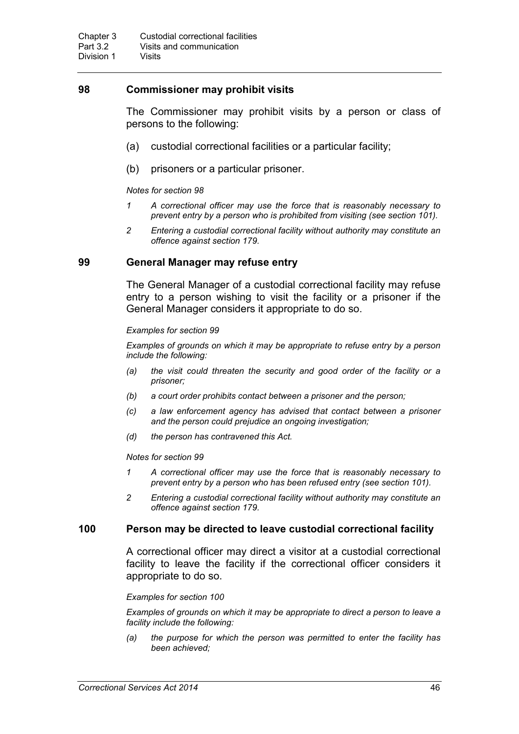## **98 Commissioner may prohibit visits**

The Commissioner may prohibit visits by a person or class of persons to the following:

- (a) custodial correctional facilities or a particular facility;
- (b) prisoners or a particular prisoner.

#### *Notes for section 98*

- *1 A correctional officer may use the force that is reasonably necessary to prevent entry by a person who is prohibited from visiting (see section 101).*
- *2 Entering a custodial correctional facility without authority may constitute an offence against section 179.*

#### **99 General Manager may refuse entry**

The General Manager of a custodial correctional facility may refuse entry to a person wishing to visit the facility or a prisoner if the General Manager considers it appropriate to do so.

#### *Examples for section 99*

*Examples of grounds on which it may be appropriate to refuse entry by a person include the following:* 

- *(a) the visit could threaten the security and good order of the facility or a prisoner;*
- *(b) a court order prohibits contact between a prisoner and the person;*
- *(c) a law enforcement agency has advised that contact between a prisoner and the person could prejudice an ongoing investigation;*
- *(d) the person has contravened this Act.*

#### *Notes for section 99*

- *1 A correctional officer may use the force that is reasonably necessary to prevent entry by a person who has been refused entry (see section 101).*
- *2 Entering a custodial correctional facility without authority may constitute an offence against section 179.*

#### **100 Person may be directed to leave custodial correctional facility**

A correctional officer may direct a visitor at a custodial correctional facility to leave the facility if the correctional officer considers it appropriate to do so.

#### *Examples for section 100*

*Examples of grounds on which it may be appropriate to direct a person to leave a facility include the following:*

*(a) the purpose for which the person was permitted to enter the facility has been achieved;*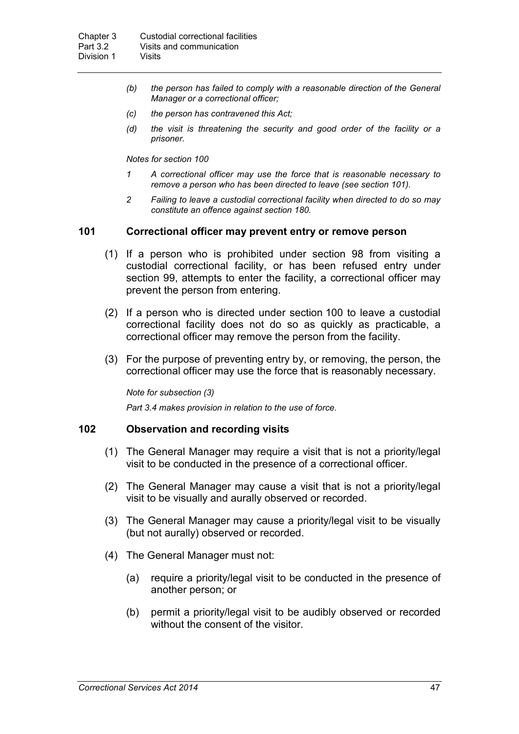- *(b) the person has failed to comply with a reasonable direction of the General Manager or a correctional officer;*
- *(c) the person has contravened this Act;*
- *(d) the visit is threatening the security and good order of the facility or a prisoner.*

*Notes for section 100*

- *1 A correctional officer may use the force that is reasonable necessary to remove a person who has been directed to leave (see section 101).*
- *2 Failing to leave a custodial correctional facility when directed to do so may constitute an offence against section 180.*

#### **101 Correctional officer may prevent entry or remove person**

- (1) If a person who is prohibited under section 98 from visiting a custodial correctional facility, or has been refused entry under section 99, attempts to enter the facility, a correctional officer may prevent the person from entering.
- (2) If a person who is directed under section 100 to leave a custodial correctional facility does not do so as quickly as practicable, a correctional officer may remove the person from the facility.
- (3) For the purpose of preventing entry by, or removing, the person, the correctional officer may use the force that is reasonably necessary.

*Note for subsection (3)*

*Part 3.4 makes provision in relation to the use of force.*

#### **102 Observation and recording visits**

- (1) The General Manager may require a visit that is not a priority/legal visit to be conducted in the presence of a correctional officer.
- (2) The General Manager may cause a visit that is not a priority/legal visit to be visually and aurally observed or recorded.
- (3) The General Manager may cause a priority/legal visit to be visually (but not aurally) observed or recorded.
- (4) The General Manager must not:
	- (a) require a priority/legal visit to be conducted in the presence of another person; or
	- (b) permit a priority/legal visit to be audibly observed or recorded without the consent of the visitor.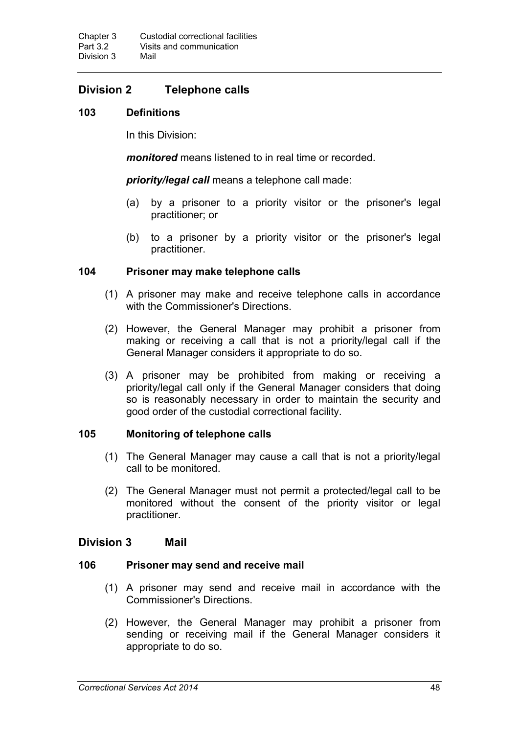# **Division 2 Telephone calls**

# **103 Definitions**

In this Division:

*monitored* means listened to in real time or recorded.

*priority/legal call* means a telephone call made:

- (a) by a prisoner to a priority visitor or the prisoner's legal practitioner; or
- (b) to a prisoner by a priority visitor or the prisoner's legal practitioner.

## **104 Prisoner may make telephone calls**

- (1) A prisoner may make and receive telephone calls in accordance with the Commissioner's Directions.
- (2) However, the General Manager may prohibit a prisoner from making or receiving a call that is not a priority/legal call if the General Manager considers it appropriate to do so.
- (3) A prisoner may be prohibited from making or receiving a priority/legal call only if the General Manager considers that doing so is reasonably necessary in order to maintain the security and good order of the custodial correctional facility.

## **105 Monitoring of telephone calls**

- (1) The General Manager may cause a call that is not a priority/legal call to be monitored.
- (2) The General Manager must not permit a protected/legal call to be monitored without the consent of the priority visitor or legal practitioner.

# **Division 3 Mail**

## **106 Prisoner may send and receive mail**

- (1) A prisoner may send and receive mail in accordance with the Commissioner's Directions.
- (2) However, the General Manager may prohibit a prisoner from sending or receiving mail if the General Manager considers it appropriate to do so.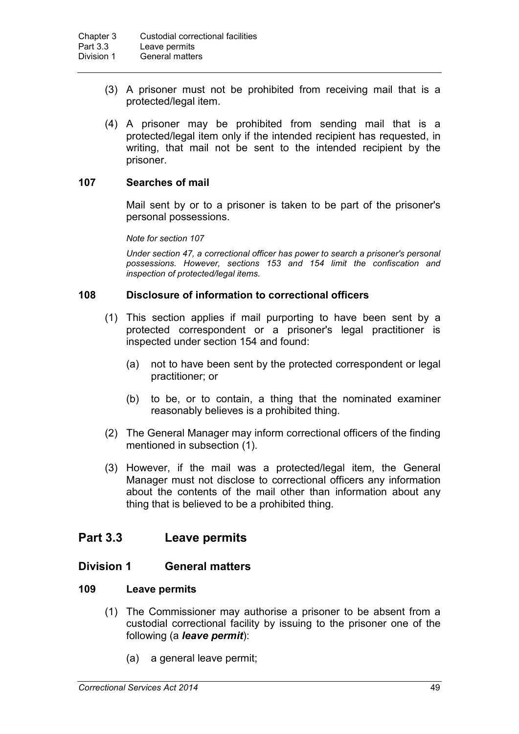- (3) A prisoner must not be prohibited from receiving mail that is a protected/legal item.
- (4) A prisoner may be prohibited from sending mail that is a protected/legal item only if the intended recipient has requested, in writing, that mail not be sent to the intended recipient by the prisoner.

## **107 Searches of mail**

Mail sent by or to a prisoner is taken to be part of the prisoner's personal possessions.

*Note for section 107*

*Under section 47, a correctional officer has power to search a prisoner's personal possessions. However, sections 153 and 154 limit the confiscation and inspection of protected/legal items.*

## **108 Disclosure of information to correctional officers**

- (1) This section applies if mail purporting to have been sent by a protected correspondent or a prisoner's legal practitioner is inspected under section 154 and found:
	- (a) not to have been sent by the protected correspondent or legal practitioner; or
	- (b) to be, or to contain, a thing that the nominated examiner reasonably believes is a prohibited thing.
- (2) The General Manager may inform correctional officers of the finding mentioned in subsection (1).
- (3) However, if the mail was a protected/legal item, the General Manager must not disclose to correctional officers any information about the contents of the mail other than information about any thing that is believed to be a prohibited thing.

# **Part 3.3 Leave permits**

## **Division 1 General matters**

## **109 Leave permits**

- (1) The Commissioner may authorise a prisoner to be absent from a custodial correctional facility by issuing to the prisoner one of the following (a *leave permit*):
	- (a) a general leave permit;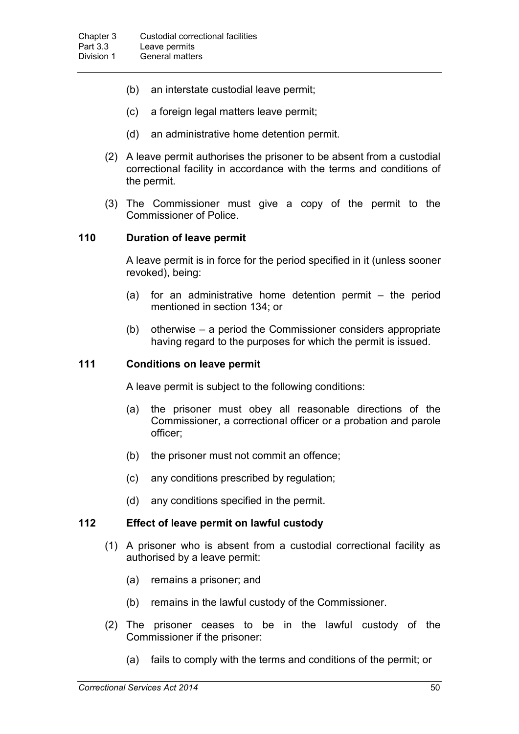- (b) an interstate custodial leave permit;
- (c) a foreign legal matters leave permit;
- (d) an administrative home detention permit.
- (2) A leave permit authorises the prisoner to be absent from a custodial correctional facility in accordance with the terms and conditions of the permit.
- (3) The Commissioner must give a copy of the permit to the Commissioner of Police.

#### **110 Duration of leave permit**

A leave permit is in force for the period specified in it (unless sooner revoked), being:

- (a) for an administrative home detention permit the period mentioned in section 134; or
- (b) otherwise a period the Commissioner considers appropriate having regard to the purposes for which the permit is issued.

#### **111 Conditions on leave permit**

A leave permit is subject to the following conditions:

- (a) the prisoner must obey all reasonable directions of the Commissioner, a correctional officer or a probation and parole officer;
- (b) the prisoner must not commit an offence;
- (c) any conditions prescribed by regulation;
- (d) any conditions specified in the permit.

#### **112 Effect of leave permit on lawful custody**

- (1) A prisoner who is absent from a custodial correctional facility as authorised by a leave permit:
	- (a) remains a prisoner; and
	- (b) remains in the lawful custody of the Commissioner.
- (2) The prisoner ceases to be in the lawful custody of the Commissioner if the prisoner:
	- (a) fails to comply with the terms and conditions of the permit; or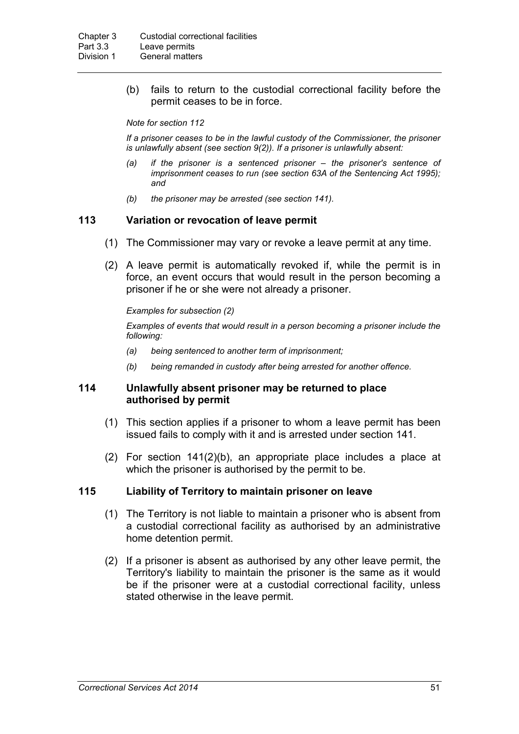(b) fails to return to the custodial correctional facility before the permit ceases to be in force.

#### *Note for section 112*

*If a prisoner ceases to be in the lawful custody of the Commissioner, the prisoner is unlawfully absent (see section 9(2)). If a prisoner is unlawfully absent:*

- *(a) if the prisoner is a sentenced prisoner – the prisoner's sentence of imprisonment ceases to run (see section 63A of the Sentencing Act 1995); and*
- *(b) the prisoner may be arrested (see section 141).*

#### **113 Variation or revocation of leave permit**

- (1) The Commissioner may vary or revoke a leave permit at any time.
- (2) A leave permit is automatically revoked if, while the permit is in force, an event occurs that would result in the person becoming a prisoner if he or she were not already a prisoner.

#### *Examples for subsection (2)*

*Examples of events that would result in a person becoming a prisoner include the following:* 

- *(a) being sentenced to another term of imprisonment;*
- *(b) being remanded in custody after being arrested for another offence.*

#### **114 Unlawfully absent prisoner may be returned to place authorised by permit**

- (1) This section applies if a prisoner to whom a leave permit has been issued fails to comply with it and is arrested under section 141.
- (2) For section 141(2)(b), an appropriate place includes a place at which the prisoner is authorised by the permit to be.

#### **115 Liability of Territory to maintain prisoner on leave**

- (1) The Territory is not liable to maintain a prisoner who is absent from a custodial correctional facility as authorised by an administrative home detention permit.
- (2) If a prisoner is absent as authorised by any other leave permit, the Territory's liability to maintain the prisoner is the same as it would be if the prisoner were at a custodial correctional facility, unless stated otherwise in the leave permit.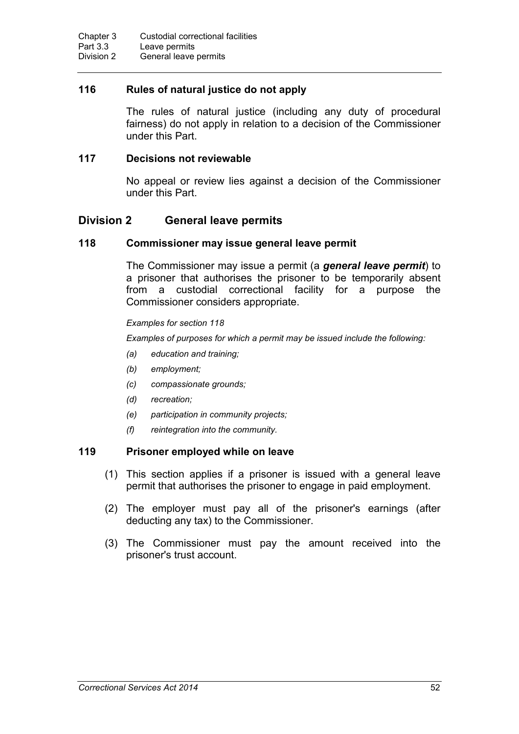## **116 Rules of natural justice do not apply**

The rules of natural justice (including any duty of procedural fairness) do not apply in relation to a decision of the Commissioner under this Part.

## **117 Decisions not reviewable**

No appeal or review lies against a decision of the Commissioner under this Part.

# **Division 2 General leave permits**

## **118 Commissioner may issue general leave permit**

The Commissioner may issue a permit (a *general leave permit*) to a prisoner that authorises the prisoner to be temporarily absent from a custodial correctional facility for a purpose the Commissioner considers appropriate.

#### *Examples for section 118*

*Examples of purposes for which a permit may be issued include the following:*

- *(a) education and training;*
- *(b) employment;*
- *(c) compassionate grounds;*
- *(d) recreation;*
- *(e) participation in community projects;*
- *(f) reintegration into the community.*

#### **119 Prisoner employed while on leave**

- (1) This section applies if a prisoner is issued with a general leave permit that authorises the prisoner to engage in paid employment.
- (2) The employer must pay all of the prisoner's earnings (after deducting any tax) to the Commissioner.
- (3) The Commissioner must pay the amount received into the prisoner's trust account.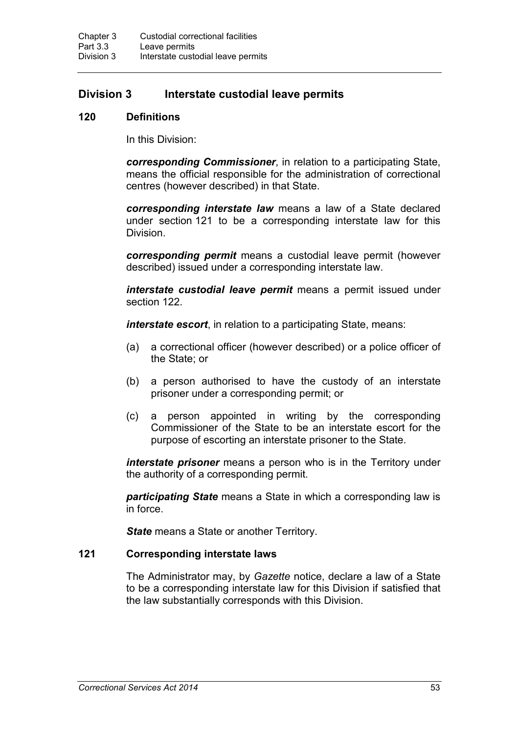# **Division 3 Interstate custodial leave permits**

#### **120 Definitions**

In this Division:

*corresponding Commissioner*, in relation to a participating State, means the official responsible for the administration of correctional centres (however described) in that State.

*corresponding interstate law* means a law of a State declared under section 121 to be a corresponding interstate law for this Division.

*corresponding permit* means a custodial leave permit (however described) issued under a corresponding interstate law.

*interstate custodial leave permit* means a permit issued under section 122.

*interstate escort*, in relation to a participating State, means:

- (a) a correctional officer (however described) or a police officer of the State; or
- (b) a person authorised to have the custody of an interstate prisoner under a corresponding permit; or
- (c) a person appointed in writing by the corresponding Commissioner of the State to be an interstate escort for the purpose of escorting an interstate prisoner to the State.

*interstate prisoner* means a person who is in the Territory under the authority of a corresponding permit.

*participating State* means a State in which a corresponding law is in force.

*State* means a State or another Territory.

#### **121 Corresponding interstate laws**

The Administrator may, by *Gazette* notice, declare a law of a State to be a corresponding interstate law for this Division if satisfied that the law substantially corresponds with this Division.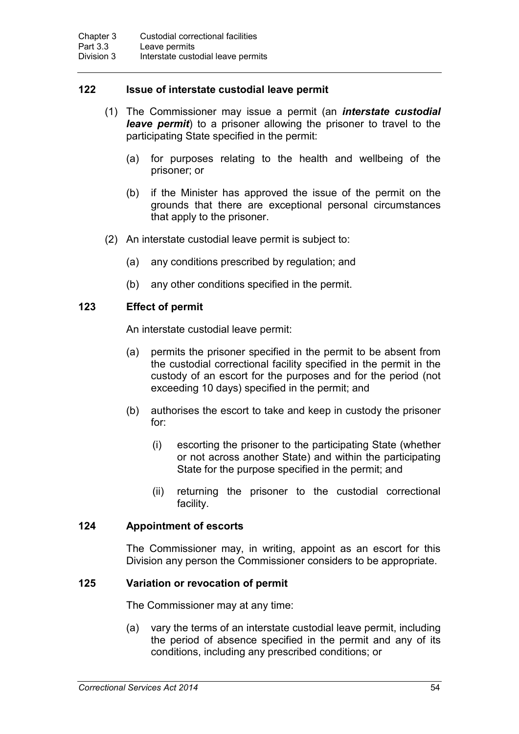## **122 Issue of interstate custodial leave permit**

- (1) The Commissioner may issue a permit (an *interstate custodial leave permit*) to a prisoner allowing the prisoner to travel to the participating State specified in the permit:
	- (a) for purposes relating to the health and wellbeing of the prisoner; or
	- (b) if the Minister has approved the issue of the permit on the grounds that there are exceptional personal circumstances that apply to the prisoner.
- (2) An interstate custodial leave permit is subject to:
	- (a) any conditions prescribed by regulation; and
	- (b) any other conditions specified in the permit.

## **123 Effect of permit**

An interstate custodial leave permit:

- (a) permits the prisoner specified in the permit to be absent from the custodial correctional facility specified in the permit in the custody of an escort for the purposes and for the period (not exceeding 10 days) specified in the permit; and
- (b) authorises the escort to take and keep in custody the prisoner for:
	- (i) escorting the prisoner to the participating State (whether or not across another State) and within the participating State for the purpose specified in the permit; and
	- (ii) returning the prisoner to the custodial correctional facility.

## **124 Appointment of escorts**

The Commissioner may, in writing, appoint as an escort for this Division any person the Commissioner considers to be appropriate.

## **125 Variation or revocation of permit**

The Commissioner may at any time:

(a) vary the terms of an interstate custodial leave permit, including the period of absence specified in the permit and any of its conditions, including any prescribed conditions; or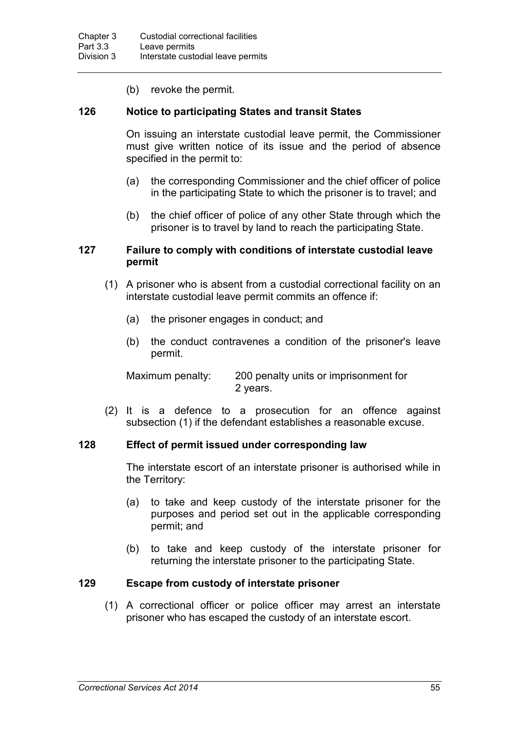(b) revoke the permit.

#### **126 Notice to participating States and transit States**

On issuing an interstate custodial leave permit, the Commissioner must give written notice of its issue and the period of absence specified in the permit to:

- (a) the corresponding Commissioner and the chief officer of police in the participating State to which the prisoner is to travel; and
- (b) the chief officer of police of any other State through which the prisoner is to travel by land to reach the participating State.

#### **127 Failure to comply with conditions of interstate custodial leave permit**

- (1) A prisoner who is absent from a custodial correctional facility on an interstate custodial leave permit commits an offence if:
	- (a) the prisoner engages in conduct; and
	- (b) the conduct contravenes a condition of the prisoner's leave permit.

Maximum penalty: 200 penalty units or imprisonment for 2 years.

(2) It is a defence to a prosecution for an offence against subsection (1) if the defendant establishes a reasonable excuse.

#### **128 Effect of permit issued under corresponding law**

The interstate escort of an interstate prisoner is authorised while in the Territory:

- (a) to take and keep custody of the interstate prisoner for the purposes and period set out in the applicable corresponding permit; and
- (b) to take and keep custody of the interstate prisoner for returning the interstate prisoner to the participating State.

## **129 Escape from custody of interstate prisoner**

(1) A correctional officer or police officer may arrest an interstate prisoner who has escaped the custody of an interstate escort.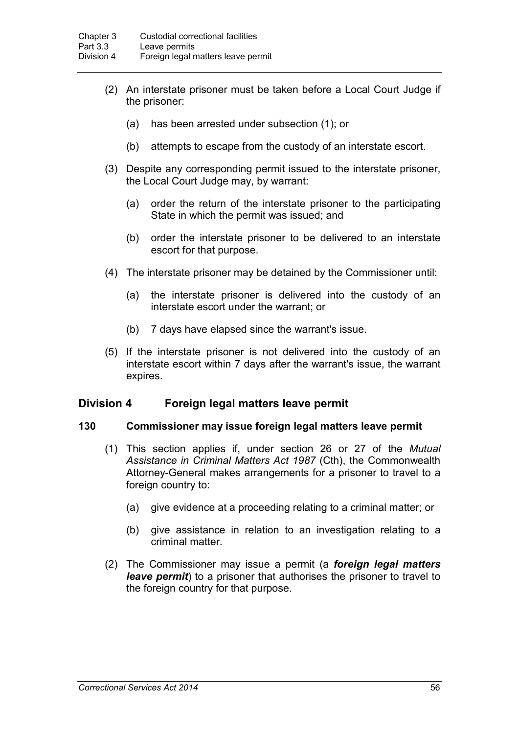- (2) An interstate prisoner must be taken before a Local Court Judge if the prisoner:
	- (a) has been arrested under subsection (1); or
	- (b) attempts to escape from the custody of an interstate escort.
- (3) Despite any corresponding permit issued to the interstate prisoner, the Local Court Judge may, by warrant:
	- (a) order the return of the interstate prisoner to the participating State in which the permit was issued; and
	- (b) order the interstate prisoner to be delivered to an interstate escort for that purpose.
- (4) The interstate prisoner may be detained by the Commissioner until:
	- (a) the interstate prisoner is delivered into the custody of an interstate escort under the warrant; or
	- (b) 7 days have elapsed since the warrant's issue.
- (5) If the interstate prisoner is not delivered into the custody of an interstate escort within 7 days after the warrant's issue, the warrant expires.

## **Division 4 Foreign legal matters leave permit**

#### **130 Commissioner may issue foreign legal matters leave permit**

- (1) This section applies if, under section 26 or 27 of the *Mutual Assistance in Criminal Matters Act 1987* (Cth), the Commonwealth Attorney-General makes arrangements for a prisoner to travel to a foreign country to:
	- (a) give evidence at a proceeding relating to a criminal matter; or
	- (b) give assistance in relation to an investigation relating to a criminal matter.
- (2) The Commissioner may issue a permit (a *foreign legal matters leave permit*) to a prisoner that authorises the prisoner to travel to the foreign country for that purpose.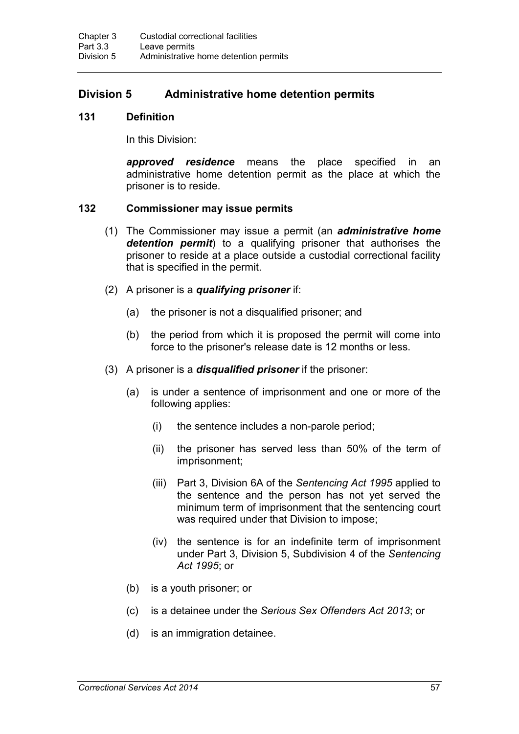# **Division 5 Administrative home detention permits**

#### **131 Definition**

In this Division:

*approved residence* means the place specified in an administrative home detention permit as the place at which the prisoner is to reside.

#### **132 Commissioner may issue permits**

- (1) The Commissioner may issue a permit (an *administrative home detention permit*) to a qualifying prisoner that authorises the prisoner to reside at a place outside a custodial correctional facility that is specified in the permit.
- (2) A prisoner is a *qualifying prisoner* if:
	- (a) the prisoner is not a disqualified prisoner; and
	- (b) the period from which it is proposed the permit will come into force to the prisoner's release date is 12 months or less.
- (3) A prisoner is a *disqualified prisoner* if the prisoner:
	- (a) is under a sentence of imprisonment and one or more of the following applies:
		- (i) the sentence includes a non-parole period;
		- (ii) the prisoner has served less than 50% of the term of imprisonment;
		- (iii) Part 3, Division 6A of the *Sentencing Act 1995* applied to the sentence and the person has not yet served the minimum term of imprisonment that the sentencing court was required under that Division to impose;
		- (iv) the sentence is for an indefinite term of imprisonment under Part 3, Division 5, Subdivision 4 of the *Sentencing Act 1995*; or
	- (b) is a youth prisoner; or
	- (c) is a detainee under the *Serious Sex Offenders Act 2013*; or
	- (d) is an immigration detainee.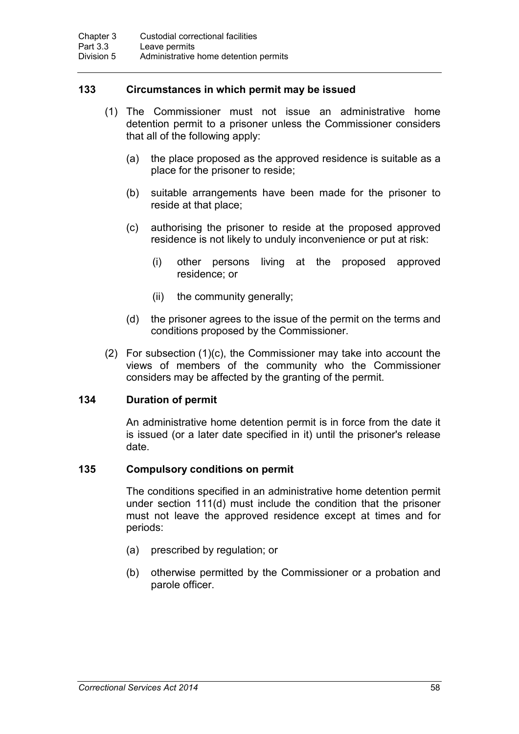## **133 Circumstances in which permit may be issued**

- (1) The Commissioner must not issue an administrative home detention permit to a prisoner unless the Commissioner considers that all of the following apply:
	- (a) the place proposed as the approved residence is suitable as a place for the prisoner to reside;
	- (b) suitable arrangements have been made for the prisoner to reside at that place;
	- (c) authorising the prisoner to reside at the proposed approved residence is not likely to unduly inconvenience or put at risk:
		- (i) other persons living at the proposed approved residence; or
		- (ii) the community generally;
	- (d) the prisoner agrees to the issue of the permit on the terms and conditions proposed by the Commissioner.
- (2) For subsection (1)(c), the Commissioner may take into account the views of members of the community who the Commissioner considers may be affected by the granting of the permit.

## **134 Duration of permit**

An administrative home detention permit is in force from the date it is issued (or a later date specified in it) until the prisoner's release date.

## **135 Compulsory conditions on permit**

The conditions specified in an administrative home detention permit under section 111(d) must include the condition that the prisoner must not leave the approved residence except at times and for periods:

- (a) prescribed by regulation; or
- (b) otherwise permitted by the Commissioner or a probation and parole officer.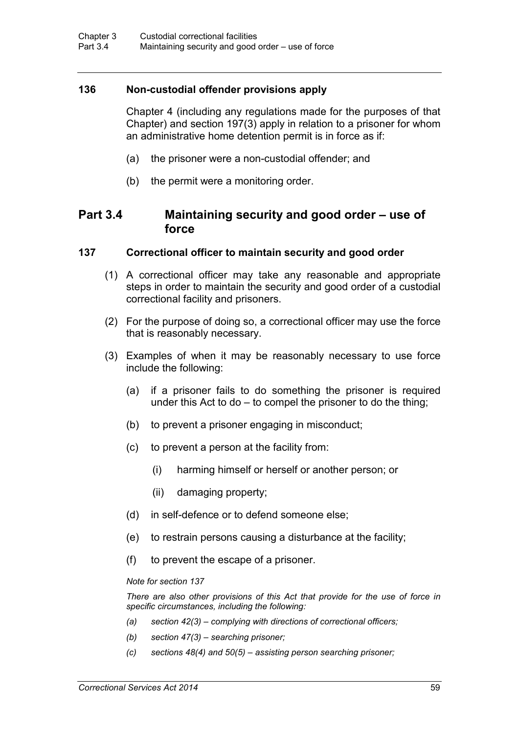## **136 Non-custodial offender provisions apply**

Chapter 4 (including any regulations made for the purposes of that Chapter) and section 197(3) apply in relation to a prisoner for whom an administrative home detention permit is in force as if:

- (a) the prisoner were a non-custodial offender; and
- (b) the permit were a monitoring order.

# **Part 3.4 Maintaining security and good order – use of force**

#### **137 Correctional officer to maintain security and good order**

- (1) A correctional officer may take any reasonable and appropriate steps in order to maintain the security and good order of a custodial correctional facility and prisoners.
- (2) For the purpose of doing so, a correctional officer may use the force that is reasonably necessary.
- (3) Examples of when it may be reasonably necessary to use force include the following:
	- (a) if a prisoner fails to do something the prisoner is required under this Act to do – to compel the prisoner to do the thing;
	- (b) to prevent a prisoner engaging in misconduct;
	- (c) to prevent a person at the facility from:
		- (i) harming himself or herself or another person; or
		- (ii) damaging property;
	- (d) in self-defence or to defend someone else;
	- (e) to restrain persons causing a disturbance at the facility;
	- (f) to prevent the escape of a prisoner.

#### *Note for section 137*

*There are also other provisions of this Act that provide for the use of force in specific circumstances, including the following:*

- *(a) section 42(3) – complying with directions of correctional officers;*
- *(b) section 47(3) – searching prisoner;*
- *(c) sections 48(4) and 50(5) – assisting person searching prisoner;*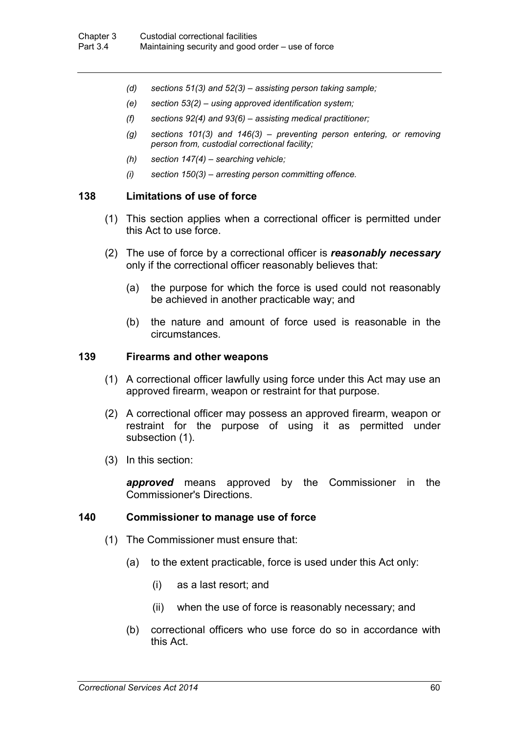- *(d) sections 51(3) and 52(3) – assisting person taking sample;*
- *(e) section 53(2) – using approved identification system;*
- *(f) sections 92(4) and 93(6) – assisting medical practitioner;*
- *(g) sections 101(3) and 146(3) – preventing person entering, or removing person from, custodial correctional facility;*
- *(h) section 147(4) – searching vehicle;*
- *(i) section 150(3) – arresting person committing offence.*

#### **138 Limitations of use of force**

- (1) This section applies when a correctional officer is permitted under this Act to use force.
- (2) The use of force by a correctional officer is *reasonably necessary* only if the correctional officer reasonably believes that:
	- (a) the purpose for which the force is used could not reasonably be achieved in another practicable way; and
	- (b) the nature and amount of force used is reasonable in the circumstances.

#### **139 Firearms and other weapons**

- (1) A correctional officer lawfully using force under this Act may use an approved firearm, weapon or restraint for that purpose.
- (2) A correctional officer may possess an approved firearm, weapon or restraint for the purpose of using it as permitted under subsection (1).
- (3) In this section:

*approved* means approved by the Commissioner in the Commissioner's Directions.

#### **140 Commissioner to manage use of force**

- (1) The Commissioner must ensure that:
	- (a) to the extent practicable, force is used under this Act only:
		- (i) as a last resort; and
		- (ii) when the use of force is reasonably necessary; and
	- (b) correctional officers who use force do so in accordance with this Act.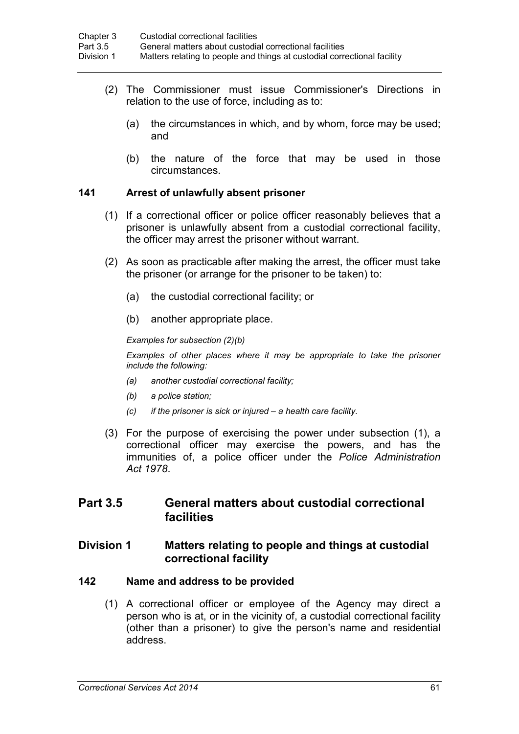- (2) The Commissioner must issue Commissioner's Directions in relation to the use of force, including as to:
	- (a) the circumstances in which, and by whom, force may be used; and
	- (b) the nature of the force that may be used in those circumstances.

## **141 Arrest of unlawfully absent prisoner**

- (1) If a correctional officer or police officer reasonably believes that a prisoner is unlawfully absent from a custodial correctional facility, the officer may arrest the prisoner without warrant.
- (2) As soon as practicable after making the arrest, the officer must take the prisoner (or arrange for the prisoner to be taken) to:
	- (a) the custodial correctional facility; or
	- (b) another appropriate place.

*Examples for subsection (2)(b)*

*Examples of other places where it may be appropriate to take the prisoner include the following:* 

- *(a) another custodial correctional facility;*
- *(b) a police station;*
- *(c) if the prisoner is sick or injured – a health care facility.*
- (3) For the purpose of exercising the power under subsection (1), a correctional officer may exercise the powers, and has the immunities of, a police officer under the *Police Administration Act 1978*.

# **Part 3.5 General matters about custodial correctional facilities**

## **Division 1 Matters relating to people and things at custodial correctional facility**

#### **142 Name and address to be provided**

(1) A correctional officer or employee of the Agency may direct a person who is at, or in the vicinity of, a custodial correctional facility (other than a prisoner) to give the person's name and residential address.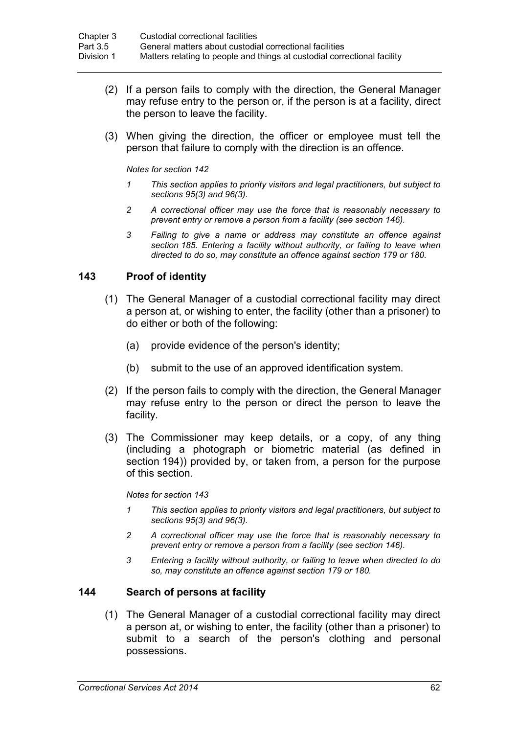- (2) If a person fails to comply with the direction, the General Manager may refuse entry to the person or, if the person is at a facility, direct the person to leave the facility.
- (3) When giving the direction, the officer or employee must tell the person that failure to comply with the direction is an offence.

#### *Notes for section 142*

- *1 This section applies to priority visitors and legal practitioners, but subject to sections 95(3) and 96(3).*
- *2 A correctional officer may use the force that is reasonably necessary to prevent entry or remove a person from a facility (see section 146).*
- *3 Failing to give a name or address may constitute an offence against section 185. Entering a facility without authority, or failing to leave when directed to do so, may constitute an offence against section 179 or 180.*

## **143 Proof of identity**

- (1) The General Manager of a custodial correctional facility may direct a person at, or wishing to enter, the facility (other than a prisoner) to do either or both of the following:
	- (a) provide evidence of the person's identity;
	- (b) submit to the use of an approved identification system.
- (2) If the person fails to comply with the direction, the General Manager may refuse entry to the person or direct the person to leave the facility.
- (3) The Commissioner may keep details, or a copy, of any thing (including a photograph or biometric material (as defined in section 194)) provided by, or taken from, a person for the purpose of this section.

*Notes for section 143*

- *1 This section applies to priority visitors and legal practitioners, but subject to sections 95(3) and 96(3).*
- *2 A correctional officer may use the force that is reasonably necessary to prevent entry or remove a person from a facility (see section 146).*
- *3 Entering a facility without authority, or failing to leave when directed to do so, may constitute an offence against section 179 or 180.*

## **144 Search of persons at facility**

(1) The General Manager of a custodial correctional facility may direct a person at, or wishing to enter, the facility (other than a prisoner) to submit to a search of the person's clothing and personal possessions.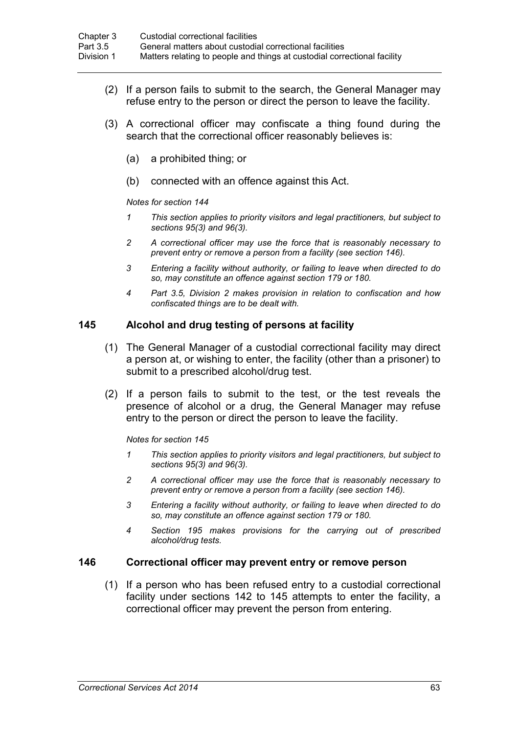- (2) If a person fails to submit to the search, the General Manager may refuse entry to the person or direct the person to leave the facility.
- (3) A correctional officer may confiscate a thing found during the search that the correctional officer reasonably believes is:
	- (a) a prohibited thing; or
	- (b) connected with an offence against this Act.

*Notes for section 144*

- *1 This section applies to priority visitors and legal practitioners, but subject to sections 95(3) and 96(3).*
- *2 A correctional officer may use the force that is reasonably necessary to prevent entry or remove a person from a facility (see section 146).*
- *3 Entering a facility without authority, or failing to leave when directed to do so, may constitute an offence against section 179 or 180.*
- *4 Part 3.5, Division 2 makes provision in relation to confiscation and how confiscated things are to be dealt with.*

#### **145 Alcohol and drug testing of persons at facility**

- (1) The General Manager of a custodial correctional facility may direct a person at, or wishing to enter, the facility (other than a prisoner) to submit to a prescribed alcohol/drug test.
- (2) If a person fails to submit to the test, or the test reveals the presence of alcohol or a drug, the General Manager may refuse entry to the person or direct the person to leave the facility.

*Notes for section 145*

- *1 This section applies to priority visitors and legal practitioners, but subject to sections 95(3) and 96(3).*
- *2 A correctional officer may use the force that is reasonably necessary to prevent entry or remove a person from a facility (see section 146).*
- *3 Entering a facility without authority, or failing to leave when directed to do so, may constitute an offence against section 179 or 180.*
- *4 Section 195 makes provisions for the carrying out of prescribed alcohol/drug tests.*

#### **146 Correctional officer may prevent entry or remove person**

(1) If a person who has been refused entry to a custodial correctional facility under sections 142 to 145 attempts to enter the facility, a correctional officer may prevent the person from entering.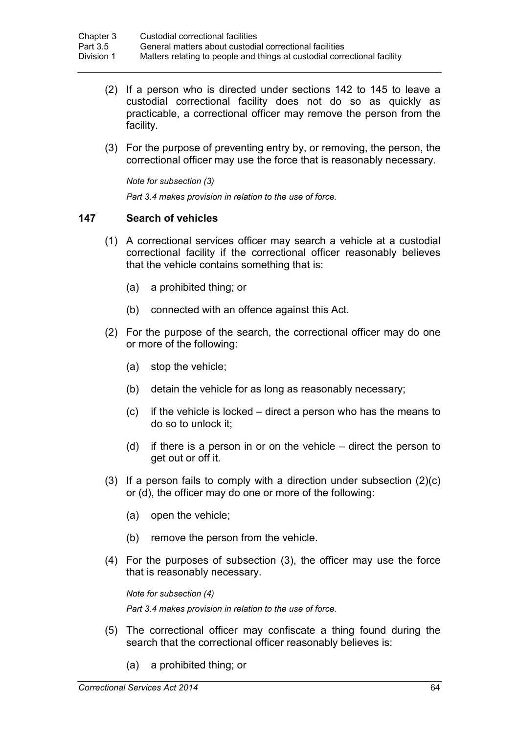- (2) If a person who is directed under sections 142 to 145 to leave a custodial correctional facility does not do so as quickly as practicable, a correctional officer may remove the person from the facility.
- (3) For the purpose of preventing entry by, or removing, the person, the correctional officer may use the force that is reasonably necessary.

*Note for subsection (3)*

*Part 3.4 makes provision in relation to the use of force.*

### **147 Search of vehicles**

- (1) A correctional services officer may search a vehicle at a custodial correctional facility if the correctional officer reasonably believes that the vehicle contains something that is:
	- (a) a prohibited thing; or
	- (b) connected with an offence against this Act.
- (2) For the purpose of the search, the correctional officer may do one or more of the following:
	- (a) stop the vehicle;
	- (b) detain the vehicle for as long as reasonably necessary;
	- (c) if the vehicle is locked direct a person who has the means to do so to unlock it;
	- (d) if there is a person in or on the vehicle direct the person to get out or off it.
- (3) If a person fails to comply with a direction under subsection (2)(c) or (d), the officer may do one or more of the following:
	- (a) open the vehicle;
	- (b) remove the person from the vehicle.
- (4) For the purposes of subsection (3), the officer may use the force that is reasonably necessary.

*Note for subsection (4) Part 3.4 makes provision in relation to the use of force.*

- (5) The correctional officer may confiscate a thing found during the search that the correctional officer reasonably believes is:
	- (a) a prohibited thing; or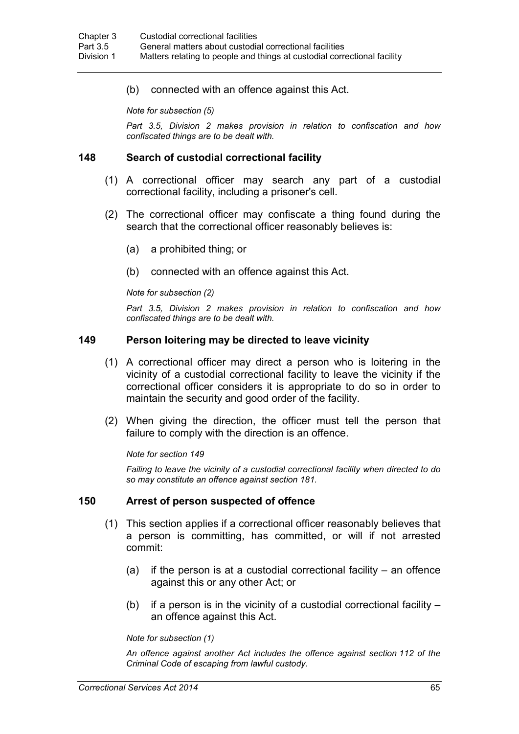(b) connected with an offence against this Act.

*Note for subsection (5)*

*Part 3.5, Division 2 makes provision in relation to confiscation and how confiscated things are to be dealt with.*

#### **148 Search of custodial correctional facility**

- (1) A correctional officer may search any part of a custodial correctional facility, including a prisoner's cell.
- (2) The correctional officer may confiscate a thing found during the search that the correctional officer reasonably believes is:
	- (a) a prohibited thing; or
	- (b) connected with an offence against this Act.

#### *Note for subsection (2)*

*Part 3.5, Division 2 makes provision in relation to confiscation and how confiscated things are to be dealt with.*

#### **149 Person loitering may be directed to leave vicinity**

- (1) A correctional officer may direct a person who is loitering in the vicinity of a custodial correctional facility to leave the vicinity if the correctional officer considers it is appropriate to do so in order to maintain the security and good order of the facility.
- (2) When giving the direction, the officer must tell the person that failure to comply with the direction is an offence.

*Note for section 149*

*Failing to leave the vicinity of a custodial correctional facility when directed to do so may constitute an offence against section 181.*

#### **150 Arrest of person suspected of offence**

- (1) This section applies if a correctional officer reasonably believes that a person is committing, has committed, or will if not arrested commit:
	- (a) if the person is at a custodial correctional facility  $-$  an offence against this or any other Act; or
	- (b) if a person is in the vicinity of a custodial correctional facility an offence against this Act.

*Note for subsection (1)*

*An offence against another Act includes the offence against section 112 of the Criminal Code of escaping from lawful custody.*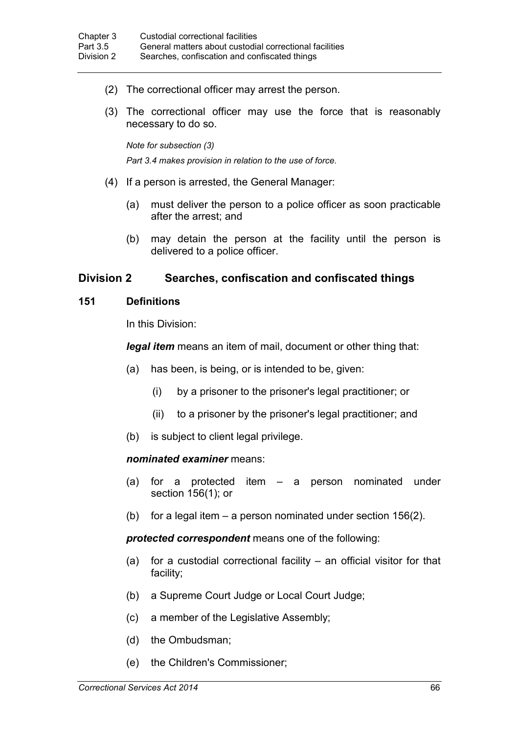- (2) The correctional officer may arrest the person.
- (3) The correctional officer may use the force that is reasonably necessary to do so.

*Note for subsection (3) Part 3.4 makes provision in relation to the use of force.*

- (4) If a person is arrested, the General Manager:
	- (a) must deliver the person to a police officer as soon practicable after the arrest; and
	- (b) may detain the person at the facility until the person is delivered to a police officer.

### **Division 2 Searches, confiscation and confiscated things**

#### **151 Definitions**

In this Division:

*legal item* means an item of mail, document or other thing that:

- (a) has been, is being, or is intended to be, given:
	- (i) by a prisoner to the prisoner's legal practitioner; or
	- (ii) to a prisoner by the prisoner's legal practitioner; and
- (b) is subject to client legal privilege.

#### *nominated examiner* means:

- (a) for a protected item a person nominated under section 156(1); or
- (b) for a legal item a person nominated under section 156(2).

*protected correspondent* means one of the following:

- (a) for a custodial correctional facility an official visitor for that facility;
- (b) a Supreme Court Judge or Local Court Judge;
- (c) a member of the Legislative Assembly;
- (d) the Ombudsman;
- (e) the Children's Commissioner;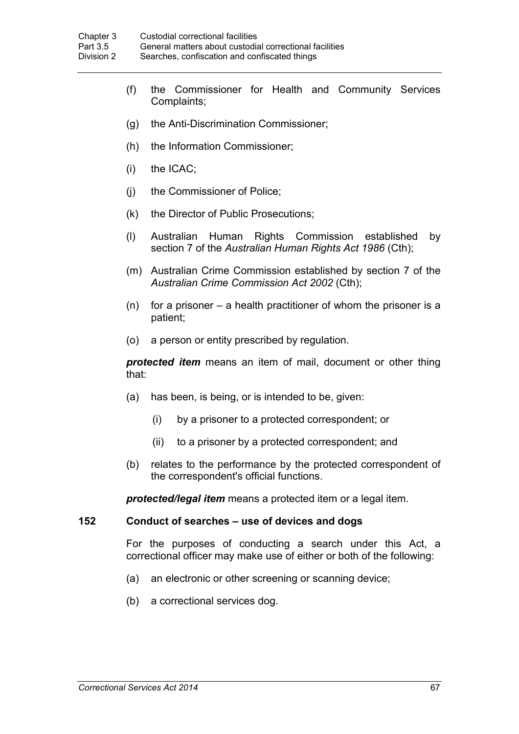- (f) the Commissioner for Health and Community Services Complaints;
- (g) the Anti-Discrimination Commissioner;
- (h) the Information Commissioner;
- (i) the ICAC;
- (j) the Commissioner of Police;
- (k) the Director of Public Prosecutions;
- (l) Australian Human Rights Commission established by section 7 of the *Australian Human Rights Act 1986* (Cth);
- (m) Australian Crime Commission established by section 7 of the *Australian Crime Commission Act 2002* (Cth);
- $(n)$  for a prisoner a health practitioner of whom the prisoner is a patient;
- (o) a person or entity prescribed by regulation.

*protected item* means an item of mail, document or other thing that:

- (a) has been, is being, or is intended to be, given:
	- (i) by a prisoner to a protected correspondent; or
	- (ii) to a prisoner by a protected correspondent; and
- (b) relates to the performance by the protected correspondent of the correspondent's official functions.

*protected/legal item* means a protected item or a legal item.

#### **152 Conduct of searches – use of devices and dogs**

For the purposes of conducting a search under this Act, a correctional officer may make use of either or both of the following:

- (a) an electronic or other screening or scanning device;
- (b) a correctional services dog.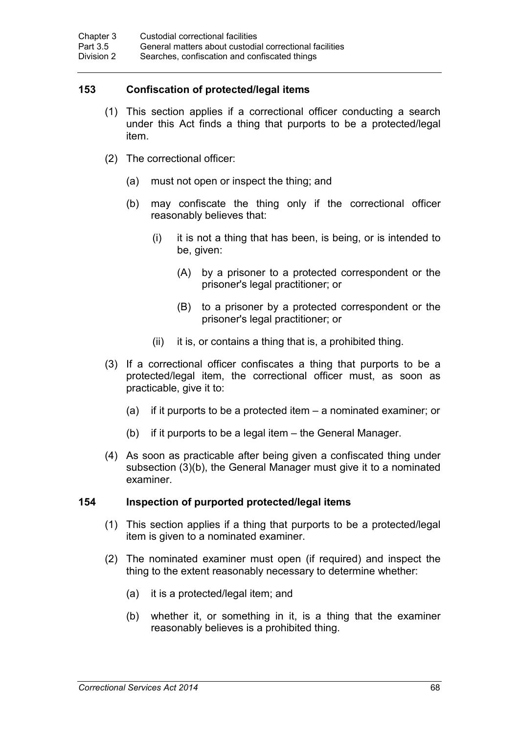# **153 Confiscation of protected/legal items**

- (1) This section applies if a correctional officer conducting a search under this Act finds a thing that purports to be a protected/legal item.
- (2) The correctional officer:
	- (a) must not open or inspect the thing; and
	- (b) may confiscate the thing only if the correctional officer reasonably believes that:
		- (i) it is not a thing that has been, is being, or is intended to be, given:
			- (A) by a prisoner to a protected correspondent or the prisoner's legal practitioner; or
			- (B) to a prisoner by a protected correspondent or the prisoner's legal practitioner; or
		- (ii) it is, or contains a thing that is, a prohibited thing.
- (3) If a correctional officer confiscates a thing that purports to be a protected/legal item, the correctional officer must, as soon as practicable, give it to:
	- (a) if it purports to be a protected item a nominated examiner; or
	- (b) if it purports to be a legal item the General Manager.
- (4) As soon as practicable after being given a confiscated thing under subsection (3)(b), the General Manager must give it to a nominated examiner.

#### **154 Inspection of purported protected/legal items**

- (1) This section applies if a thing that purports to be a protected/legal item is given to a nominated examiner.
- (2) The nominated examiner must open (if required) and inspect the thing to the extent reasonably necessary to determine whether:
	- (a) it is a protected/legal item; and
	- (b) whether it, or something in it, is a thing that the examiner reasonably believes is a prohibited thing.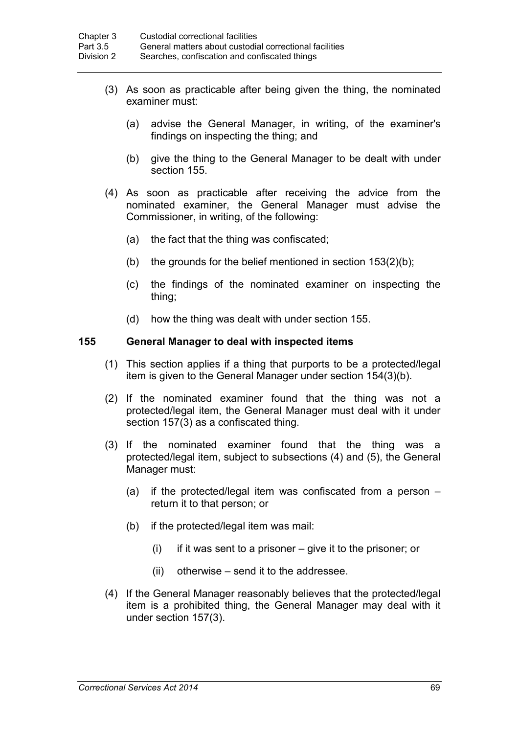- (3) As soon as practicable after being given the thing, the nominated examiner must:
	- (a) advise the General Manager, in writing, of the examiner's findings on inspecting the thing; and
	- (b) give the thing to the General Manager to be dealt with under section 155.
- (4) As soon as practicable after receiving the advice from the nominated examiner, the General Manager must advise the Commissioner, in writing, of the following:
	- (a) the fact that the thing was confiscated;
	- (b) the grounds for the belief mentioned in section 153(2)(b);
	- (c) the findings of the nominated examiner on inspecting the thing;
	- (d) how the thing was dealt with under section 155.

#### **155 General Manager to deal with inspected items**

- (1) This section applies if a thing that purports to be a protected/legal item is given to the General Manager under section 154(3)(b).
- (2) If the nominated examiner found that the thing was not a protected/legal item, the General Manager must deal with it under section 157(3) as a confiscated thing.
- (3) If the nominated examiner found that the thing was a protected/legal item, subject to subsections (4) and (5), the General Manager must:
	- (a) if the protected/legal item was confiscated from a person return it to that person; or
	- (b) if the protected/legal item was mail:
		- $(i)$  if it was sent to a prisoner give it to the prisoner; or
		- (ii) otherwise send it to the addressee.
- (4) If the General Manager reasonably believes that the protected/legal item is a prohibited thing, the General Manager may deal with it under section 157(3).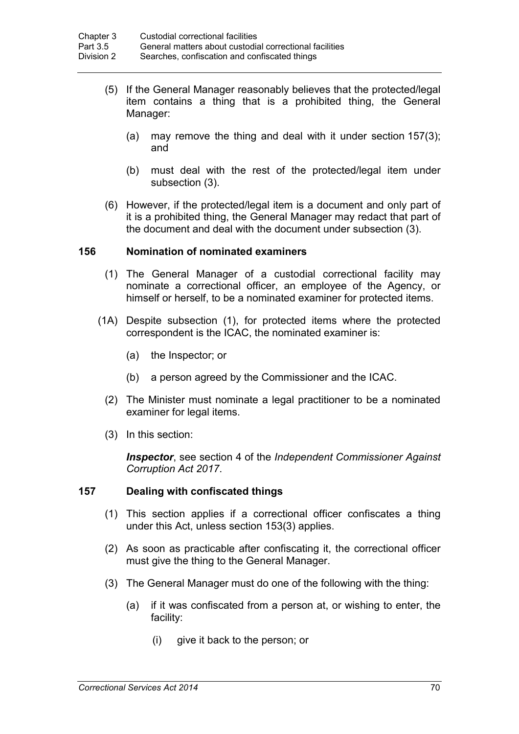- (5) If the General Manager reasonably believes that the protected/legal item contains a thing that is a prohibited thing, the General Manager:
	- (a) may remove the thing and deal with it under section 157(3); and
	- (b) must deal with the rest of the protected/legal item under subsection (3).
- (6) However, if the protected/legal item is a document and only part of it is a prohibited thing, the General Manager may redact that part of the document and deal with the document under subsection (3).

#### **156 Nomination of nominated examiners**

- (1) The General Manager of a custodial correctional facility may nominate a correctional officer, an employee of the Agency, or himself or herself, to be a nominated examiner for protected items.
- (1A) Despite subsection (1), for protected items where the protected correspondent is the ICAC, the nominated examiner is:
	- (a) the Inspector; or
	- (b) a person agreed by the Commissioner and the ICAC.
	- (2) The Minister must nominate a legal practitioner to be a nominated examiner for legal items.
	- (3) In this section:

*Inspector*, see section 4 of the *Independent Commissioner Against Corruption Act 2017*.

#### **157 Dealing with confiscated things**

- (1) This section applies if a correctional officer confiscates a thing under this Act, unless section 153(3) applies.
- (2) As soon as practicable after confiscating it, the correctional officer must give the thing to the General Manager.
- (3) The General Manager must do one of the following with the thing:
	- (a) if it was confiscated from a person at, or wishing to enter, the facility:
		- (i) give it back to the person; or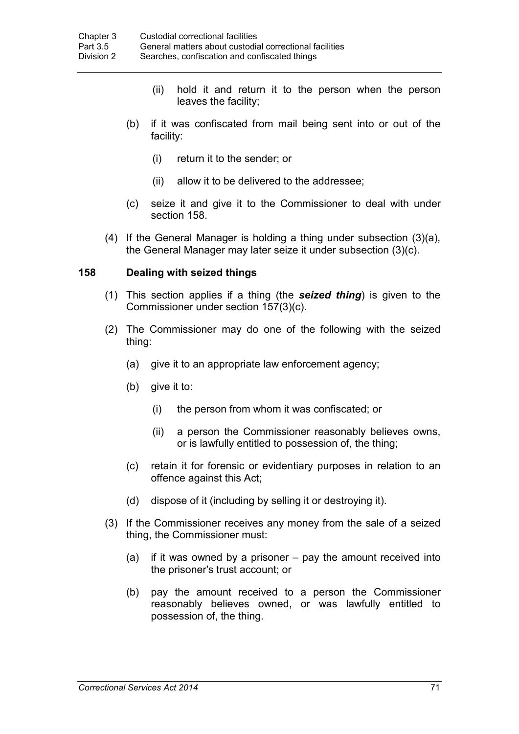- (ii) hold it and return it to the person when the person leaves the facility;
- (b) if it was confiscated from mail being sent into or out of the facility:
	- (i) return it to the sender; or
	- (ii) allow it to be delivered to the addressee;
- (c) seize it and give it to the Commissioner to deal with under section 158.
- (4) If the General Manager is holding a thing under subsection (3)(a), the General Manager may later seize it under subsection (3)(c).

#### **158 Dealing with seized things**

- (1) This section applies if a thing (the *seized thing*) is given to the Commissioner under section 157(3)(c).
- (2) The Commissioner may do one of the following with the seized thing:
	- (a) give it to an appropriate law enforcement agency;
	- (b) give it to:
		- (i) the person from whom it was confiscated; or
		- (ii) a person the Commissioner reasonably believes owns, or is lawfully entitled to possession of, the thing;
	- (c) retain it for forensic or evidentiary purposes in relation to an offence against this Act;
	- (d) dispose of it (including by selling it or destroying it).
- (3) If the Commissioner receives any money from the sale of a seized thing, the Commissioner must:
	- (a) if it was owned by a prisoner pay the amount received into the prisoner's trust account; or
	- (b) pay the amount received to a person the Commissioner reasonably believes owned, or was lawfully entitled to possession of, the thing.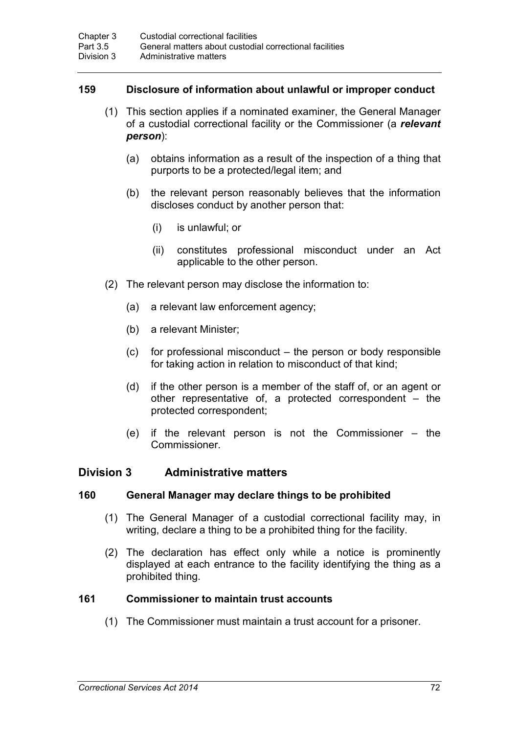### **159 Disclosure of information about unlawful or improper conduct**

- (1) This section applies if a nominated examiner, the General Manager of a custodial correctional facility or the Commissioner (a *relevant person*):
	- (a) obtains information as a result of the inspection of a thing that purports to be a protected/legal item; and
	- (b) the relevant person reasonably believes that the information discloses conduct by another person that:
		- (i) is unlawful; or
		- (ii) constitutes professional misconduct under an Act applicable to the other person.
- (2) The relevant person may disclose the information to:
	- (a) a relevant law enforcement agency;
	- (b) a relevant Minister;
	- (c) for professional misconduct the person or body responsible for taking action in relation to misconduct of that kind;
	- (d) if the other person is a member of the staff of, or an agent or other representative of, a protected correspondent – the protected correspondent;
	- (e) if the relevant person is not the Commissioner the **Commissioner**

## **Division 3 Administrative matters**

#### **160 General Manager may declare things to be prohibited**

- (1) The General Manager of a custodial correctional facility may, in writing, declare a thing to be a prohibited thing for the facility.
- (2) The declaration has effect only while a notice is prominently displayed at each entrance to the facility identifying the thing as a prohibited thing.

### **161 Commissioner to maintain trust accounts**

(1) The Commissioner must maintain a trust account for a prisoner.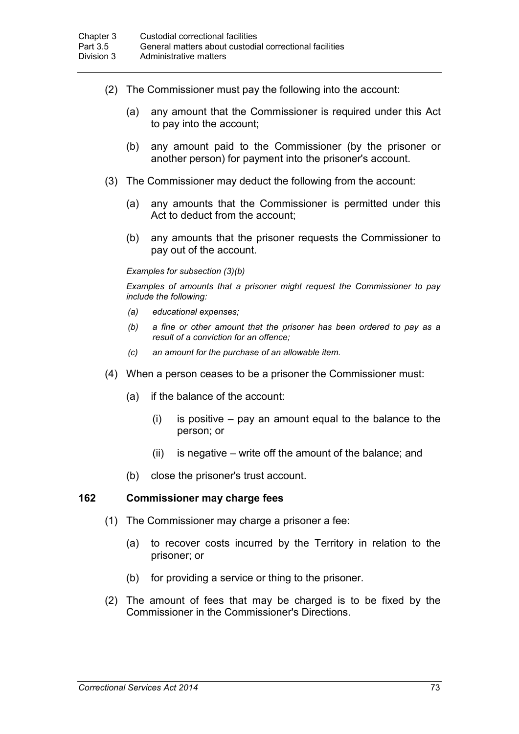- (2) The Commissioner must pay the following into the account:
	- (a) any amount that the Commissioner is required under this Act to pay into the account;
	- (b) any amount paid to the Commissioner (by the prisoner or another person) for payment into the prisoner's account.
- (3) The Commissioner may deduct the following from the account:
	- (a) any amounts that the Commissioner is permitted under this Act to deduct from the account;
	- (b) any amounts that the prisoner requests the Commissioner to pay out of the account.

#### *Examples for subsection (3)(b)*

*Examples of amounts that a prisoner might request the Commissioner to pay include the following:*

- *(a) educational expenses;*
- *(b) a fine or other amount that the prisoner has been ordered to pay as a result of a conviction for an offence;*
- *(c) an amount for the purchase of an allowable item.*
- (4) When a person ceases to be a prisoner the Commissioner must:
	- (a) if the balance of the account:
		- $(i)$  is positive pay an amount equal to the balance to the person; or
		- (ii) is negative write off the amount of the balance; and
	- (b) close the prisoner's trust account.

#### **162 Commissioner may charge fees**

- (1) The Commissioner may charge a prisoner a fee:
	- (a) to recover costs incurred by the Territory in relation to the prisoner; or
	- (b) for providing a service or thing to the prisoner.
- (2) The amount of fees that may be charged is to be fixed by the Commissioner in the Commissioner's Directions.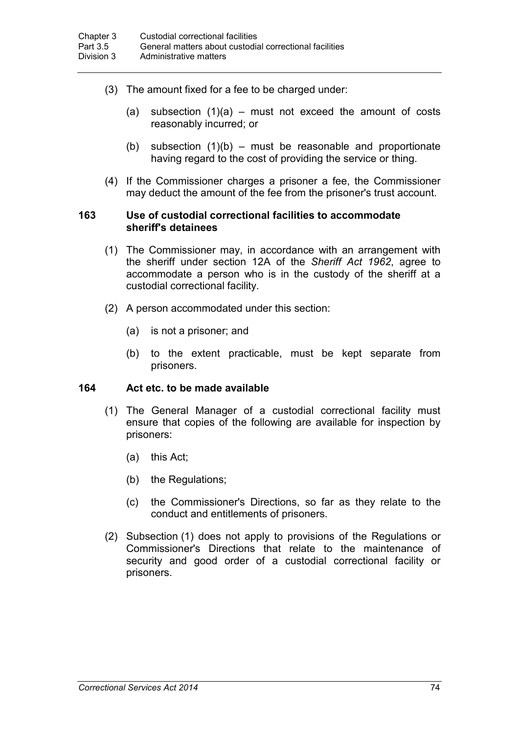- (3) The amount fixed for a fee to be charged under:
	- (a) subsection  $(1)(a)$  must not exceed the amount of costs reasonably incurred; or
	- (b) subsection  $(1)(b)$  must be reasonable and proportionate having regard to the cost of providing the service or thing.
- (4) If the Commissioner charges a prisoner a fee, the Commissioner may deduct the amount of the fee from the prisoner's trust account.

#### **163 Use of custodial correctional facilities to accommodate sheriff's detainees**

- (1) The Commissioner may, in accordance with an arrangement with the sheriff under section 12A of the *Sheriff Act 1962*, agree to accommodate a person who is in the custody of the sheriff at a custodial correctional facility.
- (2) A person accommodated under this section:
	- (a) is not a prisoner; and
	- (b) to the extent practicable, must be kept separate from prisoners.

### **164 Act etc. to be made available**

- (1) The General Manager of a custodial correctional facility must ensure that copies of the following are available for inspection by prisoners:
	- (a) this Act;
	- (b) the Regulations;
	- (c) the Commissioner's Directions, so far as they relate to the conduct and entitlements of prisoners.
- (2) Subsection (1) does not apply to provisions of the Regulations or Commissioner's Directions that relate to the maintenance of security and good order of a custodial correctional facility or prisoners.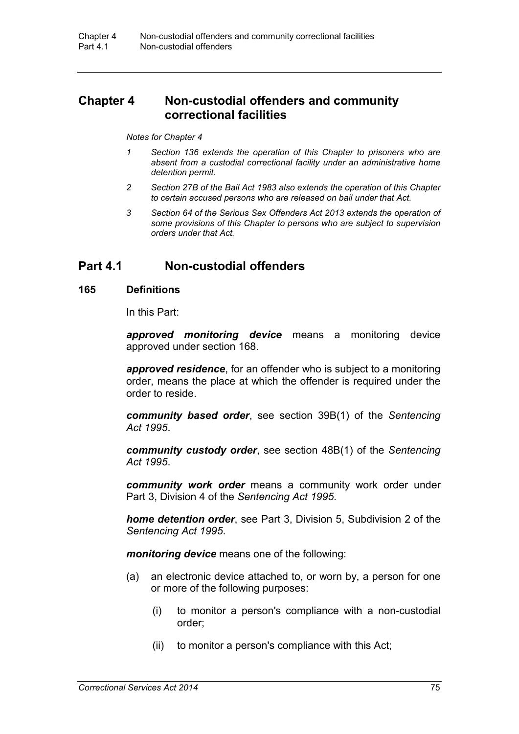# **Chapter 4 Non-custodial offenders and community correctional facilities**

#### *Notes for Chapter 4*

- *1 Section 136 extends the operation of this Chapter to prisoners who are absent from a custodial correctional facility under an administrative home detention permit.*
- *2 Section 27B of the Bail Act 1983 also extends the operation of this Chapter to certain accused persons who are released on bail under that Act.*
- *3 Section 64 of the Serious Sex Offenders Act 2013 extends the operation of some provisions of this Chapter to persons who are subject to supervision orders under that Act.*

## **Part 4.1 Non-custodial offenders**

#### **165 Definitions**

In this Part:

*approved monitoring device* means a monitoring device approved under section 168.

*approved residence*, for an offender who is subject to a monitoring order, means the place at which the offender is required under the order to reside.

*community based order*, see section 39B(1) of the *Sentencing Act 1995*.

*community custody order*, see section 48B(1) of the *Sentencing Act 1995*.

*community work order* means a community work order under Part 3, Division 4 of the *Sentencing Act 1995*.

*home detention order*, see Part 3, Division 5, Subdivision 2 of the *Sentencing Act 1995*.

*monitoring device* means one of the following:

- (a) an electronic device attached to, or worn by, a person for one or more of the following purposes:
	- (i) to monitor a person's compliance with a non-custodial order;
	- (ii) to monitor a person's compliance with this Act;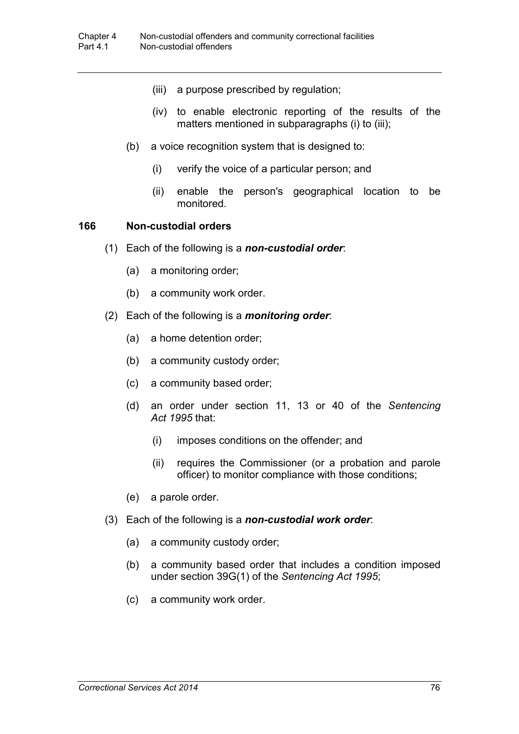- (iii) a purpose prescribed by regulation;
- (iv) to enable electronic reporting of the results of the matters mentioned in subparagraphs (i) to (iii);
- (b) a voice recognition system that is designed to:
	- (i) verify the voice of a particular person; and
	- (ii) enable the person's geographical location to be monitored.

#### **166 Non-custodial orders**

- (1) Each of the following is a *non-custodial order*:
	- (a) a monitoring order;
	- (b) a community work order.
- (2) Each of the following is a *monitoring order*:
	- (a) a home detention order;
	- (b) a community custody order;
	- (c) a community based order;
	- (d) an order under section 11, 13 or 40 of the *Sentencing Act 1995* that:
		- (i) imposes conditions on the offender; and
		- (ii) requires the Commissioner (or a probation and parole officer) to monitor compliance with those conditions;
	- (e) a parole order.
- (3) Each of the following is a *non-custodial work order*:
	- (a) a community custody order;
	- (b) a community based order that includes a condition imposed under section 39G(1) of the *Sentencing Act 1995*;
	- (c) a community work order.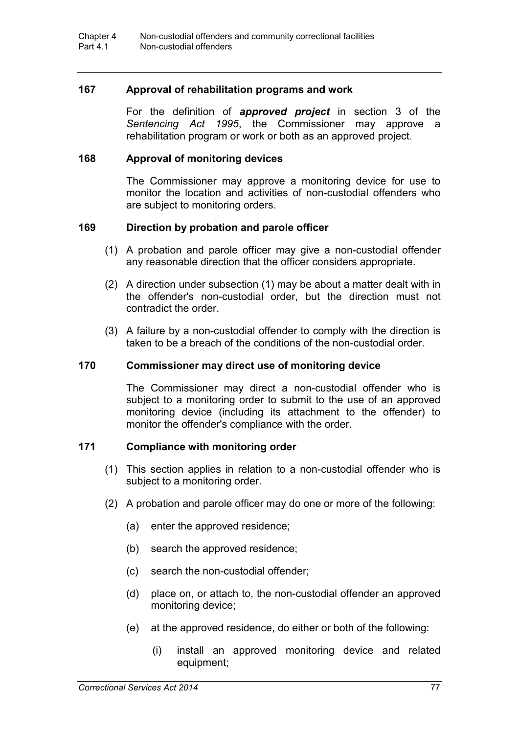#### **167 Approval of rehabilitation programs and work**

For the definition of *approved project* in section 3 of the *Sentencing Act 1995*, the Commissioner may approve a rehabilitation program or work or both as an approved project.

#### **168 Approval of monitoring devices**

The Commissioner may approve a monitoring device for use to monitor the location and activities of non-custodial offenders who are subject to monitoring orders.

#### **169 Direction by probation and parole officer**

- (1) A probation and parole officer may give a non-custodial offender any reasonable direction that the officer considers appropriate.
- (2) A direction under subsection (1) may be about a matter dealt with in the offender's non-custodial order, but the direction must not contradict the order.
- (3) A failure by a non-custodial offender to comply with the direction is taken to be a breach of the conditions of the non-custodial order.

#### **170 Commissioner may direct use of monitoring device**

The Commissioner may direct a non-custodial offender who is subject to a monitoring order to submit to the use of an approved monitoring device (including its attachment to the offender) to monitor the offender's compliance with the order.

#### **171 Compliance with monitoring order**

- (1) This section applies in relation to a non-custodial offender who is subject to a monitoring order.
- (2) A probation and parole officer may do one or more of the following:
	- (a) enter the approved residence;
	- (b) search the approved residence;
	- (c) search the non-custodial offender;
	- (d) place on, or attach to, the non-custodial offender an approved monitoring device;
	- (e) at the approved residence, do either or both of the following:
		- (i) install an approved monitoring device and related equipment;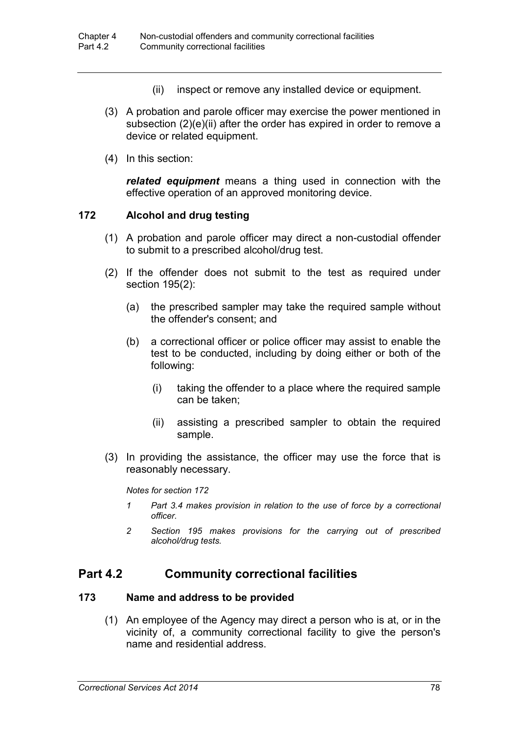- (ii) inspect or remove any installed device or equipment.
- (3) A probation and parole officer may exercise the power mentioned in subsection (2)(e)(ii) after the order has expired in order to remove a device or related equipment.
- (4) In this section:

*related equipment* means a thing used in connection with the effective operation of an approved monitoring device.

#### **172 Alcohol and drug testing**

- (1) A probation and parole officer may direct a non-custodial offender to submit to a prescribed alcohol/drug test.
- (2) If the offender does not submit to the test as required under section 195(2):
	- (a) the prescribed sampler may take the required sample without the offender's consent; and
	- (b) a correctional officer or police officer may assist to enable the test to be conducted, including by doing either or both of the following:
		- (i) taking the offender to a place where the required sample can be taken;
		- (ii) assisting a prescribed sampler to obtain the required sample.
- (3) In providing the assistance, the officer may use the force that is reasonably necessary.

*Notes for section 172*

- *1 Part 3.4 makes provision in relation to the use of force by a correctional officer.*
- *2 Section 195 makes provisions for the carrying out of prescribed alcohol/drug tests.*

# **Part 4.2 Community correctional facilities**

#### **173 Name and address to be provided**

(1) An employee of the Agency may direct a person who is at, or in the vicinity of, a community correctional facility to give the person's name and residential address.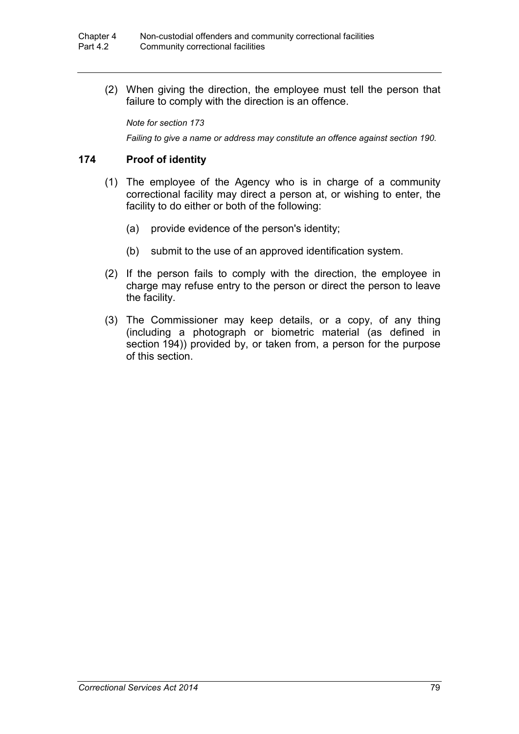(2) When giving the direction, the employee must tell the person that failure to comply with the direction is an offence.

*Note for section 173*

*Failing to give a name or address may constitute an offence against section 190.*

#### **174 Proof of identity**

- (1) The employee of the Agency who is in charge of a community correctional facility may direct a person at, or wishing to enter, the facility to do either or both of the following:
	- (a) provide evidence of the person's identity;
	- (b) submit to the use of an approved identification system.
- (2) If the person fails to comply with the direction, the employee in charge may refuse entry to the person or direct the person to leave the facility.
- (3) The Commissioner may keep details, or a copy, of any thing (including a photograph or biometric material (as defined in section 194)) provided by, or taken from, a person for the purpose of this section.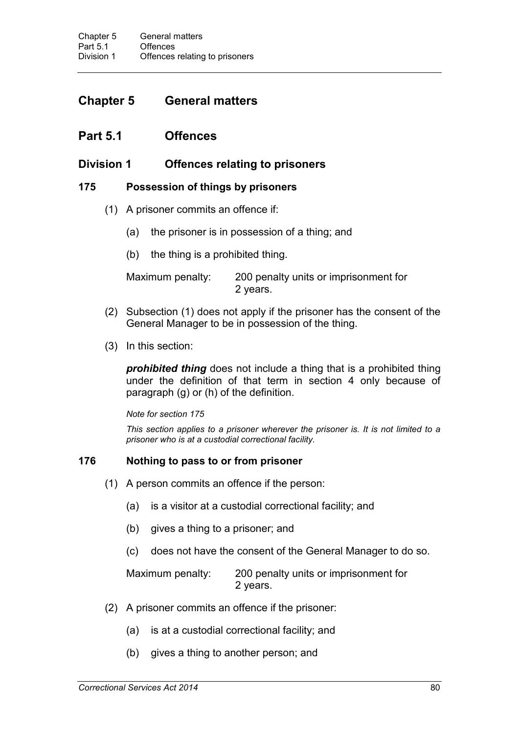# **Chapter 5 General matters**

# **Part 5.1 Offences**

# **Division 1 Offences relating to prisoners**

### **175 Possession of things by prisoners**

- (1) A prisoner commits an offence if:
	- (a) the prisoner is in possession of a thing; and
	- (b) the thing is a prohibited thing.

Maximum penalty: 200 penalty units or imprisonment for 2 years.

- (2) Subsection (1) does not apply if the prisoner has the consent of the General Manager to be in possession of the thing.
- (3) In this section:

*prohibited thing* does not include a thing that is a prohibited thing under the definition of that term in section 4 only because of paragraph (g) or (h) of the definition.

*Note for section 175*

*This section applies to a prisoner wherever the prisoner is. It is not limited to a prisoner who is at a custodial correctional facility.*

## **176 Nothing to pass to or from prisoner**

- (1) A person commits an offence if the person:
	- (a) is a visitor at a custodial correctional facility; and
	- (b) gives a thing to a prisoner; and
	- (c) does not have the consent of the General Manager to do so.

Maximum penalty: 200 penalty units or imprisonment for 2 years.

- (2) A prisoner commits an offence if the prisoner:
	- (a) is at a custodial correctional facility; and
	- (b) gives a thing to another person; and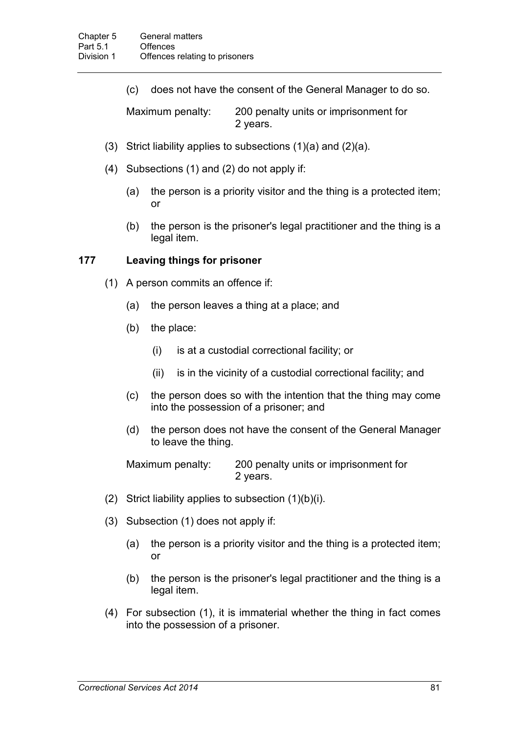(c) does not have the consent of the General Manager to do so.

Maximum penalty: 200 penalty units or imprisonment for 2 years.

- (3) Strict liability applies to subsections (1)(a) and (2)(a).
- (4) Subsections (1) and (2) do not apply if:
	- (a) the person is a priority visitor and the thing is a protected item; or
	- (b) the person is the prisoner's legal practitioner and the thing is a legal item.

#### **177 Leaving things for prisoner**

- (1) A person commits an offence if:
	- (a) the person leaves a thing at a place; and
	- (b) the place:
		- (i) is at a custodial correctional facility; or
		- (ii) is in the vicinity of a custodial correctional facility; and
	- (c) the person does so with the intention that the thing may come into the possession of a prisoner; and
	- (d) the person does not have the consent of the General Manager to leave the thing.

| Maximum penalty: | 200 penalty units or imprisonment for |
|------------------|---------------------------------------|
|                  | 2 years.                              |

- (2) Strict liability applies to subsection  $(1)(b)(i)$ .
- (3) Subsection (1) does not apply if:
	- (a) the person is a priority visitor and the thing is a protected item; or
	- (b) the person is the prisoner's legal practitioner and the thing is a legal item.
- (4) For subsection (1), it is immaterial whether the thing in fact comes into the possession of a prisoner.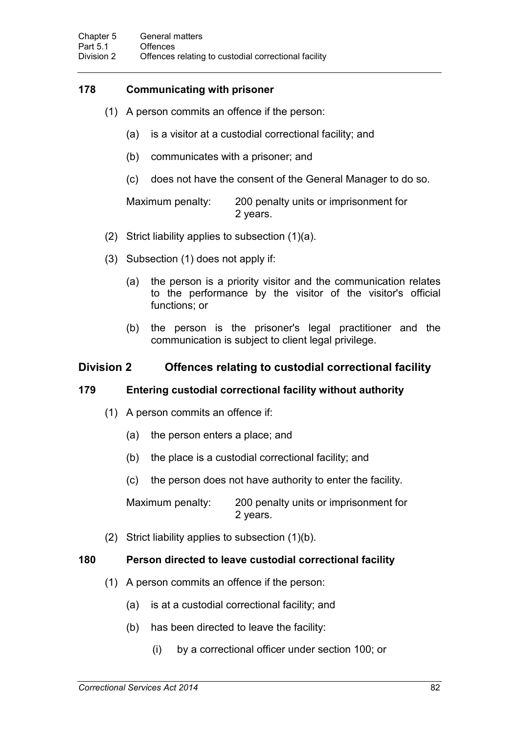# **178 Communicating with prisoner**

- (1) A person commits an offence if the person:
	- (a) is a visitor at a custodial correctional facility; and
	- (b) communicates with a prisoner; and
	- (c) does not have the consent of the General Manager to do so.

Maximum penalty: 200 penalty units or imprisonment for 2 years.

- (2) Strict liability applies to subsection (1)(a).
- (3) Subsection (1) does not apply if:
	- (a) the person is a priority visitor and the communication relates to the performance by the visitor of the visitor's official functions; or
	- (b) the person is the prisoner's legal practitioner and the communication is subject to client legal privilege.

# **Division 2 Offences relating to custodial correctional facility**

#### **179 Entering custodial correctional facility without authority**

- (1) A person commits an offence if:
	- (a) the person enters a place; and
	- (b) the place is a custodial correctional facility; and
	- (c) the person does not have authority to enter the facility.

Maximum penalty: 200 penalty units or imprisonment for 2 years.

(2) Strict liability applies to subsection (1)(b).

## **180 Person directed to leave custodial correctional facility**

- (1) A person commits an offence if the person:
	- (a) is at a custodial correctional facility; and
	- (b) has been directed to leave the facility:
		- (i) by a correctional officer under section 100; or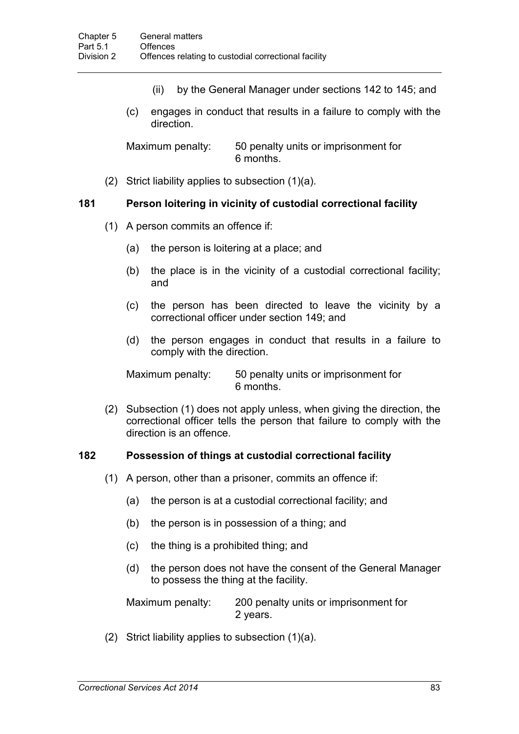- (ii) by the General Manager under sections 142 to 145; and
- (c) engages in conduct that results in a failure to comply with the direction.

Maximum penalty: 50 penalty units or imprisonment for 6 months.

(2) Strict liability applies to subsection (1)(a).

#### **181 Person loitering in vicinity of custodial correctional facility**

- (1) A person commits an offence if:
	- (a) the person is loitering at a place; and
	- (b) the place is in the vicinity of a custodial correctional facility; and
	- (c) the person has been directed to leave the vicinity by a correctional officer under section 149; and
	- (d) the person engages in conduct that results in a failure to comply with the direction.

Maximum penalty: 50 penalty units or imprisonment for 6 months.

(2) Subsection (1) does not apply unless, when giving the direction, the correctional officer tells the person that failure to comply with the direction is an offence.

#### **182 Possession of things at custodial correctional facility**

- (1) A person, other than a prisoner, commits an offence if:
	- (a) the person is at a custodial correctional facility; and
	- (b) the person is in possession of a thing; and
	- (c) the thing is a prohibited thing; and
	- (d) the person does not have the consent of the General Manager to possess the thing at the facility.

Maximum penalty: 200 penalty units or imprisonment for 2 years.

(2) Strict liability applies to subsection (1)(a).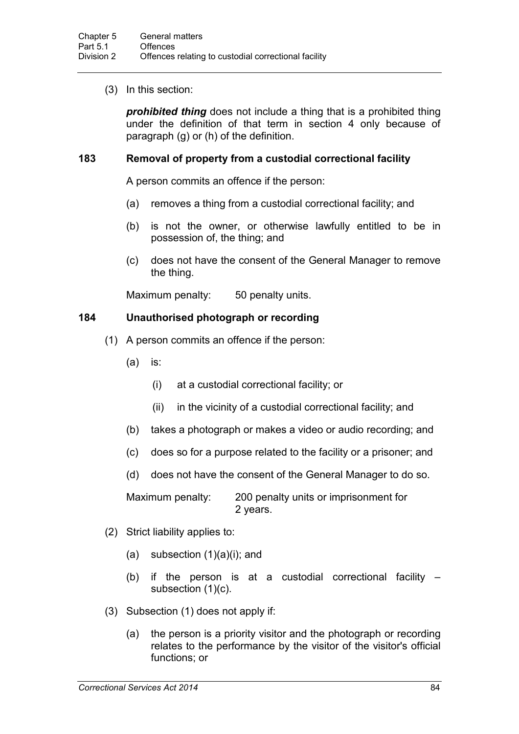(3) In this section:

*prohibited thing* does not include a thing that is a prohibited thing under the definition of that term in section 4 only because of paragraph (g) or (h) of the definition.

### **183 Removal of property from a custodial correctional facility**

A person commits an offence if the person:

- (a) removes a thing from a custodial correctional facility; and
- (b) is not the owner, or otherwise lawfully entitled to be in possession of, the thing; and
- (c) does not have the consent of the General Manager to remove the thing.

Maximum penalty: 50 penalty units.

## **184 Unauthorised photograph or recording**

- (1) A person commits an offence if the person:
	- (a) is:
		- (i) at a custodial correctional facility; or
		- (ii) in the vicinity of a custodial correctional facility; and
	- (b) takes a photograph or makes a video or audio recording; and
	- (c) does so for a purpose related to the facility or a prisoner; and
	- (d) does not have the consent of the General Manager to do so.

Maximum penalty: 200 penalty units or imprisonment for 2 years.

- (2) Strict liability applies to:
	- (a) subsection  $(1)(a)(i)$ ; and
	- (b) if the person is at a custodial correctional facility subsection (1)(c).
- (3) Subsection (1) does not apply if:
	- (a) the person is a priority visitor and the photograph or recording relates to the performance by the visitor of the visitor's official functions; or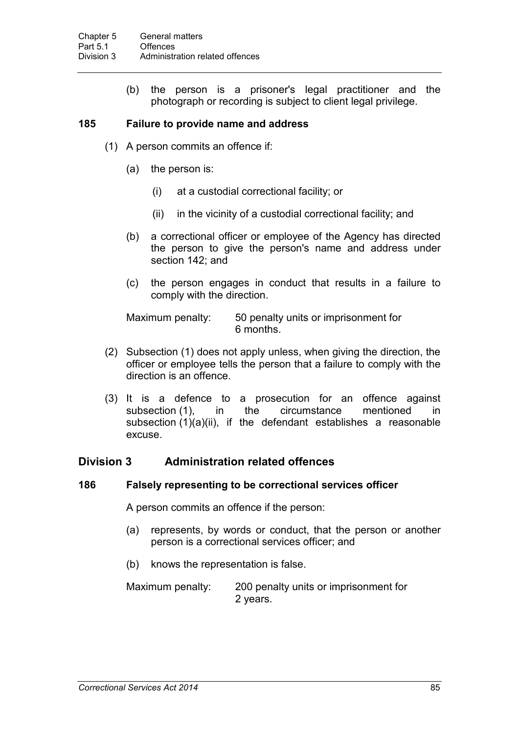(b) the person is a prisoner's legal practitioner and the photograph or recording is subject to client legal privilege.

### **185 Failure to provide name and address**

- (1) A person commits an offence if:
	- (a) the person is:
		- (i) at a custodial correctional facility; or
		- (ii) in the vicinity of a custodial correctional facility; and
	- (b) a correctional officer or employee of the Agency has directed the person to give the person's name and address under section 142; and
	- (c) the person engages in conduct that results in a failure to comply with the direction.

Maximum penalty: 50 penalty units or imprisonment for 6 months.

- (2) Subsection (1) does not apply unless, when giving the direction, the officer or employee tells the person that a failure to comply with the direction is an offence.
- (3) It is a defence to a prosecution for an offence against subsection (1), in the circumstance mentioned in subsection (1)(a)(ii), if the defendant establishes a reasonable excuse.

## **Division 3 Administration related offences**

#### **186 Falsely representing to be correctional services officer**

A person commits an offence if the person:

- (a) represents, by words or conduct, that the person or another person is a correctional services officer; and
- (b) knows the representation is false.
- Maximum penalty: 200 penalty units or imprisonment for 2 years.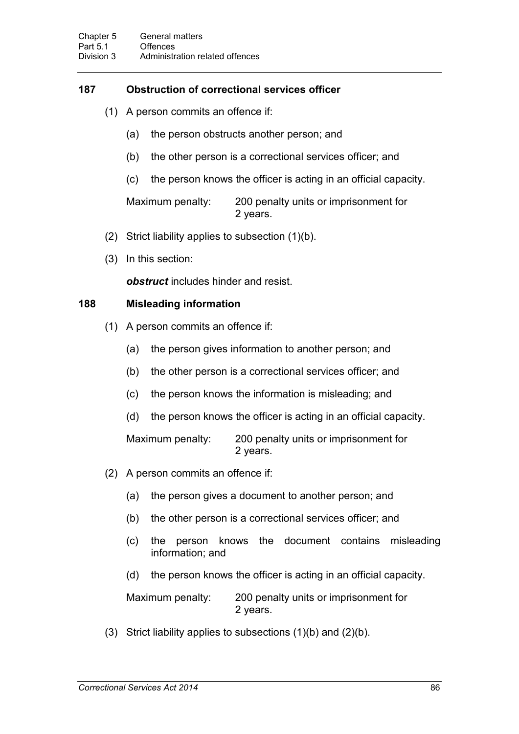### **187 Obstruction of correctional services officer**

- (1) A person commits an offence if:
	- (a) the person obstructs another person; and
	- (b) the other person is a correctional services officer; and
	- (c) the person knows the officer is acting in an official capacity.

Maximum penalty: 200 penalty units or imprisonment for 2 years.

- (2) Strict liability applies to subsection (1)(b).
- (3) In this section:

*obstruct* includes hinder and resist.

### **188 Misleading information**

- (1) A person commits an offence if:
	- (a) the person gives information to another person; and
	- (b) the other person is a correctional services officer; and
	- (c) the person knows the information is misleading; and
	- (d) the person knows the officer is acting in an official capacity.

Maximum penalty: 200 penalty units or imprisonment for 2 years.

- (2) A person commits an offence if:
	- (a) the person gives a document to another person; and
	- (b) the other person is a correctional services officer; and
	- (c) the person knows the document contains misleading information; and
	- (d) the person knows the officer is acting in an official capacity.

Maximum penalty: 200 penalty units or imprisonment for 2 years.

(3) Strict liability applies to subsections (1)(b) and (2)(b).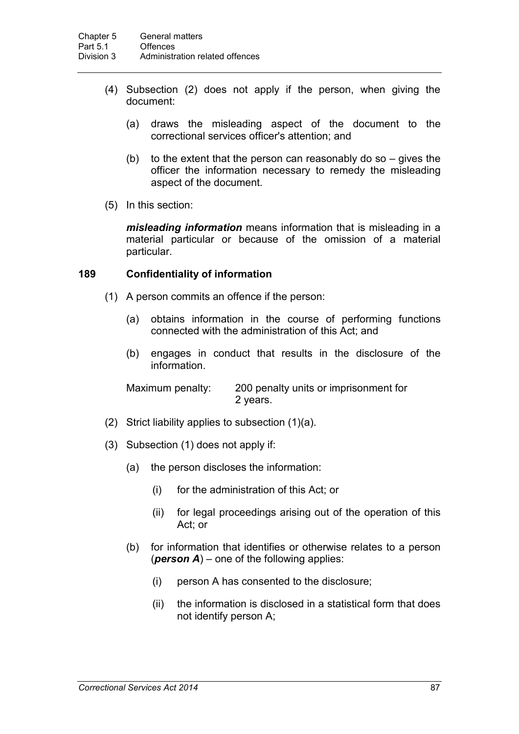- (4) Subsection (2) does not apply if the person, when giving the document:
	- (a) draws the misleading aspect of the document to the correctional services officer's attention; and
	- (b) to the extent that the person can reasonably do so  $-$  gives the officer the information necessary to remedy the misleading aspect of the document.
- (5) In this section:

*misleading information* means information that is misleading in a material particular or because of the omission of a material particular.

#### **189 Confidentiality of information**

- (1) A person commits an offence if the person:
	- (a) obtains information in the course of performing functions connected with the administration of this Act; and
	- (b) engages in conduct that results in the disclosure of the information.

Maximum penalty: 200 penalty units or imprisonment for 2 years.

- (2) Strict liability applies to subsection (1)(a).
- (3) Subsection (1) does not apply if:
	- (a) the person discloses the information:
		- (i) for the administration of this Act; or
		- (ii) for legal proceedings arising out of the operation of this Act; or
	- (b) for information that identifies or otherwise relates to a person (*person A*) – one of the following applies:
		- (i) person A has consented to the disclosure;
		- (ii) the information is disclosed in a statistical form that does not identify person A;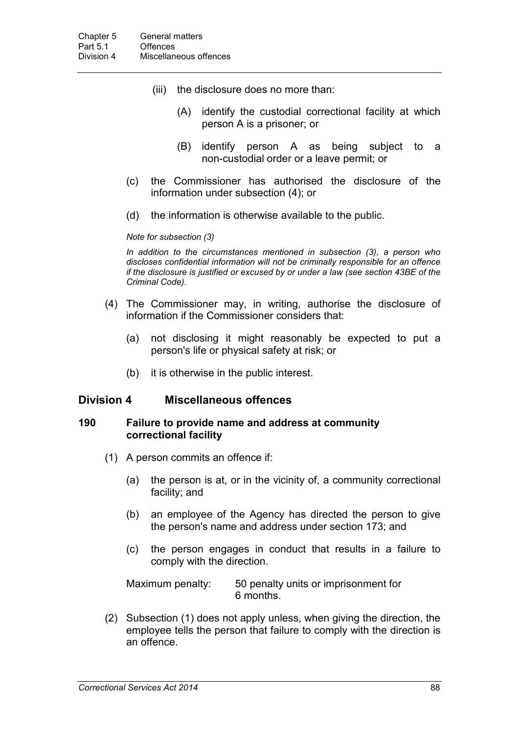- (iii) the disclosure does no more than:
	- (A) identify the custodial correctional facility at which person A is a prisoner; or
	- (B) identify person A as being subject to a non-custodial order or a leave permit; or
- (c) the Commissioner has authorised the disclosure of the information under subsection (4); or
- (d) the information is otherwise available to the public.

*Note for subsection (3)*

*In addition to the circumstances mentioned in subsection (3), a person who discloses confidential information will not be criminally responsible for an offence if the disclosure is justified or excused by or under a law (see section 43BE of the Criminal Code).*

- (4) The Commissioner may, in writing, authorise the disclosure of information if the Commissioner considers that:
	- (a) not disclosing it might reasonably be expected to put a person's life or physical safety at risk; or
	- (b) it is otherwise in the public interest.

#### **Division 4 Miscellaneous offences**

#### **190 Failure to provide name and address at community correctional facility**

- (1) A person commits an offence if:
	- (a) the person is at, or in the vicinity of, a community correctional facility; and
	- (b) an employee of the Agency has directed the person to give the person's name and address under section 173; and
	- (c) the person engages in conduct that results in a failure to comply with the direction.

Maximum penalty: 50 penalty units or imprisonment for 6 months.

(2) Subsection (1) does not apply unless, when giving the direction, the employee tells the person that failure to comply with the direction is an offence.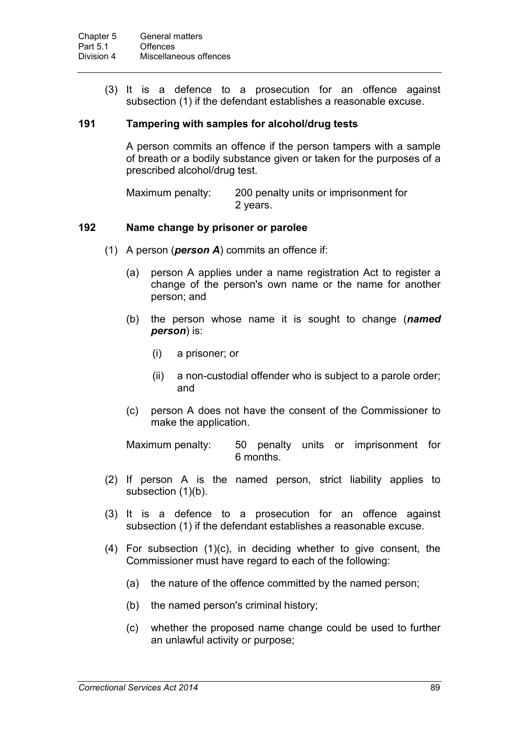(3) It is a defence to a prosecution for an offence against subsection (1) if the defendant establishes a reasonable excuse.

#### **191 Tampering with samples for alcohol/drug tests**

A person commits an offence if the person tampers with a sample of breath or a bodily substance given or taken for the purposes of a prescribed alcohol/drug test.

Maximum penalty: 200 penalty units or imprisonment for 2 years.

#### **192 Name change by prisoner or parolee**

- (1) A person (*person A*) commits an offence if:
	- (a) person A applies under a name registration Act to register a change of the person's own name or the name for another person; and
	- (b) the person whose name it is sought to change (*named person*) is:
		- (i) a prisoner; or
		- (ii) a non-custodial offender who is subject to a parole order; and
	- (c) person A does not have the consent of the Commissioner to make the application.

Maximum penalty: 50 penalty units or imprisonment for 6 months.

- (2) If person A is the named person, strict liability applies to subsection (1)(b).
- (3) It is a defence to a prosecution for an offence against subsection (1) if the defendant establishes a reasonable excuse.
- (4) For subsection (1)(c), in deciding whether to give consent, the Commissioner must have regard to each of the following:
	- (a) the nature of the offence committed by the named person;
	- (b) the named person's criminal history;
	- (c) whether the proposed name change could be used to further an unlawful activity or purpose;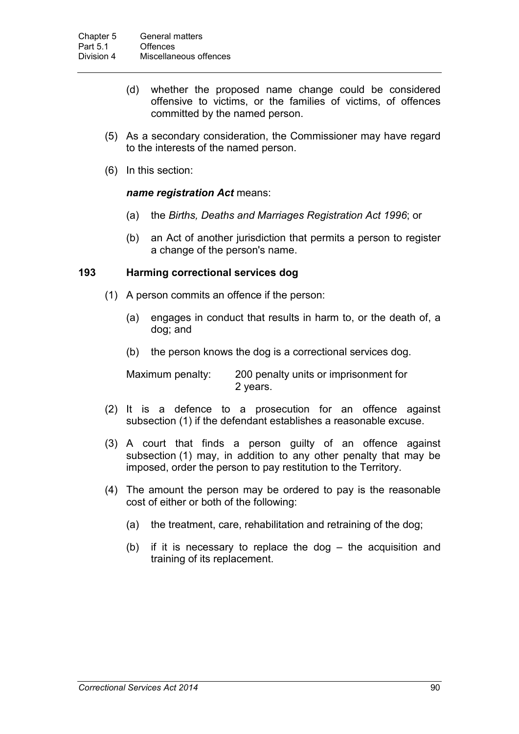- (d) whether the proposed name change could be considered offensive to victims, or the families of victims, of offences committed by the named person.
- (5) As a secondary consideration, the Commissioner may have regard to the interests of the named person.
- (6) In this section:

#### *name registration Act* means:

- (a) the *Births, Deaths and Marriages Registration Act 1996*; or
- (b) an Act of another jurisdiction that permits a person to register a change of the person's name.

#### **193 Harming correctional services dog**

- (1) A person commits an offence if the person:
	- (a) engages in conduct that results in harm to, or the death of, a dog; and
	- (b) the person knows the dog is a correctional services dog.

Maximum penalty: 200 penalty units or imprisonment for 2 years.

- (2) It is a defence to a prosecution for an offence against subsection (1) if the defendant establishes a reasonable excuse.
- (3) A court that finds a person guilty of an offence against subsection (1) may, in addition to any other penalty that may be imposed, order the person to pay restitution to the Territory.
- (4) The amount the person may be ordered to pay is the reasonable cost of either or both of the following:
	- (a) the treatment, care, rehabilitation and retraining of the dog;
	- (b) if it is necessary to replace the dog the acquisition and training of its replacement.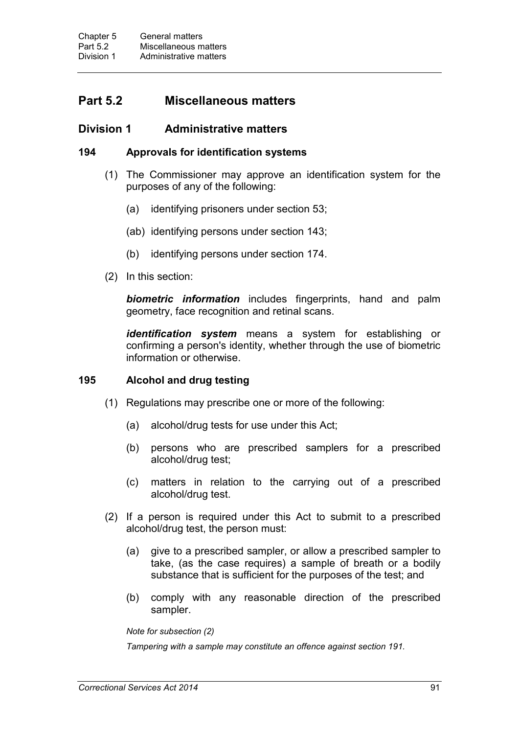# **Part 5.2 Miscellaneous matters**

### **Division 1 Administrative matters**

#### **194 Approvals for identification systems**

- (1) The Commissioner may approve an identification system for the purposes of any of the following:
	- (a) identifying prisoners under section 53;
	- (ab) identifying persons under section 143;
	- (b) identifying persons under section 174.
- (2) In this section:

*biometric information* includes fingerprints, hand and palm geometry, face recognition and retinal scans.

*identification system* means a system for establishing or confirming a person's identity, whether through the use of biometric information or otherwise.

#### **195 Alcohol and drug testing**

- (1) Regulations may prescribe one or more of the following:
	- (a) alcohol/drug tests for use under this Act;
	- (b) persons who are prescribed samplers for a prescribed alcohol/drug test;
	- (c) matters in relation to the carrying out of a prescribed alcohol/drug test.
- (2) If a person is required under this Act to submit to a prescribed alcohol/drug test, the person must:
	- (a) give to a prescribed sampler, or allow a prescribed sampler to take, (as the case requires) a sample of breath or a bodily substance that is sufficient for the purposes of the test; and
	- (b) comply with any reasonable direction of the prescribed sampler.

*Note for subsection (2)*

*Tampering with a sample may constitute an offence against section 191.*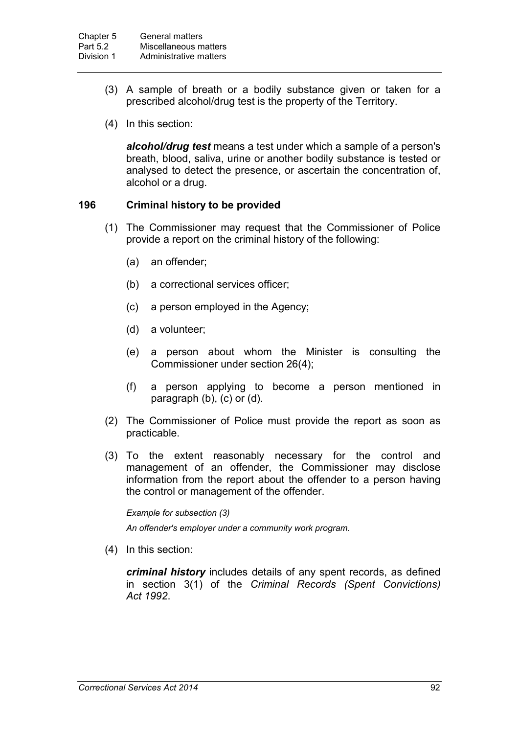- (3) A sample of breath or a bodily substance given or taken for a prescribed alcohol/drug test is the property of the Territory.
- (4) In this section:

*alcohol/drug test* means a test under which a sample of a person's breath, blood, saliva, urine or another bodily substance is tested or analysed to detect the presence, or ascertain the concentration of, alcohol or a drug.

### **196 Criminal history to be provided**

- (1) The Commissioner may request that the Commissioner of Police provide a report on the criminal history of the following:
	- (a) an offender;
	- (b) a correctional services officer;
	- (c) a person employed in the Agency;
	- (d) a volunteer;
	- (e) a person about whom the Minister is consulting the Commissioner under section 26(4);
	- (f) a person applying to become a person mentioned in paragraph (b), (c) or (d).
- (2) The Commissioner of Police must provide the report as soon as practicable.
- (3) To the extent reasonably necessary for the control and management of an offender, the Commissioner may disclose information from the report about the offender to a person having the control or management of the offender.

*Example for subsection (3)*

*An offender's employer under a community work program.*

(4) In this section:

*criminal history* includes details of any spent records, as defined in section 3(1) of the *Criminal Records (Spent Convictions) Act 1992*.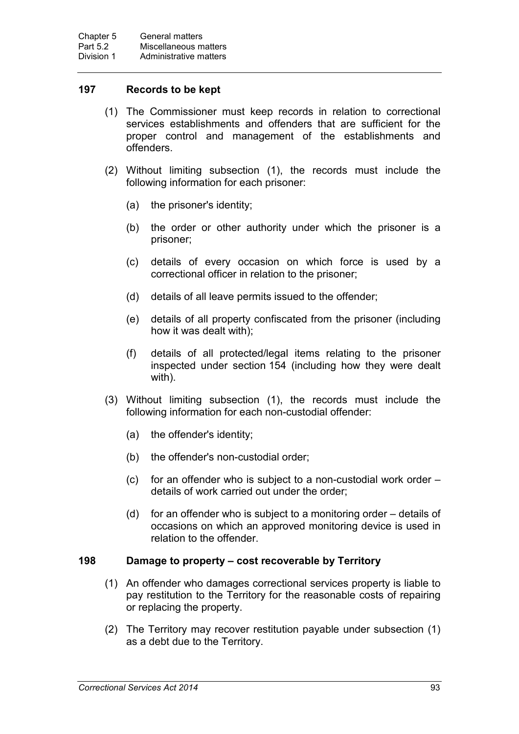#### **197 Records to be kept**

- (1) The Commissioner must keep records in relation to correctional services establishments and offenders that are sufficient for the proper control and management of the establishments and offenders.
- (2) Without limiting subsection (1), the records must include the following information for each prisoner:
	- (a) the prisoner's identity;
	- (b) the order or other authority under which the prisoner is a prisoner;
	- (c) details of every occasion on which force is used by a correctional officer in relation to the prisoner;
	- (d) details of all leave permits issued to the offender;
	- (e) details of all property confiscated from the prisoner (including how it was dealt with);
	- (f) details of all protected/legal items relating to the prisoner inspected under section 154 (including how they were dealt with).
- (3) Without limiting subsection (1), the records must include the following information for each non-custodial offender:
	- (a) the offender's identity;
	- (b) the offender's non-custodial order;
	- (c) for an offender who is subject to a non-custodial work order details of work carried out under the order;
	- (d) for an offender who is subject to a monitoring order details of occasions on which an approved monitoring device is used in relation to the offender.

#### **198 Damage to property – cost recoverable by Territory**

- (1) An offender who damages correctional services property is liable to pay restitution to the Territory for the reasonable costs of repairing or replacing the property.
- (2) The Territory may recover restitution payable under subsection (1) as a debt due to the Territory.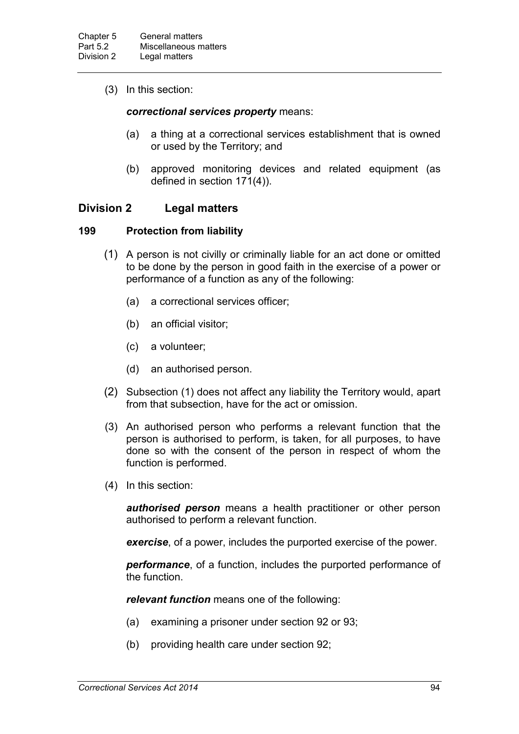(3) In this section:

#### *correctional services property* means:

- (a) a thing at a correctional services establishment that is owned or used by the Territory; and
- (b) approved monitoring devices and related equipment (as defined in section 171(4)).

## **Division 2 Legal matters**

#### **199 Protection from liability**

- (1) A person is not civilly or criminally liable for an act done or omitted to be done by the person in good faith in the exercise of a power or performance of a function as any of the following:
	- (a) a correctional services officer;
	- (b) an official visitor;
	- (c) a volunteer;
	- (d) an authorised person.
- (2) Subsection (1) does not affect any liability the Territory would, apart from that subsection, have for the act or omission.
- (3) An authorised person who performs a relevant function that the person is authorised to perform, is taken, for all purposes, to have done so with the consent of the person in respect of whom the function is performed.
- (4) In this section:

*authorised person* means a health practitioner or other person authorised to perform a relevant function.

*exercise*, of a power, includes the purported exercise of the power.

*performance*, of a function, includes the purported performance of the function.

*relevant function* means one of the following:

- (a) examining a prisoner under section 92 or 93;
- (b) providing health care under section 92;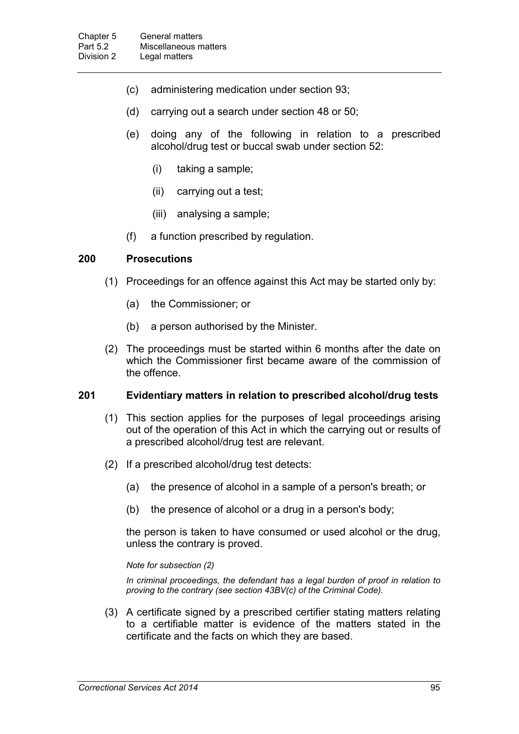- (c) administering medication under section 93;
- (d) carrying out a search under section 48 or 50;
- (e) doing any of the following in relation to a prescribed alcohol/drug test or buccal swab under section 52:
	- (i) taking a sample;
	- (ii) carrying out a test;
	- (iii) analysing a sample;
- (f) a function prescribed by regulation.

#### **200 Prosecutions**

- (1) Proceedings for an offence against this Act may be started only by:
	- (a) the Commissioner; or
	- (b) a person authorised by the Minister.
- (2) The proceedings must be started within 6 months after the date on which the Commissioner first became aware of the commission of the offence.

#### **201 Evidentiary matters in relation to prescribed alcohol/drug tests**

- (1) This section applies for the purposes of legal proceedings arising out of the operation of this Act in which the carrying out or results of a prescribed alcohol/drug test are relevant.
- (2) If a prescribed alcohol/drug test detects:
	- (a) the presence of alcohol in a sample of a person's breath; or
	- (b) the presence of alcohol or a drug in a person's body;

the person is taken to have consumed or used alcohol or the drug, unless the contrary is proved.

#### *Note for subsection (2)*

*In criminal proceedings, the defendant has a legal burden of proof in relation to proving to the contrary (see section 43BV(c) of the Criminal Code).*

(3) A certificate signed by a prescribed certifier stating matters relating to a certifiable matter is evidence of the matters stated in the certificate and the facts on which they are based.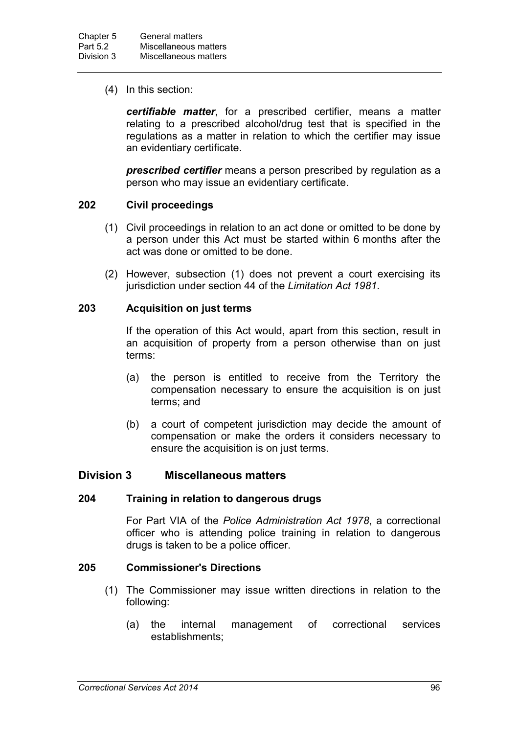(4) In this section:

*certifiable matter*, for a prescribed certifier, means a matter relating to a prescribed alcohol/drug test that is specified in the regulations as a matter in relation to which the certifier may issue an evidentiary certificate.

*prescribed certifier* means a person prescribed by regulation as a person who may issue an evidentiary certificate.

### **202 Civil proceedings**

- (1) Civil proceedings in relation to an act done or omitted to be done by a person under this Act must be started within 6 months after the act was done or omitted to be done.
- (2) However, subsection (1) does not prevent a court exercising its jurisdiction under section 44 of the *Limitation Act 1981*.

#### **203 Acquisition on just terms**

If the operation of this Act would, apart from this section, result in an acquisition of property from a person otherwise than on just terms:

- (a) the person is entitled to receive from the Territory the compensation necessary to ensure the acquisition is on just terms; and
- (b) a court of competent jurisdiction may decide the amount of compensation or make the orders it considers necessary to ensure the acquisition is on just terms.

## **Division 3 Miscellaneous matters**

#### **204 Training in relation to dangerous drugs**

For Part VIA of the *Police Administration Act 1978*, a correctional officer who is attending police training in relation to dangerous drugs is taken to be a police officer.

### **205 Commissioner's Directions**

- (1) The Commissioner may issue written directions in relation to the following:
	- (a) the internal management of correctional services establishments;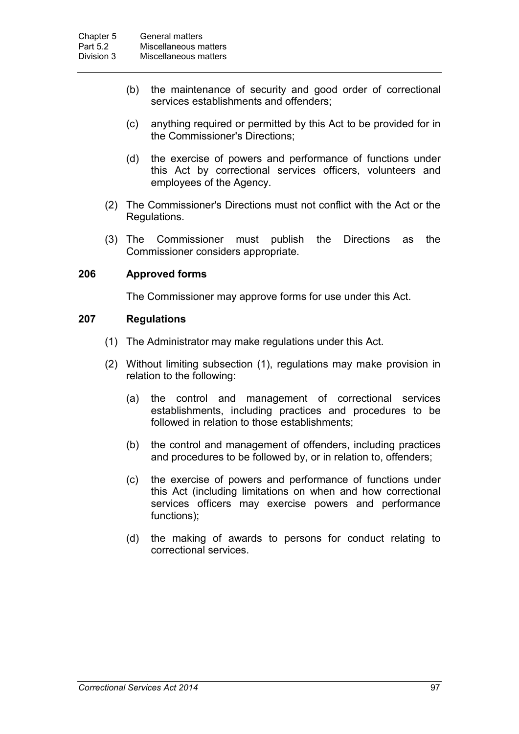- (b) the maintenance of security and good order of correctional services establishments and offenders;
- (c) anything required or permitted by this Act to be provided for in the Commissioner's Directions;
- (d) the exercise of powers and performance of functions under this Act by correctional services officers, volunteers and employees of the Agency.
- (2) The Commissioner's Directions must not conflict with the Act or the Regulations.
- (3) The Commissioner must publish the Directions as the Commissioner considers appropriate.

#### **206 Approved forms**

The Commissioner may approve forms for use under this Act.

#### **207 Regulations**

- (1) The Administrator may make regulations under this Act.
- (2) Without limiting subsection (1), regulations may make provision in relation to the following:
	- (a) the control and management of correctional services establishments, including practices and procedures to be followed in relation to those establishments;
	- (b) the control and management of offenders, including practices and procedures to be followed by, or in relation to, offenders;
	- (c) the exercise of powers and performance of functions under this Act (including limitations on when and how correctional services officers may exercise powers and performance functions);
	- (d) the making of awards to persons for conduct relating to correctional services.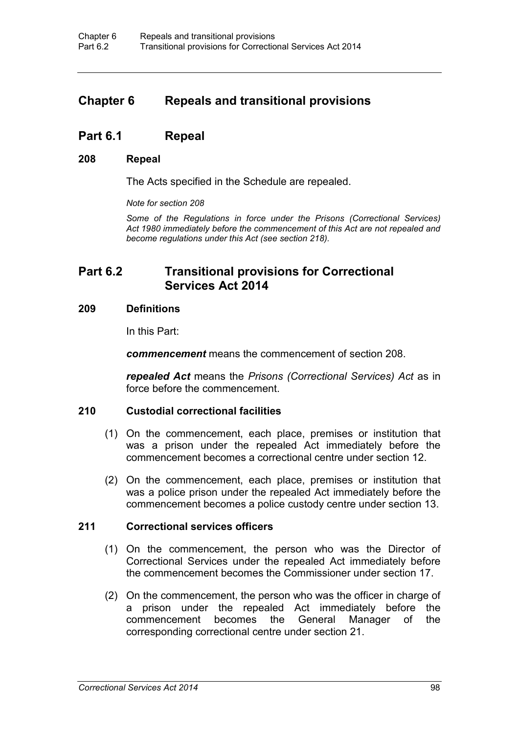# **Chapter 6 Repeals and transitional provisions**

# **Part 6.1 Repeal**

#### **208 Repeal**

The Acts specified in the Schedule are repealed.

*Note for section 208*

*Some of the Regulations in force under the Prisons (Correctional Services) Act 1980 immediately before the commencement of this Act are not repealed and become regulations under this Act (see section 218).*

# **Part 6.2 Transitional provisions for Correctional Services Act 2014**

#### **209 Definitions**

In this Part:

*commencement* means the commencement of section 208.

*repealed Act* means the *Prisons (Correctional Services) Act* as in force before the commencement.

#### **210 Custodial correctional facilities**

- (1) On the commencement, each place, premises or institution that was a prison under the repealed Act immediately before the commencement becomes a correctional centre under section 12.
- (2) On the commencement, each place, premises or institution that was a police prison under the repealed Act immediately before the commencement becomes a police custody centre under section 13.

#### **211 Correctional services officers**

- (1) On the commencement, the person who was the Director of Correctional Services under the repealed Act immediately before the commencement becomes the Commissioner under section 17.
- (2) On the commencement, the person who was the officer in charge of a prison under the repealed Act immediately before the commencement becomes the General Manager of the corresponding correctional centre under section 21.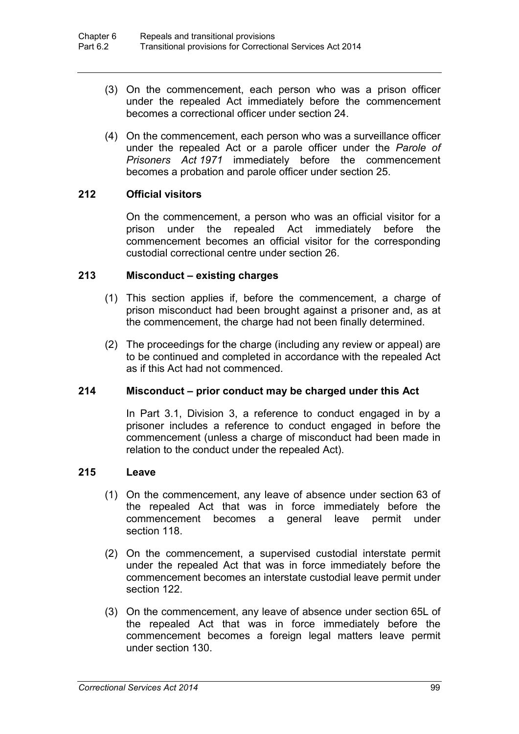- (3) On the commencement, each person who was a prison officer under the repealed Act immediately before the commencement becomes a correctional officer under section 24.
- (4) On the commencement, each person who was a surveillance officer under the repealed Act or a parole officer under the *Parole of Prisoners Act 1971* immediately before the commencement becomes a probation and parole officer under section 25.

# **212 Official visitors**

On the commencement, a person who was an official visitor for a prison under the repealed Act immediately before the commencement becomes an official visitor for the corresponding custodial correctional centre under section 26.

### **213 Misconduct – existing charges**

- (1) This section applies if, before the commencement, a charge of prison misconduct had been brought against a prisoner and, as at the commencement, the charge had not been finally determined.
- (2) The proceedings for the charge (including any review or appeal) are to be continued and completed in accordance with the repealed Act as if this Act had not commenced.

# **214 Misconduct – prior conduct may be charged under this Act**

In Part 3.1, Division 3, a reference to conduct engaged in by a prisoner includes a reference to conduct engaged in before the commencement (unless a charge of misconduct had been made in relation to the conduct under the repealed Act).

# **215 Leave**

- (1) On the commencement, any leave of absence under section 63 of the repealed Act that was in force immediately before the commencement becomes a general leave permit under section 118.
- (2) On the commencement, a supervised custodial interstate permit under the repealed Act that was in force immediately before the commencement becomes an interstate custodial leave permit under section 122.
- (3) On the commencement, any leave of absence under section 65L of the repealed Act that was in force immediately before the commencement becomes a foreign legal matters leave permit under section 130.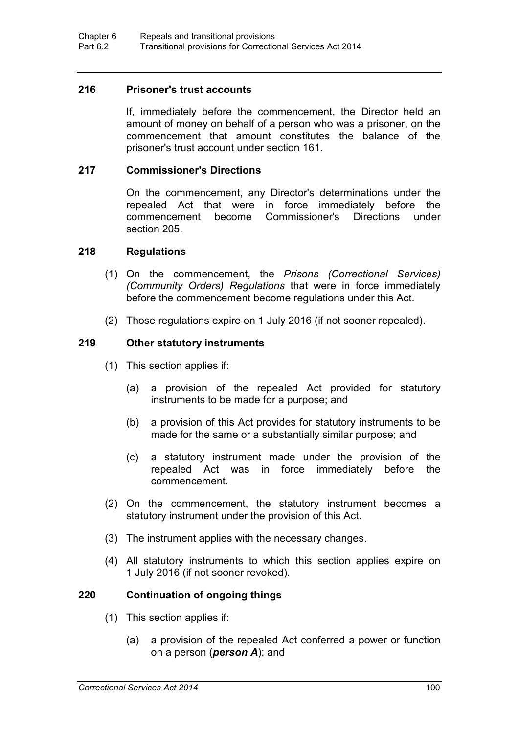### **216 Prisoner's trust accounts**

If, immediately before the commencement, the Director held an amount of money on behalf of a person who was a prisoner, on the commencement that amount constitutes the balance of the prisoner's trust account under section 161.

### **217 Commissioner's Directions**

On the commencement, any Director's determinations under the repealed Act that were in force immediately before the commencement become Commissioner's Directions under section 205.

### **218 Regulations**

- (1) On the commencement, the *Prisons (Correctional Services) (Community Orders) Regulations* that were in force immediately before the commencement become regulations under this Act.
- (2) Those regulations expire on 1 July 2016 (if not sooner repealed).

### **219 Other statutory instruments**

- (1) This section applies if:
	- (a) a provision of the repealed Act provided for statutory instruments to be made for a purpose; and
	- (b) a provision of this Act provides for statutory instruments to be made for the same or a substantially similar purpose; and
	- (c) a statutory instrument made under the provision of the repealed Act was in force immediately before the commencement.
- (2) On the commencement, the statutory instrument becomes a statutory instrument under the provision of this Act.
- (3) The instrument applies with the necessary changes.
- (4) All statutory instruments to which this section applies expire on 1 July 2016 (if not sooner revoked).

# **220 Continuation of ongoing things**

- (1) This section applies if:
	- (a) a provision of the repealed Act conferred a power or function on a person (*person A*); and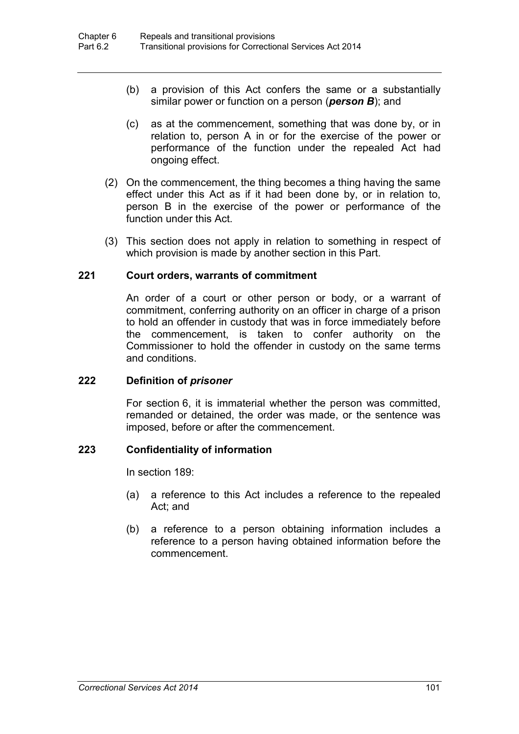- (b) a provision of this Act confers the same or a substantially similar power or function on a person (*person B*); and
- (c) as at the commencement, something that was done by, or in relation to, person A in or for the exercise of the power or performance of the function under the repealed Act had ongoing effect.
- (2) On the commencement, the thing becomes a thing having the same effect under this Act as if it had been done by, or in relation to, person B in the exercise of the power or performance of the function under this Act.
- (3) This section does not apply in relation to something in respect of which provision is made by another section in this Part.

# **221 Court orders, warrants of commitment**

An order of a court or other person or body, or a warrant of commitment, conferring authority on an officer in charge of a prison to hold an offender in custody that was in force immediately before the commencement, is taken to confer authority on the Commissioner to hold the offender in custody on the same terms and conditions.

#### **222 Definition of** *prisoner*

For section 6, it is immaterial whether the person was committed, remanded or detained, the order was made, or the sentence was imposed, before or after the commencement.

# **223 Confidentiality of information**

In section 189:

- (a) a reference to this Act includes a reference to the repealed Act; and
- (b) a reference to a person obtaining information includes a reference to a person having obtained information before the commencement.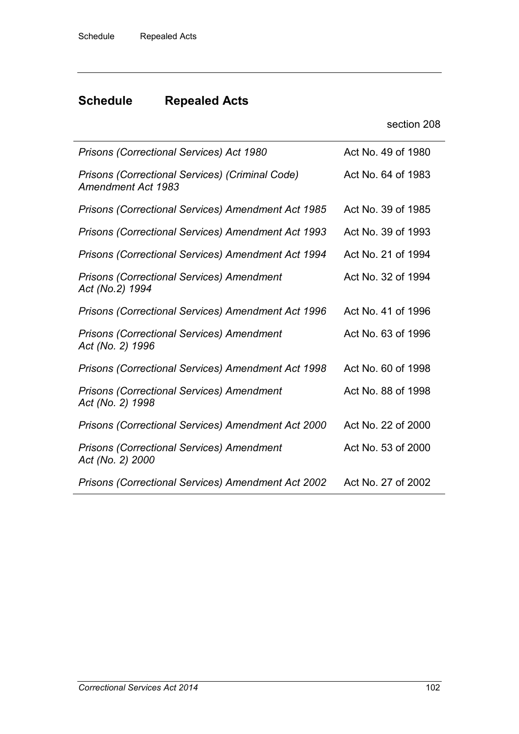# **Schedule Repealed Acts**

| section 208 |  |
|-------------|--|
|-------------|--|

| <b>Prisons (Correctional Services) Act 1980</b>                              | Act No. 49 of 1980 |
|------------------------------------------------------------------------------|--------------------|
| Prisons (Correctional Services) (Criminal Code)<br><b>Amendment Act 1983</b> | Act No. 64 of 1983 |
| <b>Prisons (Correctional Services) Amendment Act 1985</b>                    | Act No. 39 of 1985 |
| <b>Prisons (Correctional Services) Amendment Act 1993</b>                    | Act No. 39 of 1993 |
| <b>Prisons (Correctional Services) Amendment Act 1994</b>                    | Act No. 21 of 1994 |
| <b>Prisons (Correctional Services) Amendment</b><br>Act (No.2) 1994          | Act No. 32 of 1994 |
| <b>Prisons (Correctional Services) Amendment Act 1996</b>                    | Act No. 41 of 1996 |
| <b>Prisons (Correctional Services) Amendment</b><br>Act (No. 2) 1996         | Act No. 63 of 1996 |
| Prisons (Correctional Services) Amendment Act 1998                           | Act No. 60 of 1998 |
| <b>Prisons (Correctional Services) Amendment</b><br>Act (No. 2) 1998         | Act No. 88 of 1998 |
| <b>Prisons (Correctional Services) Amendment Act 2000</b>                    | Act No. 22 of 2000 |
| <b>Prisons (Correctional Services) Amendment</b><br>Act (No. 2) 2000         | Act No. 53 of 2000 |
| <b>Prisons (Correctional Services) Amendment Act 2002</b>                    | Act No. 27 of 2002 |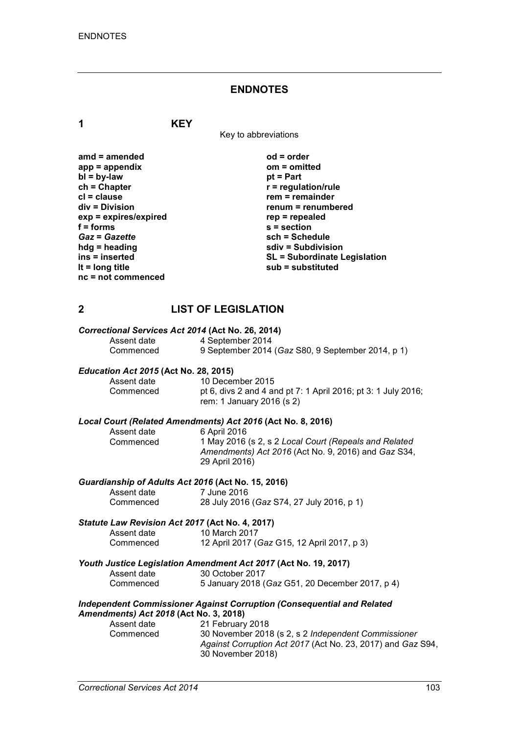#### **ENDNOTES**

**1 KEY**

Key to abbreviations

**amd = amended od = order app = appendix om = omitted bl** = **by-law**<br>**ch** = Chapter **ch = Chapter r = regulation/rule cl = clause rem = remainder**  $exp = exp$ **ires/expired**<br>**f** = forms **f** = forms <br> **s** = section<br> **Gaz** = Gazette <br> **sch** = Sche *Gaz* **=** *Gazette* **sch = Schedule hdg = heading sdiv = Subdivision nc = not commenced**

**renum = renumbered**<br>rep = repealed **ins = inserted SL = Subordinate Legislation lt = long title sub = substituted**

# **2 LIST OF LEGISLATION**

# *Correctional Services Act 2014* **(Act No. 26, 2014)**

Assent date 4 September 2014<br>Commenced 9 September 2014 9 September 2014 (*Gaz* S80, 9 September 2014, p 1)

# *Education Act 2015* **(Act No. 28, 2015)**

Assent date 10 December 2015<br>Commenced bt 6. divs 2 and 4 a pt 6, divs 2 and 4 and pt 7: 1 April 2016; pt 3: 1 July 2016; rem: 1 January 2016 (s 2)

# *Local Court (Related Amendments) Act 2016* **(Act No. 8, 2016)**

6 April 2016 Commenced 1 May 2016 (s 2, s 2 *Local Court (Repeals and Related Amendments) Act 2016* (Act No. 9, 2016) and *Gaz* S34, 29 April 2016)

# *Guardianship of Adults Act 2016* **(Act No. 15, 2016)**

Assent date<br>Commenced

28 July 2016 (*Gaz* S74, 27 July 2016, p 1)

# *Statute Law Revision Act 2017* **(Act No. 4, 2017)**

Assent date 10 March 2017<br>Commenced 12 April 2017 ( Commenced 12 April 2017 (*Gaz* G15, 12 April 2017, p 3)

#### *Youth Justice Legislation Amendment Act 2017* **(Act No. 19, 2017)**

| Assent date | 30 October 2017                                 |
|-------------|-------------------------------------------------|
| Commenced   | 5 January 2018 (Gaz G51, 20 December 2017, p 4) |

#### *Independent Commissioner Against Corruption (Consequential and Related Amendments) Act 2018* **(Act No. 3, 2018)**

| Assent date | 21 February 2018                                            |
|-------------|-------------------------------------------------------------|
| Commenced   | 30 November 2018 (s 2, s 2 Independent Commissioner         |
|             | Against Corruption Act 2017 (Act No. 23, 2017) and Gaz S94, |
|             | 30 November 2018)                                           |